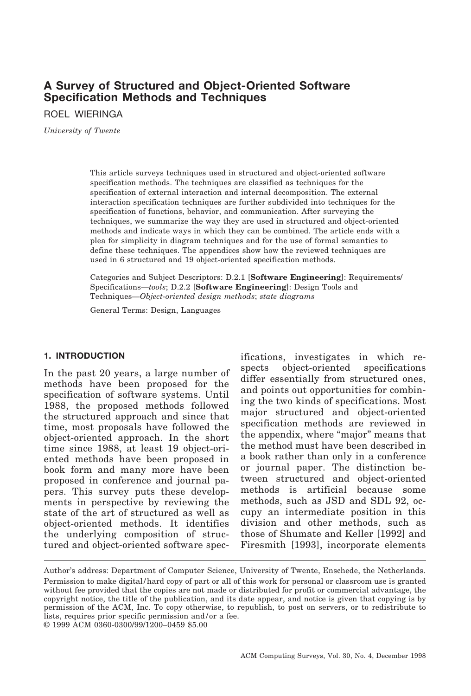# **A Survey of Structured and Object-Oriented Software Specification Methods and Techniques**

ROEL WIERINGA

*University of Twente*

This article surveys techniques used in structured and object-oriented software specification methods. The techniques are classified as techniques for the specification of external interaction and internal decomposition. The external interaction specification techniques are further subdivided into techniques for the specification of functions, behavior, and communication. After surveying the techniques, we summarize the way they are used in structured and object-oriented methods and indicate ways in which they can be combined. The article ends with a plea for simplicity in diagram techniques and for the use of formal semantics to define these techniques. The appendices show how the reviewed techniques are used in 6 structured and 19 object-oriented specification methods.

Categories and Subject Descriptors: D.2.1 [**Software Engineering**]: Requirements/ Specifications—*tools*; D.2.2 [**Software Engineering**]: Design Tools and Techniques—*Object-oriented design methods*; *state diagrams*

General Terms: Design, Languages

### **1. INTRODUCTION**

In the past 20 years, a large number of methods have been proposed for the specification of software systems. Until 1988, the proposed methods followed the structured approach and since that time, most proposals have followed the object-oriented approach. In the short time since 1988, at least 19 object-oriented methods have been proposed in book form and many more have been proposed in conference and journal papers. This survey puts these developments in perspective by reviewing the state of the art of structured as well as object-oriented methods. It identifies the underlying composition of structured and object-oriented software specifications, investigates in which respects object-oriented specifications differ essentially from structured ones, and points out opportunities for combining the two kinds of specifications. Most major structured and object-oriented specification methods are reviewed in the appendix, where "major" means that the method must have been described in a book rather than only in a conference or journal paper. The distinction between structured and object-oriented methods is artificial because some methods, such as JSD and SDL 92, occupy an intermediate position in this division and other methods, such as those of Shumate and Keller [1992] and Firesmith [1993], incorporate elements

Author's address: Department of Computer Science, University of Twente, Enschede, the Netherlands. Permission to make digital/hard copy of part or all of this work for personal or classroom use is granted without fee provided that the copies are not made or distributed for profit or commercial advantage, the copyright notice, the title of the publication, and its date appear, and notice is given that copying is by permission of the ACM, Inc. To copy otherwise, to republish, to post on servers, or to redistribute to lists, requires prior specific permission and/or a fee. © 1999 ACM 0360-0300/99/1200–0459 \$5.00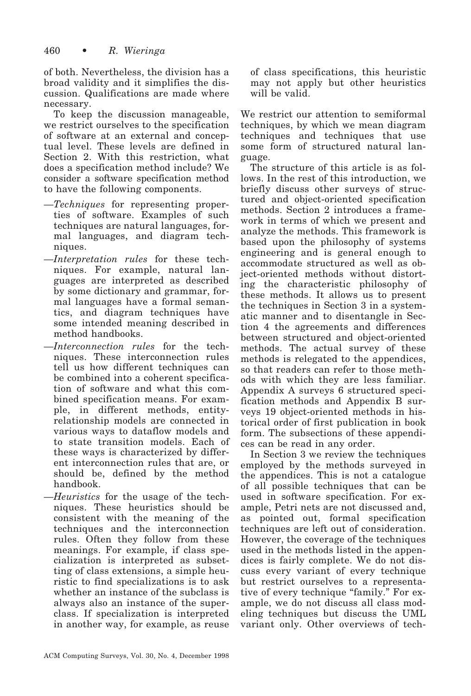of both. Nevertheless, the division has a broad validity and it simplifies the discussion. Qualifications are made where necessary.

To keep the discussion manageable, we restrict ourselves to the specification of software at an external and conceptual level. These levels are defined in Section 2. With this restriction, what does a specification method include? We consider a software specification method to have the following components.

- —*Techniques* for representing properties of software. Examples of such techniques are natural languages, formal languages, and diagram techniques.
- —*Interpretation rules* for these techniques. For example, natural languages are interpreted as described by some dictionary and grammar, formal languages have a formal semantics, and diagram techniques have some intended meaning described in method handbooks.
- —*Interconnection rules* for the techniques. These interconnection rules tell us how different techniques can be combined into a coherent specification of software and what this combined specification means. For example, in different methods, entityrelationship models are connected in various ways to dataflow models and to state transition models. Each of these ways is characterized by different interconnection rules that are, or should be, defined by the method handbook.

—*Heuristics* for the usage of the techniques. These heuristics should be consistent with the meaning of the techniques and the interconnection rules. Often they follow from these meanings. For example, if class specialization is interpreted as subsetting of class extensions, a simple heuristic to find specializations is to ask whether an instance of the subclass is always also an instance of the superclass. If specialization is interpreted in another way, for example, as reuse of class specifications, this heuristic may not apply but other heuristics will be valid.

We restrict our attention to semiformal techniques, by which we mean diagram techniques and techniques that use some form of structured natural language.

The structure of this article is as follows. In the rest of this introduction, we briefly discuss other surveys of structured and object-oriented specification methods. Section 2 introduces a framework in terms of which we present and analyze the methods. This framework is based upon the philosophy of systems engineering and is general enough to accommodate structured as well as object-oriented methods without distorting the characteristic philosophy of these methods. It allows us to present the techniques in Section 3 in a systematic manner and to disentangle in Section 4 the agreements and differences between structured and object-oriented methods. The actual survey of these methods is relegated to the appendices, so that readers can refer to those methods with which they are less familiar. Appendix A surveys 6 structured specification methods and Appendix B surveys 19 object-oriented methods in historical order of first publication in book form. The subsections of these appendices can be read in any order.

In Section 3 we review the techniques employed by the methods surveyed in the appendices. This is not a catalogue of all possible techniques that can be used in software specification. For example, Petri nets are not discussed and, as pointed out, formal specification techniques are left out of consideration. However, the coverage of the techniques used in the methods listed in the appendices is fairly complete. We do not discuss every variant of every technique but restrict ourselves to a representative of every technique "family." For example, we do not discuss all class modeling techniques but discuss the UML variant only. Other overviews of tech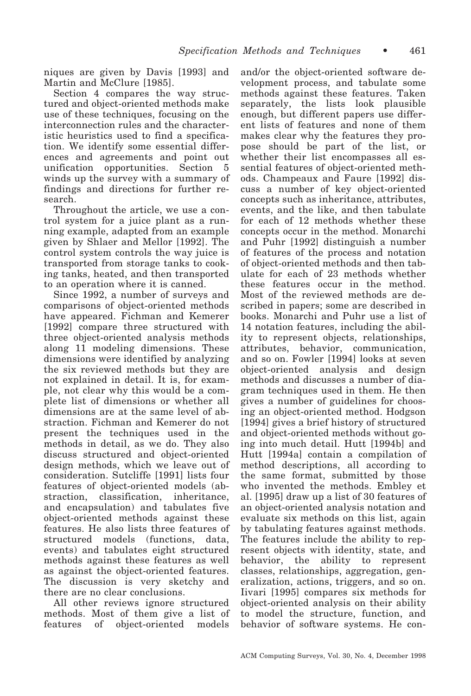niques are given by Davis [1993] and Martin and McClure [1985].

Section 4 compares the way structured and object-oriented methods make use of these techniques, focusing on the interconnection rules and the characteristic heuristics used to find a specification. We identify some essential differences and agreements and point out unification opportunities. Section 5 winds up the survey with a summary of findings and directions for further research.

Throughout the article, we use a control system for a juice plant as a running example, adapted from an example given by Shlaer and Mellor [1992]. The control system controls the way juice is transported from storage tanks to cooking tanks, heated, and then transported to an operation where it is canned.

Since 1992, a number of surveys and comparisons of object-oriented methods have appeared. Fichman and Kemerer [1992] compare three structured with three object-oriented analysis methods along 11 modeling dimensions. These dimensions were identified by analyzing the six reviewed methods but they are not explained in detail. It is, for example, not clear why this would be a complete list of dimensions or whether all dimensions are at the same level of abstraction. Fichman and Kemerer do not present the techniques used in the methods in detail, as we do. They also discuss structured and object-oriented design methods, which we leave out of consideration. Sutcliffe [1991] lists four features of object-oriented models (abstraction, classification, inheritance, and encapsulation) and tabulates five object-oriented methods against these features. He also lists three features of structured models (functions, data, events) and tabulates eight structured methods against these features as well as against the object-oriented features. The discussion is very sketchy and there are no clear conclusions.

All other reviews ignore structured methods. Most of them give a list of features of object-oriented models

and/or the object-oriented software development process, and tabulate some methods against these features. Taken separately, the lists look plausible enough, but different papers use different lists of features and none of them makes clear why the features they propose should be part of the list, or whether their list encompasses all essential features of object-oriented methods. Champeaux and Faure [1992] discuss a number of key object-oriented concepts such as inheritance, attributes, events, and the like, and then tabulate for each of 12 methods whether these concepts occur in the method. Monarchi and Puhr [1992] distinguish a number of features of the process and notation of object-oriented methods and then tabulate for each of 23 methods whether these features occur in the method. Most of the reviewed methods are described in papers; some are described in books. Monarchi and Puhr use a list of 14 notation features, including the ability to represent objects, relationships, attributes, behavior, communication, and so on. Fowler [1994] looks at seven object-oriented analysis and design methods and discusses a number of diagram techniques used in them. He then gives a number of guidelines for choosing an object-oriented method. Hodgson [1994] gives a brief history of structured and object-oriented methods without going into much detail. Hutt [1994b] and Hutt [1994a] contain a compilation of method descriptions, all according to the same format, submitted by those who invented the methods. Embley et al. [1995] draw up a list of 30 features of an object-oriented analysis notation and evaluate six methods on this list, again by tabulating features against methods. The features include the ability to represent objects with identity, state, and behavior, the ability to represent classes, relationships, aggregation, generalization, actions, triggers, and so on. Iivari [1995] compares six methods for object-oriented analysis on their ability to model the structure, function, and behavior of software systems. He con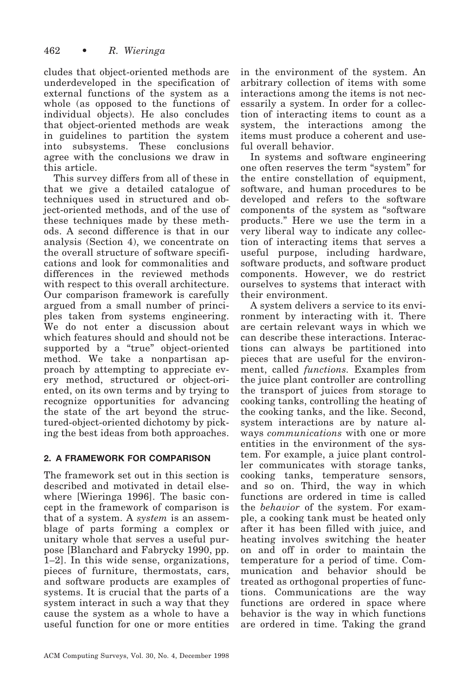cludes that object-oriented methods are underdeveloped in the specification of external functions of the system as a whole (as opposed to the functions of individual objects). He also concludes that object-oriented methods are weak in guidelines to partition the system into subsystems. These conclusions agree with the conclusions we draw in this article.

This survey differs from all of these in that we give a detailed catalogue of techniques used in structured and object-oriented methods, and of the use of these techniques made by these methods. A second difference is that in our analysis (Section 4), we concentrate on the overall structure of software specifications and look for commonalities and differences in the reviewed methods with respect to this overall architecture. Our comparison framework is carefully argued from a small number of principles taken from systems engineering. We do not enter a discussion about which features should and should not be supported by a "true" object-oriented method. We take a nonpartisan approach by attempting to appreciate every method, structured or object-oriented, on its own terms and by trying to recognize opportunities for advancing the state of the art beyond the structured-object-oriented dichotomy by picking the best ideas from both approaches.

# **2. A FRAMEWORK FOR COMPARISON**

The framework set out in this section is described and motivated in detail elsewhere [Wieringa 1996]. The basic concept in the framework of comparison is that of a system. A *system* is an assemblage of parts forming a complex or unitary whole that serves a useful purpose [Blanchard and Fabrycky 1990, pp. 1–2]. In this wide sense, organizations, pieces of furniture, thermostats, cars, and software products are examples of systems. It is crucial that the parts of a system interact in such a way that they cause the system as a whole to have a useful function for one or more entities

in the environment of the system. An arbitrary collection of items with some interactions among the items is not necessarily a system. In order for a collection of interacting items to count as a system, the interactions among the items must produce a coherent and useful overall behavior.

In systems and software engineering one often reserves the term "system" for the entire constellation of equipment, software, and human procedures to be developed and refers to the software components of the system as "software products." Here we use the term in a very liberal way to indicate any collection of interacting items that serves a useful purpose, including hardware, software products, and software product components. However, we do restrict ourselves to systems that interact with their environment.

A system delivers a service to its environment by interacting with it. There are certain relevant ways in which we can describe these interactions. Interactions can always be partitioned into pieces that are useful for the environment, called *functions.* Examples from the juice plant controller are controlling the transport of juices from storage to cooking tanks, controlling the heating of the cooking tanks, and the like. Second, system interactions are by nature always *communications* with one or more entities in the environment of the system. For example, a juice plant controller communicates with storage tanks, cooking tanks, temperature sensors, and so on. Third, the way in which functions are ordered in time is called the *behavior* of the system. For example, a cooking tank must be heated only after it has been filled with juice, and heating involves switching the heater on and off in order to maintain the temperature for a period of time. Communication and behavior should be treated as orthogonal properties of functions. Communications are the way functions are ordered in space where behavior is the way in which functions are ordered in time. Taking the grand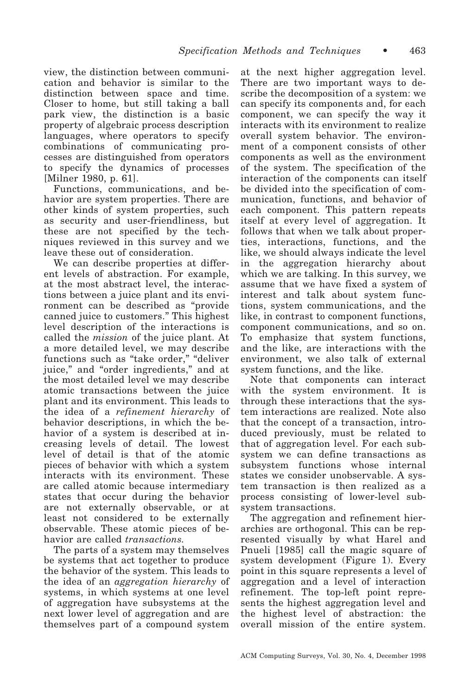view, the distinction between communication and behavior is similar to the distinction between space and time. Closer to home, but still taking a ball park view, the distinction is a basic property of algebraic process description languages, where operators to specify combinations of communicating processes are distinguished from operators to specify the dynamics of processes [Milner 1980, p. 61].

Functions, communications, and behavior are system properties. There are other kinds of system properties, such as security and user-friendliness, but these are not specified by the techniques reviewed in this survey and we leave these out of consideration.

We can describe properties at different levels of abstraction. For example, at the most abstract level, the interactions between a juice plant and its environment can be described as "provide canned juice to customers." This highest level description of the interactions is called the *mission* of the juice plant. At a more detailed level, we may describe functions such as "take order," "deliver juice," and "order ingredients," and at the most detailed level we may describe atomic transactions between the juice plant and its environment. This leads to the idea of a *refinement hierarchy* of behavior descriptions, in which the behavior of a system is described at increasing levels of detail. The lowest level of detail is that of the atomic pieces of behavior with which a system interacts with its environment. These are called atomic because intermediary states that occur during the behavior are not externally observable, or at least not considered to be externally observable. These atomic pieces of behavior are called *transactions.*

The parts of a system may themselves be systems that act together to produce the behavior of the system. This leads to the idea of an *aggregation hierarchy* of systems, in which systems at one level of aggregation have subsystems at the next lower level of aggregation and are themselves part of a compound system

at the next higher aggregation level. There are two important ways to describe the decomposition of a system: we can specify its components and, for each component, we can specify the way it interacts with its environment to realize overall system behavior. The environment of a component consists of other components as well as the environment of the system. The specification of the interaction of the components can itself be divided into the specification of communication, functions, and behavior of each component. This pattern repeats itself at every level of aggregation. It follows that when we talk about properties, interactions, functions, and the like, we should always indicate the level in the aggregation hierarchy about which we are talking. In this survey, we assume that we have fixed a system of interest and talk about system functions, system communications, and the like, in contrast to component functions, component communications, and so on. To emphasize that system functions, and the like, are interactions with the environment, we also talk of external system functions, and the like.

Note that components can interact with the system environment. It is through these interactions that the system interactions are realized. Note also that the concept of a transaction, introduced previously, must be related to that of aggregation level. For each subsystem we can define transactions as subsystem functions whose internal states we consider unobservable. A system transaction is then realized as a process consisting of lower-level subsystem transactions.

The aggregation and refinement hierarchies are orthogonal. This can be represented visually by what Harel and Pnueli [1985] call the magic square of system development (Figure 1). Every point in this square represents a level of aggregation and a level of interaction refinement. The top-left point represents the highest aggregation level and the highest level of abstraction: the overall mission of the entire system.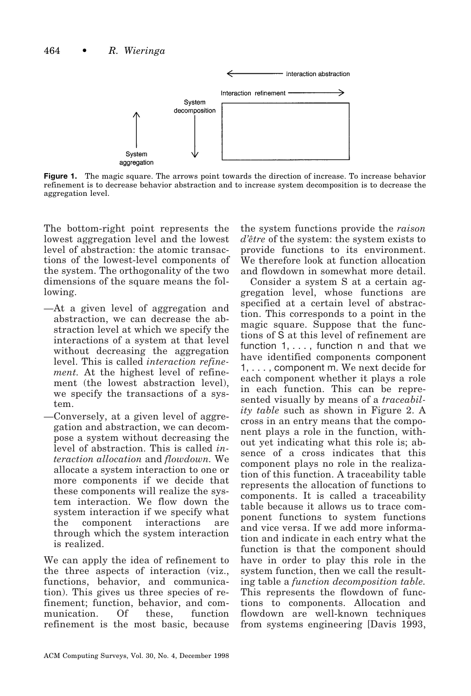

**Figure 1.** The magic square. The arrows point towards the direction of increase. To increase behavior refinement is to decrease behavior abstraction and to increase system decomposition is to decrease the aggregation level.

The bottom-right point represents the lowest aggregation level and the lowest level of abstraction: the atomic transactions of the lowest-level components of the system. The orthogonality of the two dimensions of the square means the following.

- —At a given level of aggregation and abstraction, we can decrease the abstraction level at which we specify the interactions of a system at that level without decreasing the aggregation level. This is called *interaction refinement.* At the highest level of refinement (the lowest abstraction level), we specify the transactions of a system.
- —Conversely, at a given level of aggregation and abstraction, we can decompose a system without decreasing the level of abstraction. This is called *interaction allocation* and *flowdown.* We allocate a system interaction to one or more components if we decide that these components will realize the system interaction. We flow down the system interaction if we specify what the component interactions are through which the system interaction is realized.

We can apply the idea of refinement to the three aspects of interaction (viz., functions, behavior, and communication). This gives us three species of refinement; function, behavior, and communication. Of these, function refinement is the most basic, because the system functions provide the *raison d'eˆtre* of the system: the system exists to provide functions to its environment. We therefore look at function allocation and flowdown in somewhat more detail.

Consider a system S at a certain aggregation level, whose functions are specified at a certain level of abstraction. This corresponds to a point in the magic square. Suppose that the functions of S at this level of refinement are function 1,..., function n and that we have identified components component 1, . . . , component m. We next decide for each component whether it plays a role in each function. This can be represented visually by means of a *traceability table* such as shown in Figure 2. A cross in an entry means that the component plays a role in the function, without yet indicating what this role is; absence of a cross indicates that this component plays no role in the realization of this function. A traceability table represents the allocation of functions to components. It is called a traceability table because it allows us to trace component functions to system functions and vice versa. If we add more information and indicate in each entry what the function is that the component should have in order to play this role in the system function, then we call the resulting table a *function decomposition table.* This represents the flowdown of functions to components. Allocation and flowdown are well-known techniques from systems engineering [Davis 1993,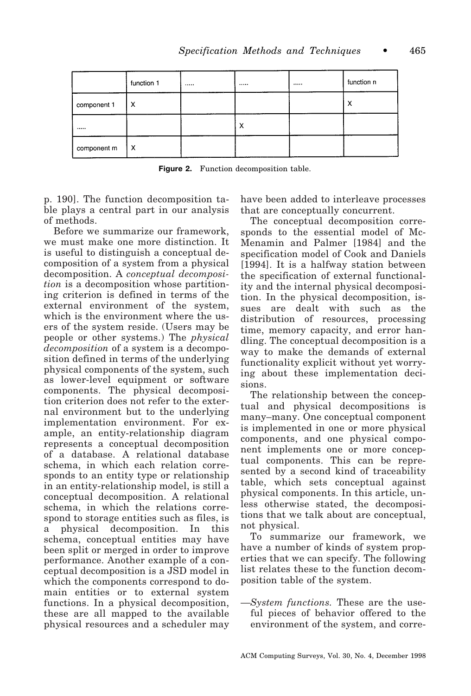|             | function 1 | <br> | <br>function n |
|-------------|------------|------|----------------|
| component 1 | X          |      | х              |
|             |            |      |                |
| component m | X          |      |                |

**Figure 2.** Function decomposition table.

p. 190]. The function decomposition table plays a central part in our analysis of methods.

Before we summarize our framework, we must make one more distinction. It is useful to distinguish a conceptual decomposition of a system from a physical decomposition. A *conceptual decomposition* is a decomposition whose partitioning criterion is defined in terms of the external environment of the system, which is the environment where the users of the system reside. (Users may be people or other systems.) The *physical decomposition* of a system is a decomposition defined in terms of the underlying physical components of the system, such as lower-level equipment or software components. The physical decomposition criterion does not refer to the external environment but to the underlying implementation environment. For example, an entity-relationship diagram represents a conceptual decomposition of a database. A relational database schema, in which each relation corresponds to an entity type or relationship in an entity-relationship model, is still a conceptual decomposition. A relational schema, in which the relations correspond to storage entities such as files, is a physical decomposition. In this schema, conceptual entities may have been split or merged in order to improve performance. Another example of a conceptual decomposition is a JSD model in which the components correspond to domain entities or to external system functions. In a physical decomposition, these are all mapped to the available physical resources and a scheduler may

have been added to interleave processes that are conceptually concurrent.

The conceptual decomposition corresponds to the essential model of Mc-Menamin and Palmer [1984] and the specification model of Cook and Daniels [1994]. It is a halfway station between the specification of external functionality and the internal physical decomposition. In the physical decomposition, issues are dealt with such as the distribution of resources, processing time, memory capacity, and error handling. The conceptual decomposition is a way to make the demands of external functionality explicit without yet worrying about these implementation decisions.

The relationship between the conceptual and physical decompositions is many–many. One conceptual component is implemented in one or more physical components, and one physical component implements one or more conceptual components. This can be represented by a second kind of traceability table, which sets conceptual against physical components. In this article, unless otherwise stated, the decompositions that we talk about are conceptual, not physical.

To summarize our framework, we have a number of kinds of system properties that we can specify. The following list relates these to the function decomposition table of the system.

—*System functions.* These are the useful pieces of behavior offered to the environment of the system, and corre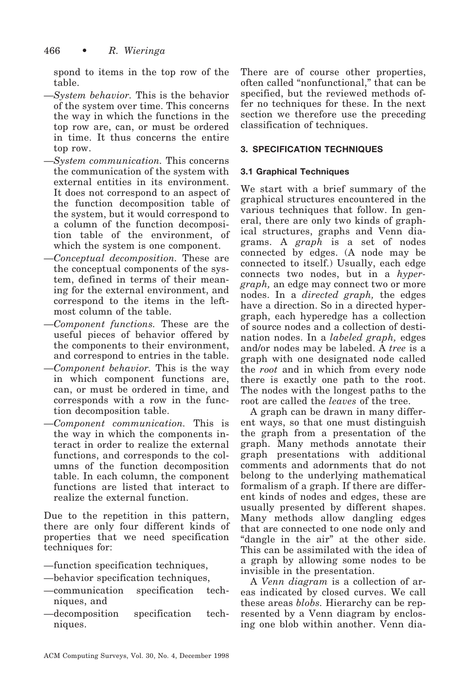spond to items in the top row of the table.

- —*System behavior.* This is the behavior of the system over time. This concerns the way in which the functions in the top row are, can, or must be ordered in time. It thus concerns the entire top row.
- —*System communication.* This concerns the communication of the system with external entities in its environment. It does not correspond to an aspect of the function decomposition table of the system, but it would correspond to a column of the function decomposition table of the environment, of which the system is one component.
- —*Conceptual decomposition.* These are the conceptual components of the system, defined in terms of their meaning for the external environment, and correspond to the items in the leftmost column of the table.
- —*Component functions.* These are the useful pieces of behavior offered by the components to their environment, and correspond to entries in the table.
- —*Component behavior.* This is the way in which component functions are, can, or must be ordered in time, and corresponds with a row in the function decomposition table.
- —*Component communication.* This is the way in which the components interact in order to realize the external functions, and corresponds to the columns of the function decomposition table. In each column, the component functions are listed that interact to realize the external function.

Due to the repetition in this pattern, there are only four different kinds of properties that we need specification techniques for:

- —function specification techniques,
- —behavior specification techniques,
- —communication specification techniques, and
- —decomposition specification techniques.

There are of course other properties, often called "nonfunctional," that can be specified, but the reviewed methods offer no techniques for these. In the next section we therefore use the preceding classification of techniques.

### **3. SPECIFICATION TECHNIQUES**

## **3.1 Graphical Techniques**

We start with a brief summary of the graphical structures encountered in the various techniques that follow. In general, there are only two kinds of graphical structures, graphs and Venn diagrams. A *graph* is a set of nodes connected by edges. (A node may be connected to itself.) Usually, each edge connects two nodes, but in a *hypergraph,* an edge may connect two or more nodes. In a *directed graph,* the edges have a direction. So in a directed hypergraph, each hyperedge has a collection of source nodes and a collection of destination nodes. In a *labeled graph,* edges and/or nodes may be labeled. A *tree* is a graph with one designated node called the *root* and in which from every node there is exactly one path to the root. The nodes with the longest paths to the root are called the *leaves* of the tree.

A graph can be drawn in many different ways, so that one must distinguish the graph from a presentation of the graph. Many methods annotate their graph presentations with additional comments and adornments that do not belong to the underlying mathematical formalism of a graph. If there are different kinds of nodes and edges, these are usually presented by different shapes. Many methods allow dangling edges that are connected to one node only and "dangle in the air" at the other side. This can be assimilated with the idea of a graph by allowing some nodes to be invisible in the presentation.

A *Venn diagram* is a collection of areas indicated by closed curves. We call these areas *blobs.* Hierarchy can be represented by a Venn diagram by enclosing one blob within another. Venn dia-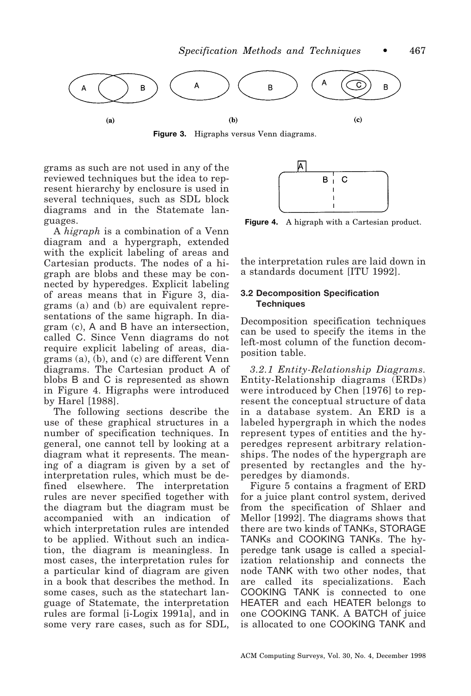

**Figure 3.** Higraphs versus Venn diagrams.

grams as such are not used in any of the reviewed techniques but the idea to represent hierarchy by enclosure is used in several techniques, such as SDL block diagrams and in the Statemate languages.

A *higraph* is a combination of a Venn diagram and a hypergraph, extended with the explicit labeling of areas and Cartesian products. The nodes of a higraph are blobs and these may be connected by hyperedges. Explicit labeling of areas means that in Figure 3, diagrams (a) and (b) are equivalent representations of the same higraph. In diagram (c), A and B have an intersection, called C. Since Venn diagrams do not require explicit labeling of areas, diagrams (a), (b), and (c) are different Venn diagrams. The Cartesian product A of blobs B and C is represented as shown in Figure 4. Higraphs were introduced by Harel [1988].

The following sections describe the use of these graphical structures in a number of specification techniques. In general, one cannot tell by looking at a diagram what it represents. The meaning of a diagram is given by a set of interpretation rules, which must be defined elsewhere. The interpretation rules are never specified together with the diagram but the diagram must be accompanied with an indication of which interpretation rules are intended to be applied. Without such an indication, the diagram is meaningless. In most cases, the interpretation rules for a particular kind of diagram are given in a book that describes the method. In some cases, such as the statechart language of Statemate, the interpretation rules are formal [i-Logix 1991a], and in some very rare cases, such as for SDL,



**Figure 4.** A higraph with a Cartesian product.

the interpretation rules are laid down in a standards document [ITU 1992].

### **3.2 Decomposition Specification Techniques**

Decomposition specification techniques can be used to specify the items in the left-most column of the function decomposition table.

*3.2.1 Entity-Relationship Diagrams.* Entity-Relationship diagrams (ERDs) were introduced by Chen [1976] to represent the conceptual structure of data in a database system. An ERD is a labeled hypergraph in which the nodes represent types of entities and the hyperedges represent arbitrary relationships. The nodes of the hypergraph are presented by rectangles and the hyperedges by diamonds.

Figure 5 contains a fragment of ERD for a juice plant control system, derived from the specification of Shlaer and Mellor [1992]. The diagrams shows that there are two kinds of TANKs, STORAGE TANKs and COOKING TANKs. The hyperedge tank usage is called a specialization relationship and connects the node TANK with two other nodes, that are called its specializations. Each COOKING TANK is connected to one HEATER and each HEATER belongs to one COOKING TANK. A BATCH of juice is allocated to one COOKING TANK and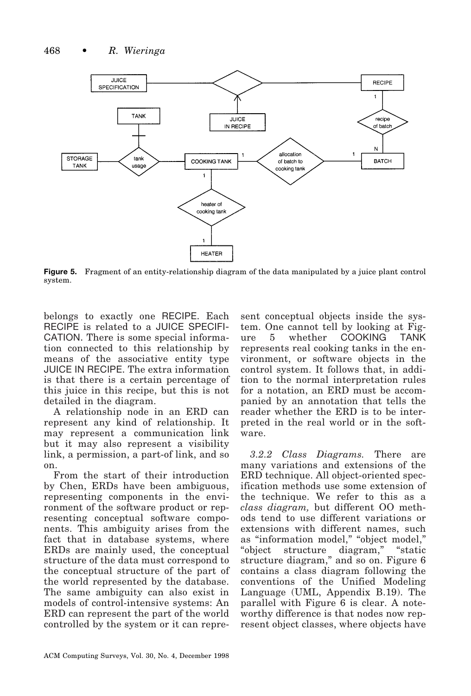

**Figure 5.** Fragment of an entity-relationship diagram of the data manipulated by a juice plant control system.

belongs to exactly one RECIPE. Each RECIPE is related to a JUICE SPECIFI-CATION. There is some special information connected to this relationship by means of the associative entity type JUICE IN RECIPE. The extra information is that there is a certain percentage of this juice in this recipe, but this is not detailed in the diagram.

A relationship node in an ERD can represent any kind of relationship. It may represent a communication link but it may also represent a visibility link, a permission, a part-of link, and so on.

From the start of their introduction by Chen, ERDs have been ambiguous, representing components in the environment of the software product or representing conceptual software components. This ambiguity arises from the fact that in database systems, where ERDs are mainly used, the conceptual structure of the data must correspond to the conceptual structure of the part of the world represented by the database. The same ambiguity can also exist in models of control-intensive systems: An ERD can represent the part of the world controlled by the system or it can represent conceptual objects inside the system. One cannot tell by looking at Figure 5 whether COOKING TANK represents real cooking tanks in the environment, or software objects in the control system. It follows that, in addition to the normal interpretation rules for a notation, an ERD must be accompanied by an annotation that tells the reader whether the ERD is to be interpreted in the real world or in the software.

*3.2.2 Class Diagrams.* There are many variations and extensions of the ERD technique. All object-oriented specification methods use some extension of the technique. We refer to this as a *class diagram,* but different OO methods tend to use different variations or extensions with different names, such as "information model," "object model," "object structure diagram," "static structure diagram," and so on. Figure 6 contains a class diagram following the conventions of the Unified Modeling Language (UML, Appendix B.19). The parallel with Figure 6 is clear. A noteworthy difference is that nodes now represent object classes, where objects have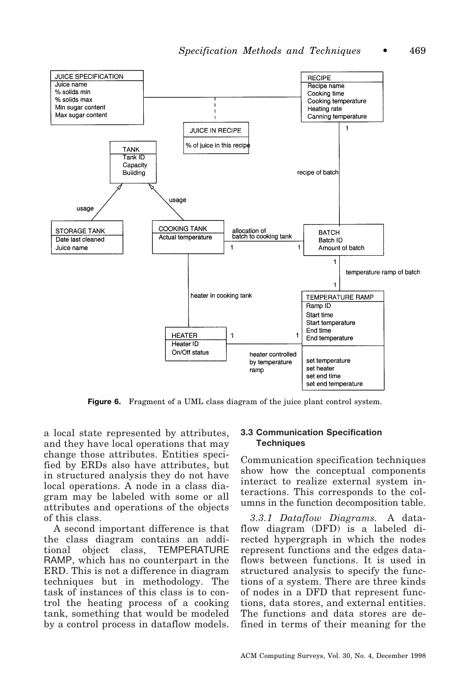

**Figure 6.** Fragment of a UML class diagram of the juice plant control system.

a local state represented by attributes, and they have local operations that may change those attributes. Entities specified by ERDs also have attributes, but in structured analysis they do not have local operations. A node in a class diagram may be labeled with some or all attributes and operations of the objects of this class.

A second important difference is that the class diagram contains an additional object class, TEMPERATURE RAMP, which has no counterpart in the ERD. This is not a difference in diagram techniques but in methodology. The task of instances of this class is to control the heating process of a cooking tank, something that would be modeled by a control process in dataflow models.

### **3.3 Communication Specification Techniques**

Communication specification techniques show how the conceptual components interact to realize external system interactions. This corresponds to the columns in the function decomposition table.

*3.3.1 Dataflow Diagrams.* A dataflow diagram (DFD) is a labeled directed hypergraph in which the nodes represent functions and the edges dataflows between functions. It is used in structured analysis to specify the functions of a system. There are three kinds of nodes in a DFD that represent functions, data stores, and external entities. The functions and data stores are defined in terms of their meaning for the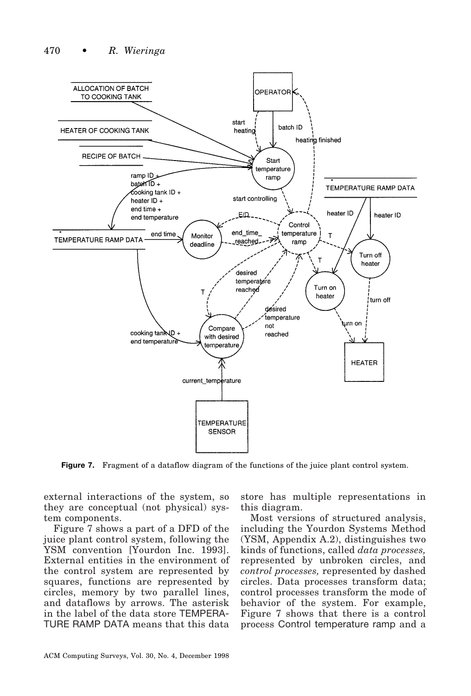

Figure 7. Fragment of a dataflow diagram of the functions of the juice plant control system.

external interactions of the system, so they are conceptual (not physical) system components.

Figure 7 shows a part of a DFD of the juice plant control system, following the YSM convention [Yourdon Inc. 1993]. External entities in the environment of the control system are represented by squares, functions are represented by circles, memory by two parallel lines, and dataflows by arrows. The asterisk in the label of the data store TEMPERA-TURE RAMP DATA means that this data store has multiple representations in this diagram.

Most versions of structured analysis, including the Yourdon Systems Method (YSM, Appendix A.2), distinguishes two kinds of functions, called *data processes,* represented by unbroken circles, and *control processes,* represented by dashed circles. Data processes transform data; control processes transform the mode of behavior of the system. For example, Figure 7 shows that there is a control process Control temperature ramp and a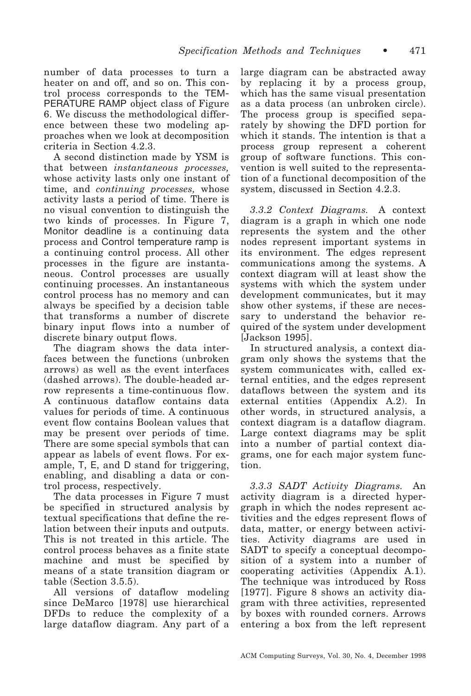number of data processes to turn a heater on and off, and so on. This control process corresponds to the TEM-PERATURE RAMP object class of Figure 6. We discuss the methodological difference between these two modeling approaches when we look at decomposition criteria in Section 4.2.3.

A second distinction made by YSM is that between *instantaneous processes,* whose activity lasts only one instant of time, and *continuing processes,* whose activity lasts a period of time. There is no visual convention to distinguish the two kinds of processes. In Figure 7, Monitor deadline is a continuing data process and Control temperature ramp is a continuing control process. All other processes in the figure are instantaneous. Control processes are usually continuing processes. An instantaneous control process has no memory and can always be specified by a decision table that transforms a number of discrete binary input flows into a number of discrete binary output flows.

The diagram shows the data interfaces between the functions (unbroken arrows) as well as the event interfaces (dashed arrows). The double-headed arrow represents a time-continuous flow. A continuous dataflow contains data values for periods of time. A continuous event flow contains Boolean values that may be present over periods of time. There are some special symbols that can appear as labels of event flows. For example, T, E, and D stand for triggering, enabling, and disabling a data or control process, respectively.

The data processes in Figure 7 must be specified in structured analysis by textual specifications that define the relation between their inputs and outputs. This is not treated in this article. The control process behaves as a finite state machine and must be specified by means of a state transition diagram or table (Section 3.5.5).

All versions of dataflow modeling since DeMarco [1978] use hierarchical DFDs to reduce the complexity of a large dataflow diagram. Any part of a large diagram can be abstracted away by replacing it by a process group, which has the same visual presentation as a data process (an unbroken circle). The process group is specified separately by showing the DFD portion for which it stands. The intention is that a process group represent a coherent group of software functions. This convention is well suited to the representation of a functional decomposition of the system, discussed in Section 4.2.3.

*3.3.2 Context Diagrams.* A context diagram is a graph in which one node represents the system and the other nodes represent important systems in its environment. The edges represent communications among the systems. A context diagram will at least show the systems with which the system under development communicates, but it may show other systems, if these are necessary to understand the behavior required of the system under development [Jackson 1995].

In structured analysis, a context diagram only shows the systems that the system communicates with, called external entities, and the edges represent dataflows between the system and its external entities (Appendix A.2). In other words, in structured analysis, a context diagram is a dataflow diagram. Large context diagrams may be split into a number of partial context diagrams, one for each major system function.

*3.3.3 SADT Activity Diagrams.* An activity diagram is a directed hypergraph in which the nodes represent activities and the edges represent flows of data, matter, or energy between activities. Activity diagrams are used in SADT to specify a conceptual decomposition of a system into a number of cooperating activities (Appendix A.1). The technique was introduced by Ross [1977]. Figure 8 shows an activity diagram with three activities, represented by boxes with rounded corners. Arrows entering a box from the left represent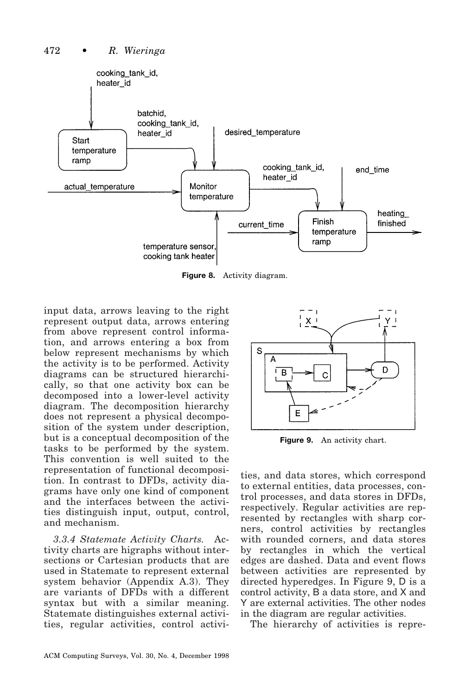

**Figure 8.** Activity diagram.

input data, arrows leaving to the right represent output data, arrows entering from above represent control information, and arrows entering a box from below represent mechanisms by which the activity is to be performed. Activity diagrams can be structured hierarchically, so that one activity box can be decomposed into a lower-level activity diagram. The decomposition hierarchy does not represent a physical decomposition of the system under description, but is a conceptual decomposition of the tasks to be performed by the system. This convention is well suited to the representation of functional decomposition. In contrast to DFDs, activity diagrams have only one kind of component and the interfaces between the activities distinguish input, output, control, and mechanism.

*3.3.4 Statemate Activity Charts.* Activity charts are higraphs without intersections or Cartesian products that are used in Statemate to represent external system behavior (Appendix A.3). They are variants of DFDs with a different syntax but with a similar meaning. Statemate distinguishes external activities, regular activities, control activi-



**Figure 9.** An activity chart.

ties, and data stores, which correspond to external entities, data processes, control processes, and data stores in DFDs, respectively. Regular activities are represented by rectangles with sharp corners, control activities by rectangles with rounded corners, and data stores by rectangles in which the vertical edges are dashed. Data and event flows between activities are represented by directed hyperedges. In Figure 9, D is a control activity, B a data store, and X and Y are external activities. The other nodes in the diagram are regular activities.

The hierarchy of activities is repre-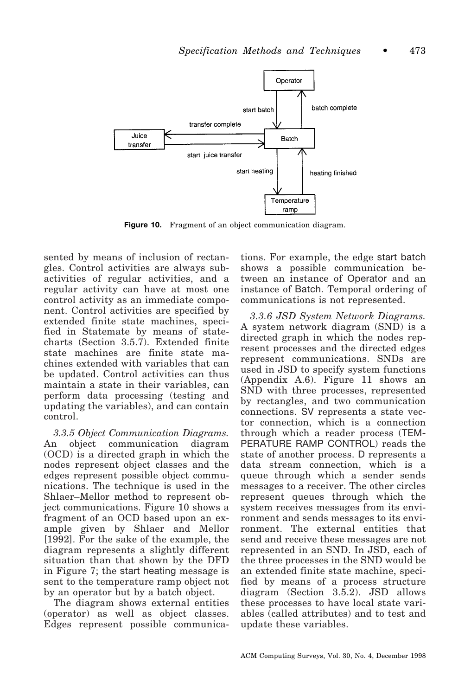

**Figure 10.** Fragment of an object communication diagram.

sented by means of inclusion of rectangles. Control activities are always subactivities of regular activities, and a regular activity can have at most one control activity as an immediate component. Control activities are specified by extended finite state machines, specified in Statemate by means of statecharts (Section 3.5.7). Extended finite state machines are finite state machines extended with variables that can be updated. Control activities can thus maintain a state in their variables, can perform data processing (testing and updating the variables), and can contain control.

*3.3.5 Object Communication Diagrams.* An object communication diagram (OCD) is a directed graph in which the nodes represent object classes and the edges represent possible object communications. The technique is used in the Shlaer–Mellor method to represent object communications. Figure 10 shows a fragment of an OCD based upon an example given by Shlaer and Mellor [1992]. For the sake of the example, the diagram represents a slightly different situation than that shown by the DFD in Figure 7; the start heating message is sent to the temperature ramp object not by an operator but by a batch object.

The diagram shows external entities (operator) as well as object classes. Edges represent possible communications. For example, the edge start batch shows a possible communication between an instance of Operator and an instance of Batch. Temporal ordering of communications is not represented.

*3.3.6 JSD System Network Diagrams.* A system network diagram (SND) is a directed graph in which the nodes represent processes and the directed edges represent communications. SNDs are used in JSD to specify system functions (Appendix A.6). Figure 11 shows an SND with three processes, represented by rectangles, and two communication connections. SV represents a state vector connection, which is a connection through which a reader process (TEM-PERATURE RAMP CONTROL) reads the state of another process. D represents a data stream connection, which is a queue through which a sender sends messages to a receiver. The other circles represent queues through which the system receives messages from its environment and sends messages to its environment. The external entities that send and receive these messages are not represented in an SND. In JSD, each of the three processes in the SND would be an extended finite state machine, specified by means of a process structure diagram (Section 3.5.2). JSD allows these processes to have local state variables (called attributes) and to test and update these variables.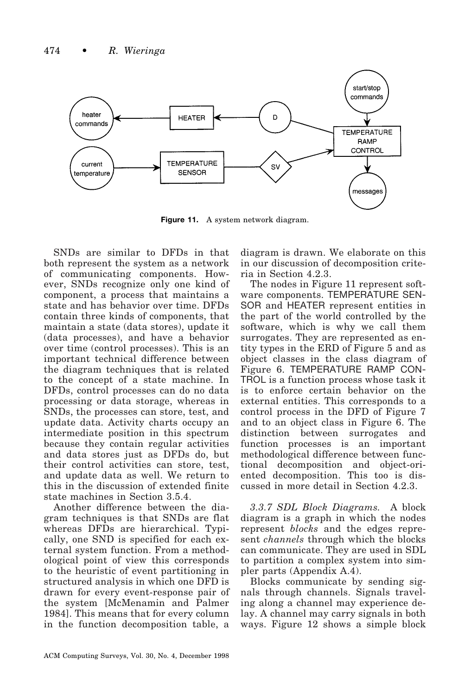

**Figure 11.** A system network diagram.

SNDs are similar to DFDs in that both represent the system as a network of communicating components. However, SNDs recognize only one kind of component, a process that maintains a state and has behavior over time. DFDs contain three kinds of components, that maintain a state (data stores), update it (data processes), and have a behavior over time (control processes). This is an important technical difference between the diagram techniques that is related to the concept of a state machine. In DFDs, control processes can do no data processing or data storage, whereas in SNDs, the processes can store, test, and update data. Activity charts occupy an intermediate position in this spectrum because they contain regular activities and data stores just as DFDs do, but their control activities can store, test, and update data as well. We return to this in the discussion of extended finite state machines in Section 3.5.4.

Another difference between the diagram techniques is that SNDs are flat whereas DFDs are hierarchical. Typically, one SND is specified for each external system function. From a methodological point of view this corresponds to the heuristic of event partitioning in structured analysis in which one DFD is drawn for every event-response pair of the system [McMenamin and Palmer 1984]. This means that for every column in the function decomposition table, a

diagram is drawn. We elaborate on this in our discussion of decomposition criteria in Section 4.2.3.

The nodes in Figure 11 represent software components. TEMPERATURE SEN-SOR and HEATER represent entities in the part of the world controlled by the software, which is why we call them surrogates. They are represented as entity types in the ERD of Figure 5 and as object classes in the class diagram of Figure 6. TEMPERATURE RAMP CON-TROL is a function process whose task it is to enforce certain behavior on the external entities. This corresponds to a control process in the DFD of Figure 7 and to an object class in Figure 6. The distinction between surrogates and function processes is an important methodological difference between functional decomposition and object-oriented decomposition. This too is discussed in more detail in Section 4.2.3.

*3.3.7 SDL Block Diagrams.* A block diagram is a graph in which the nodes represent *blocks* and the edges represent *channels* through which the blocks can communicate. They are used in SDL to partition a complex system into simpler parts (Appendix A.4).

Blocks communicate by sending signals through channels. Signals traveling along a channel may experience delay. A channel may carry signals in both ways. Figure 12 shows a simple block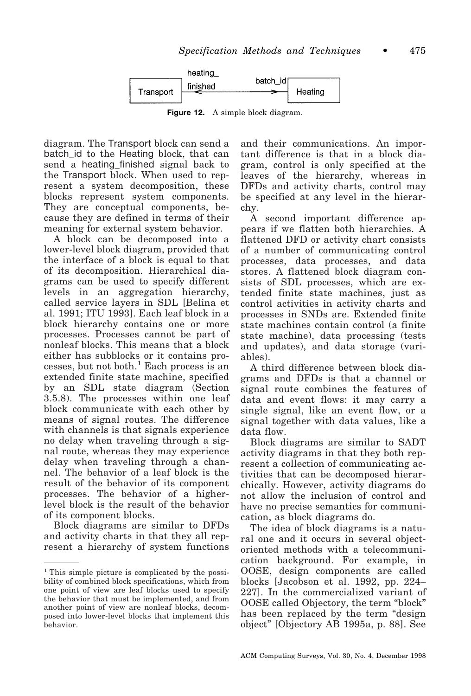

**Figure 12.** A simple block diagram.

diagram. The Transport block can send a batch id to the Heating block, that can send a heating\_finished signal back to the Transport block. When used to represent a system decomposition, these blocks represent system components. They are conceptual components, because they are defined in terms of their meaning for external system behavior.

A block can be decomposed into a lower-level block diagram, provided that the interface of a block is equal to that of its decomposition. Hierarchical diagrams can be used to specify different levels in an aggregation hierarchy, called service layers in SDL [Belina et al. 1991; ITU 1993]. Each leaf block in a block hierarchy contains one or more processes. Processes cannot be part of nonleaf blocks. This means that a block either has subblocks or it contains processes, but not both. $<sup>1</sup>$  Each process is an</sup> extended finite state machine, specified by an SDL state diagram (Section 3.5.8). The processes within one leaf block communicate with each other by means of signal routes. The difference with channels is that signals experience no delay when traveling through a signal route, whereas they may experience delay when traveling through a channel. The behavior of a leaf block is the result of the behavior of its component processes. The behavior of a higherlevel block is the result of the behavior of its component blocks.

Block diagrams are similar to DFDs and activity charts in that they all represent a hierarchy of system functions and their communications. An important difference is that in a block diagram, control is only specified at the leaves of the hierarchy, whereas in DFDs and activity charts, control may be specified at any level in the hierarchy.

A second important difference appears if we flatten both hierarchies. A flattened DFD or activity chart consists of a number of communicating control processes, data processes, and data stores. A flattened block diagram consists of SDL processes, which are extended finite state machines, just as control activities in activity charts and processes in SNDs are. Extended finite state machines contain control (a finite state machine), data processing (tests and updates), and data storage (variables).

A third difference between block diagrams and DFDs is that a channel or signal route combines the features of data and event flows: it may carry a single signal, like an event flow, or a signal together with data values, like a data flow.

Block diagrams are similar to SADT activity diagrams in that they both represent a collection of communicating activities that can be decomposed hierarchically. However, activity diagrams do not allow the inclusion of control and have no precise semantics for communication, as block diagrams do.

The idea of block diagrams is a natural one and it occurs in several objectoriented methods with a telecommunication background. For example, in OOSE, design components are called blocks [Jacobson et al. 1992, pp. 224– 227]. In the commercialized variant of OOSE called Objectory, the term "block" has been replaced by the term "design object" [Objectory AB 1995a, p. 88]. See

<sup>&</sup>lt;sup>1</sup> This simple picture is complicated by the possibility of combined block specifications, which from one point of view are leaf blocks used to specify the behavior that must be implemented, and from another point of view are nonleaf blocks, decomposed into lower-level blocks that implement this behavior.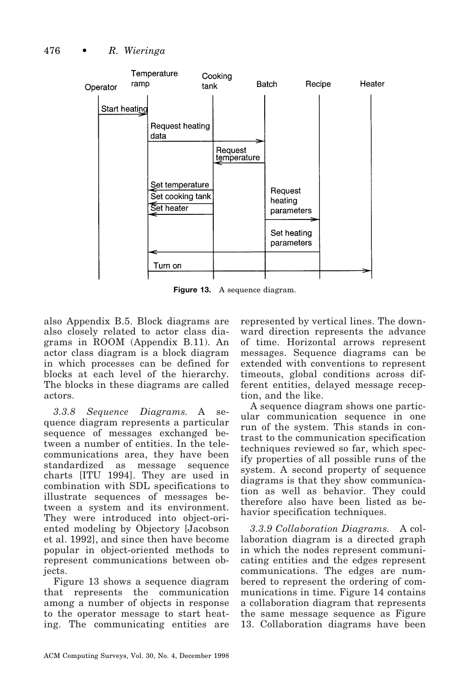

**Figure 13.** A sequence diagram.

also Appendix B.5. Block diagrams are also closely related to actor class diagrams in ROOM (Appendix B.11). An actor class diagram is a block diagram in which processes can be defined for blocks at each level of the hierarchy. The blocks in these diagrams are called actors.

*3.3.8 Sequence Diagrams.* A sequence diagram represents a particular sequence of messages exchanged between a number of entities. In the telecommunications area, they have been standardized as message sequence charts [ITU 1994]. They are used in combination with SDL specifications to illustrate sequences of messages between a system and its environment. They were introduced into object-oriented modeling by Objectory [Jacobson et al. 1992], and since then have become popular in object-oriented methods to represent communications between objects.

Figure 13 shows a sequence diagram that represents the communication among a number of objects in response to the operator message to start heating. The communicating entities are represented by vertical lines. The downward direction represents the advance of time. Horizontal arrows represent messages. Sequence diagrams can be extended with conventions to represent timeouts, global conditions across different entities, delayed message reception, and the like.

A sequence diagram shows one particular communication sequence in one run of the system. This stands in contrast to the communication specification techniques reviewed so far, which specify properties of all possible runs of the system. A second property of sequence diagrams is that they show communication as well as behavior. They could therefore also have been listed as behavior specification techniques.

*3.3.9 Collaboration Diagrams.* A collaboration diagram is a directed graph in which the nodes represent communicating entities and the edges represent communications. The edges are numbered to represent the ordering of communications in time. Figure 14 contains a collaboration diagram that represents the same message sequence as Figure 13. Collaboration diagrams have been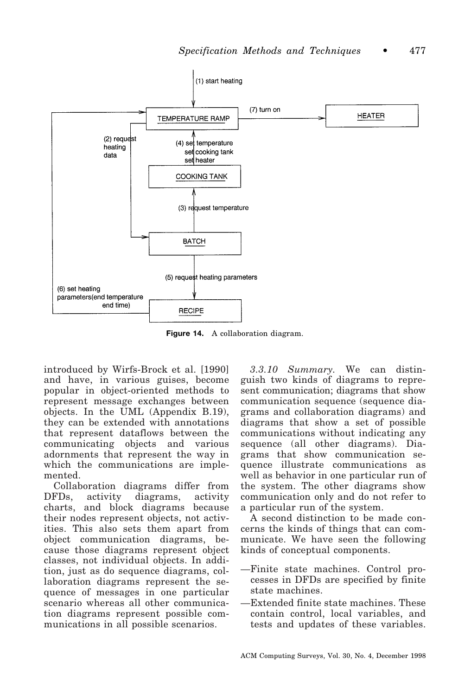

**Figure 14.** A collaboration diagram.

introduced by Wirfs-Brock et al. [1990] and have, in various guises, become popular in object-oriented methods to represent message exchanges between objects. In the UML (Appendix B.19), they can be extended with annotations that represent dataflows between the communicating objects and various adornments that represent the way in which the communications are implemented.

Collaboration diagrams differ from DFDs, activity diagrams, activity charts, and block diagrams because their nodes represent objects, not activities. This also sets them apart from object communication diagrams, because those diagrams represent object classes, not individual objects. In addition, just as do sequence diagrams, collaboration diagrams represent the sequence of messages in one particular scenario whereas all other communication diagrams represent possible communications in all possible scenarios.

*3.3.10 Summary.* We can distinguish two kinds of diagrams to represent communication; diagrams that show communication sequence (sequence diagrams and collaboration diagrams) and diagrams that show a set of possible communications without indicating any sequence (all other diagrams). Diagrams that show communication sequence illustrate communications as well as behavior in one particular run of the system. The other diagrams show communication only and do not refer to a particular run of the system.

A second distinction to be made concerns the kinds of things that can communicate. We have seen the following kinds of conceptual components.

- —Finite state machines. Control processes in DFDs are specified by finite state machines.
- —Extended finite state machines. These contain control, local variables, and tests and updates of these variables.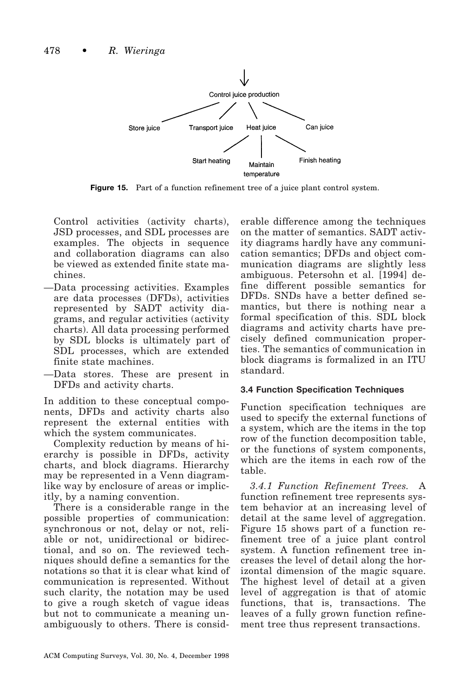

**Figure 15.** Part of a function refinement tree of a juice plant control system.

Control activities (activity charts), JSD processes, and SDL processes are examples. The objects in sequence and collaboration diagrams can also be viewed as extended finite state machines.

- —Data processing activities. Examples are data processes (DFDs), activities represented by SADT activity diagrams, and regular activities (activity charts). All data processing performed by SDL blocks is ultimately part of SDL processes, which are extended finite state machines.
- —Data stores. These are present in DFDs and activity charts.

In addition to these conceptual components, DFDs and activity charts also represent the external entities with which the system communicates.

Complexity reduction by means of hierarchy is possible in DFDs, activity charts, and block diagrams. Hierarchy may be represented in a Venn diagramlike way by enclosure of areas or implicitly, by a naming convention.

There is a considerable range in the possible properties of communication: synchronous or not, delay or not, reliable or not, unidirectional or bidirectional, and so on. The reviewed techniques should define a semantics for the notations so that it is clear what kind of communication is represented. Without such clarity, the notation may be used to give a rough sketch of vague ideas but not to communicate a meaning unambiguously to others. There is considerable difference among the techniques on the matter of semantics. SADT activity diagrams hardly have any communication semantics; DFDs and object communication diagrams are slightly less ambiguous. Petersohn et al. [1994] define different possible semantics for DFDs. SNDs have a better defined semantics, but there is nothing near a formal specification of this. SDL block diagrams and activity charts have precisely defined communication properties. The semantics of communication in block diagrams is formalized in an ITU standard.

### **3.4 Function Specification Techniques**

Function specification techniques are used to specify the external functions of a system, which are the items in the top row of the function decomposition table, or the functions of system components, which are the items in each row of the table.

*3.4.1 Function Refinement Trees.* A function refinement tree represents system behavior at an increasing level of detail at the same level of aggregation. Figure 15 shows part of a function refinement tree of a juice plant control system. A function refinement tree increases the level of detail along the horizontal dimension of the magic square. The highest level of detail at a given level of aggregation is that of atomic functions, that is, transactions. The leaves of a fully grown function refinement tree thus represent transactions.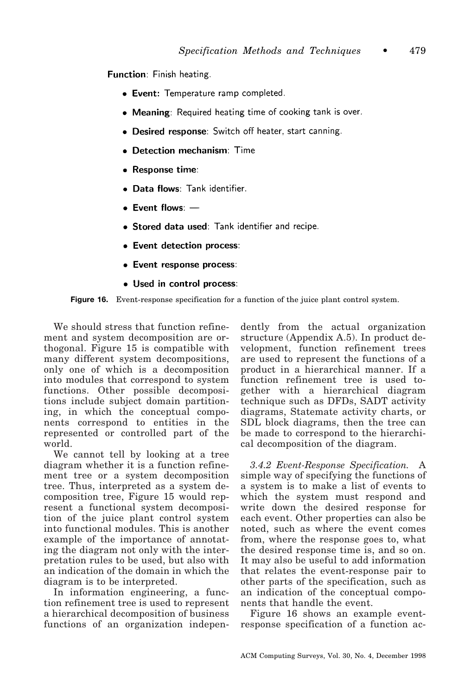**Function:** Finish heating.

- Event: Temperature ramp completed.
- Meaning: Required heating time of cooking tank is over.
- Desired response: Switch off heater, start canning.
- Detection mechanism: Time
- Response time:
- · Data flows: Tank identifier.
- $\bullet$  Event flows:  $-$
- Stored data used: Tank identifier and recipe.
- Event detection process:
- Event response process:
- Used in control process:

**Figure 16.** Event-response specification for a function of the juice plant control system.

We should stress that function refinement and system decomposition are orthogonal. Figure 15 is compatible with many different system decompositions, only one of which is a decomposition into modules that correspond to system functions. Other possible decompositions include subject domain partitioning, in which the conceptual components correspond to entities in the represented or controlled part of the world.

We cannot tell by looking at a tree diagram whether it is a function refinement tree or a system decomposition tree. Thus, interpreted as a system decomposition tree, Figure 15 would represent a functional system decomposition of the juice plant control system into functional modules. This is another example of the importance of annotating the diagram not only with the interpretation rules to be used, but also with an indication of the domain in which the diagram is to be interpreted.

In information engineering, a function refinement tree is used to represent a hierarchical decomposition of business functions of an organization independently from the actual organization structure (Appendix A.5). In product development, function refinement trees are used to represent the functions of a product in a hierarchical manner. If a function refinement tree is used together with a hierarchical diagram technique such as DFDs, SADT activity diagrams, Statemate activity charts, or SDL block diagrams, then the tree can be made to correspond to the hierarchical decomposition of the diagram.

*3.4.2 Event-Response Specification.* A simple way of specifying the functions of a system is to make a list of events to which the system must respond and write down the desired response for each event. Other properties can also be noted, such as where the event comes from, where the response goes to, what the desired response time is, and so on. It may also be useful to add information that relates the event-response pair to other parts of the specification, such as an indication of the conceptual components that handle the event.

Figure 16 shows an example eventresponse specification of a function ac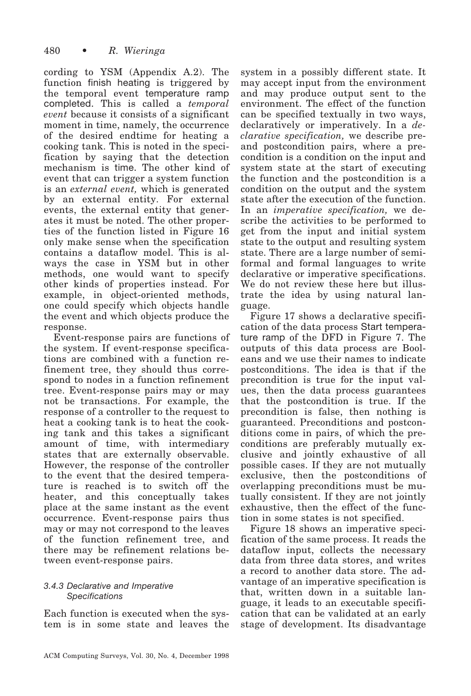cording to YSM (Appendix A.2). The function finish heating is triggered by the temporal event temperature ramp completed. This is called a *temporal event* because it consists of a significant moment in time, namely, the occurrence of the desired endtime for heating a cooking tank. This is noted in the specification by saying that the detection mechanism is time. The other kind of event that can trigger a system function is an *external event,* which is generated by an external entity. For external events, the external entity that generates it must be noted. The other properties of the function listed in Figure 16 only make sense when the specification contains a dataflow model. This is always the case in YSM but in other methods, one would want to specify other kinds of properties instead. For example, in object-oriented methods, one could specify which objects handle the event and which objects produce the response.

Event-response pairs are functions of the system. If event-response specifications are combined with a function refinement tree, they should thus correspond to nodes in a function refinement tree. Event-response pairs may or may not be transactions. For example, the response of a controller to the request to heat a cooking tank is to heat the cooking tank and this takes a significant amount of time, with intermediary states that are externally observable. However, the response of the controller to the event that the desired temperature is reached is to switch off the heater, and this conceptually takes place at the same instant as the event occurrence. Event-response pairs thus may or may not correspond to the leaves of the function refinement tree, and there may be refinement relations between event-response pairs.

## *3.4.3 Declarative and Imperative Specifications*

Each function is executed when the system is in some state and leaves the system in a possibly different state. It may accept input from the environment and may produce output sent to the environment. The effect of the function can be specified textually in two ways, declaratively or imperatively. In a *declarative specification,* we describe preand postcondition pairs, where a precondition is a condition on the input and system state at the start of executing the function and the postcondition is a condition on the output and the system state after the execution of the function. In an *imperative specification,* we describe the activities to be performed to get from the input and initial system state to the output and resulting system state. There are a large number of semiformal and formal languages to write declarative or imperative specifications. We do not review these here but illustrate the idea by using natural language.

Figure 17 shows a declarative specification of the data process Start temperature ramp of the DFD in Figure 7. The outputs of this data process are Booleans and we use their names to indicate postconditions. The idea is that if the precondition is true for the input values, then the data process guarantees that the postcondition is true. If the precondition is false, then nothing is guaranteed. Preconditions and postconditions come in pairs, of which the preconditions are preferably mutually exclusive and jointly exhaustive of all possible cases. If they are not mutually exclusive, then the postconditions of overlapping preconditions must be mutually consistent. If they are not jointly exhaustive, then the effect of the function in some states is not specified.

Figure 18 shows an imperative specification of the same process. It reads the dataflow input, collects the necessary data from three data stores, and writes a record to another data store. The advantage of an imperative specification is that, written down in a suitable language, it leads to an executable specification that can be validated at an early stage of development. Its disadvantage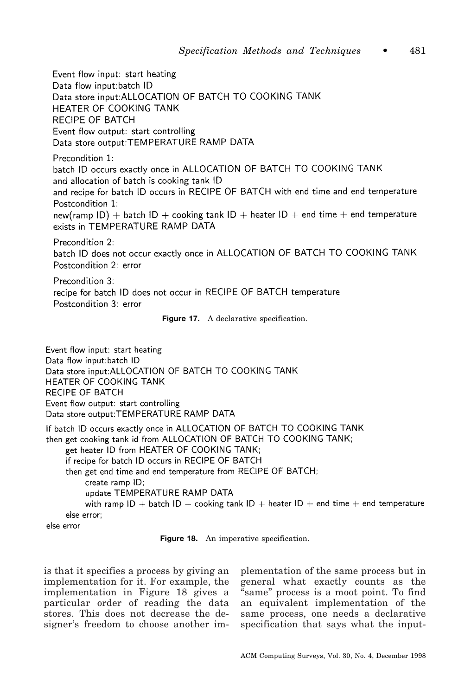Event flow input: start heating Data flow input:batch ID Data store input:ALLOCATION OF BATCH TO COOKING TANK HEATER OF COOKING TANK RECIPE OF BATCH Event flow output: start controlling Data store output: TEMPERATURE RAMP DATA Precondition 1: batch ID occurs exactly once in ALLOCATION OF BATCH TO COOKING TANK and allocation of batch is cooking tank ID and recipe for batch ID occurs in RECIPE OF BATCH with end time and end temperature Postcondition 1: new(ramp ID) + batch ID + cooking tank ID + heater ID + end time + end temperature exists in TEMPERATURE RAMP DATA Precondition 2: batch ID does not occur exactly once in ALLOCATION OF BATCH TO COOKING TANK Postcondition 2: error Precondition 3: recipe for batch ID does not occur in RECIPE OF BATCH temperature Postcondition 3: error

Figure 17. A declarative specification.

Event flow input: start heating Data flow input:batch ID Data store input: ALLOCATION OF BATCH TO COOKING TANK HEATER OF COOKING TANK RECIPE OF BATCH Event flow output: start controlling Data store output:TEMPERATURE RAMP DATA

```
If batch ID occurs exactly once in ALLOCATION OF BATCH TO COOKING TANK
then get cooking tank id from ALLOCATION OF BATCH TO COOKING TANK;
    get heater ID from HEATER OF COOKING TANK:
    if recipe for batch ID occurs in RECIPE OF BATCH
    then get end time and end temperature from RECIPE OF BATCH;
        create ramp ID;
         update TEMPERATURE RAMP DATA
        with ramp ID + batch ID + cooking tank ID + heater ID + end time + end temperature
    else error;
```
else error

**Figure 18.** An imperative specification.

is that it specifies a process by giving an implementation for it. For example, the implementation in Figure 18 gives a particular order of reading the data stores. This does not decrease the designer's freedom to choose another implementation of the same process but in general what exactly counts as the "same" process is a moot point. To find an equivalent implementation of the same process, one needs a declarative specification that says what the input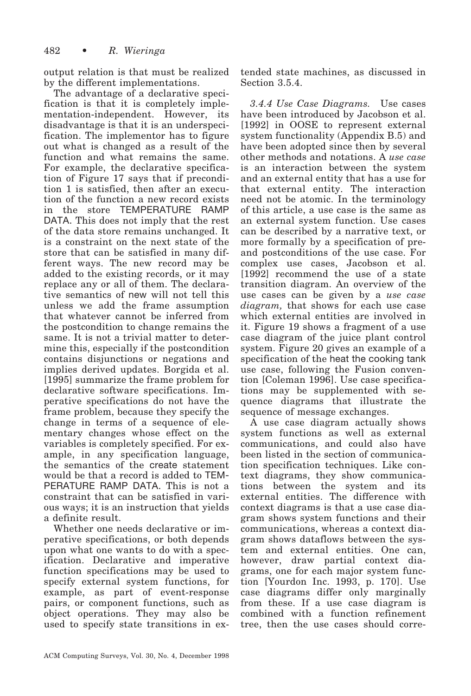output relation is that must be realized by the different implementations.

The advantage of a declarative specification is that it is completely implementation-independent. However, its disadvantage is that it is an underspecification. The implementor has to figure out what is changed as a result of the function and what remains the same. For example, the declarative specification of Figure 17 says that if precondition 1 is satisfied, then after an execution of the function a new record exists in the store TEMPERATURE RAMP DATA. This does not imply that the rest of the data store remains unchanged. It is a constraint on the next state of the store that can be satisfied in many different ways. The new record may be added to the existing records, or it may replace any or all of them. The declarative semantics of new will not tell this unless we add the frame assumption that whatever cannot be inferred from the postcondition to change remains the same. It is not a trivial matter to determine this, especially if the postcondition contains disjunctions or negations and implies derived updates. Borgida et al. [1995] summarize the frame problem for declarative software specifications. Imperative specifications do not have the frame problem, because they specify the change in terms of a sequence of elementary changes whose effect on the variables is completely specified. For example, in any specification language, the semantics of the create statement would be that a record is added to TEM-PERATURE RAMP DATA. This is not a constraint that can be satisfied in various ways; it is an instruction that yields a definite result.

Whether one needs declarative or imperative specifications, or both depends upon what one wants to do with a specification. Declarative and imperative function specifications may be used to specify external system functions, for example, as part of event-response pairs, or component functions, such as object operations. They may also be used to specify state transitions in extended state machines, as discussed in Section 3.5.4.

*3.4.4 Use Case Diagrams.* Use cases have been introduced by Jacobson et al. [1992] in OOSE to represent external system functionality (Appendix B.5) and have been adopted since then by several other methods and notations. A *use case* is an interaction between the system and an external entity that has a use for that external entity. The interaction need not be atomic. In the terminology of this article, a use case is the same as an external system function. Use cases can be described by a narrative text, or more formally by a specification of preand postconditions of the use case. For complex use cases, Jacobson et al. [1992] recommend the use of a state transition diagram. An overview of the use cases can be given by a *use case diagram,* that shows for each use case which external entities are involved in it. Figure 19 shows a fragment of a use case diagram of the juice plant control system. Figure 20 gives an example of a specification of the heat the cooking tank use case, following the Fusion convention [Coleman 1996]. Use case specifications may be supplemented with sequence diagrams that illustrate the sequence of message exchanges.

A use case diagram actually shows system functions as well as external communications, and could also have been listed in the section of communication specification techniques. Like context diagrams, they show communications between the system and its external entities. The difference with context diagrams is that a use case diagram shows system functions and their communications, whereas a context diagram shows dataflows between the system and external entities. One can, however, draw partial context diagrams, one for each major system function [Yourdon Inc. 1993, p. 170]. Use case diagrams differ only marginally from these. If a use case diagram is combined with a function refinement tree, then the use cases should corre-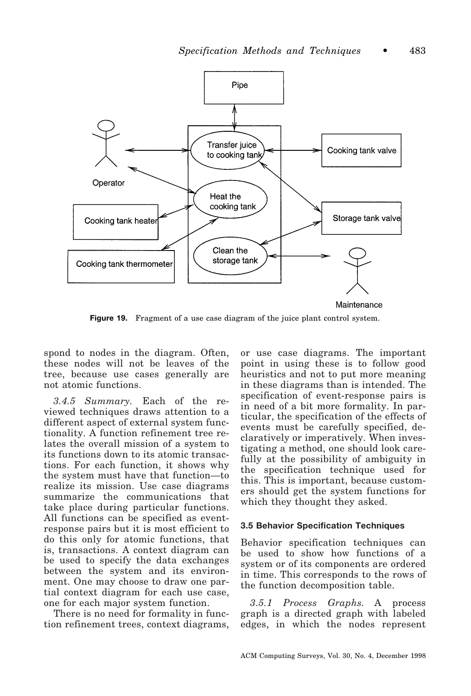

**Figure 19.** Fragment of a use case diagram of the juice plant control system.

spond to nodes in the diagram. Often, these nodes will not be leaves of the tree, because use cases generally are not atomic functions.

*3.4.5 Summary.* Each of the reviewed techniques draws attention to a different aspect of external system functionality. A function refinement tree relates the overall mission of a system to its functions down to its atomic transactions. For each function, it shows why the system must have that function—to realize its mission. Use case diagrams summarize the communications that take place during particular functions. All functions can be specified as eventresponse pairs but it is most efficient to do this only for atomic functions, that is, transactions. A context diagram can be used to specify the data exchanges between the system and its environment. One may choose to draw one partial context diagram for each use case, one for each major system function.

There is no need for formality in function refinement trees, context diagrams, or use case diagrams. The important point in using these is to follow good heuristics and not to put more meaning in these diagrams than is intended. The specification of event-response pairs is in need of a bit more formality. In particular, the specification of the effects of events must be carefully specified, declaratively or imperatively. When investigating a method, one should look carefully at the possibility of ambiguity in the specification technique used for this. This is important, because customers should get the system functions for which they thought they asked.

#### **3.5 Behavior Specification Techniques**

Behavior specification techniques can be used to show how functions of a system or of its components are ordered in time. This corresponds to the rows of the function decomposition table.

*3.5.1 Process Graphs.* A process graph is a directed graph with labeled edges, in which the nodes represent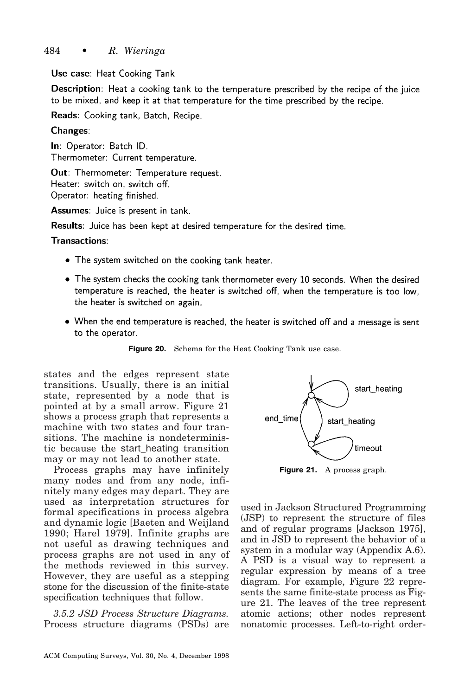## 484 • *R. Wieringa*

Use case: Heat Cooking Tank

Description: Heat a cooking tank to the temperature prescribed by the recipe of the juice to be mixed, and keep it at that temperature for the time prescribed by the recipe.

Reads: Cooking tank, Batch, Recipe.

## **Changes:**

In: Operator: Batch ID. Thermometer: Current temperature.

Out: Thermometer: Temperature request. Heater: switch on, switch off. Operator: heating finished.

Assumes: Juice is present in tank.

Results: Juice has been kept at desired temperature for the desired time.

## **Transactions:**

- The system switched on the cooking tank heater.
- The system checks the cooking tank thermometer every 10 seconds. When the desired temperature is reached, the heater is switched off, when the temperature is too low, the heater is switched on again.
- When the end temperature is reached, the heater is switched off and a message is sent to the operator.



**Figure 20.** Schema for the Heat Cooking Tank use case.

may or may not lead to another state. Process graphs may have infinitely many nodes and from any node, infinitely many edges may depart. They are used as interpretation structures for formal specifications in process algebra and dynamic logic [Baeten and Weijland 1990; Harel 1979]. Infinite graphs are not useful as drawing techniques and process graphs are not used in any of the methods reviewed in this survey. However, they are useful as a stepping stone for the discussion of the finite-state specification techniques that follow.

states and the edges represent state transitions. Usually, there is an initial state, represented by a node that is pointed at by a small arrow. Figure 21 shows a process graph that represents a machine with two states and four transitions. The machine is nondeterministic because the start\_heating transition

*3.5.2 JSD Process Structure Diagrams.* Process structure diagrams (PSDs) are



used in Jackson Structured Programming (JSP) to represent the structure of files and of regular programs [Jackson 1975], and in JSD to represent the behavior of a system in a modular way (Appendix A.6). A PSD is a visual way to represent a regular expression by means of a tree diagram. For example, Figure 22 represents the same finite-state process as Figure 21. The leaves of the tree represent atomic actions; other nodes represent nonatomic processes. Left-to-right order-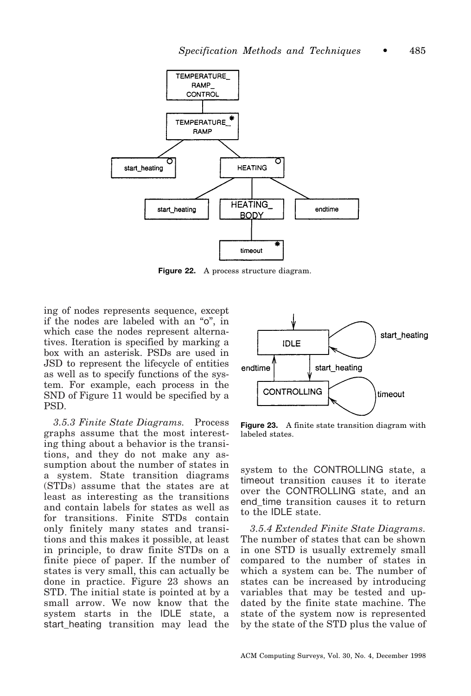

**Figure 22.** A process structure diagram.

ing of nodes represents sequence, except if the nodes are labeled with an "o", in which case the nodes represent alternatives. Iteration is specified by marking a box with an asterisk. PSDs are used in JSD to represent the lifecycle of entities as well as to specify functions of the system. For example, each process in the SND of Figure 11 would be specified by a PSD.

*3.5.3 Finite State Diagrams.* Process graphs assume that the most interesting thing about a behavior is the transitions, and they do not make any assumption about the number of states in a system. State transition diagrams (STDs) assume that the states are at least as interesting as the transitions and contain labels for states as well as for transitions. Finite STDs contain only finitely many states and transitions and this makes it possible, at least in principle, to draw finite STDs on a finite piece of paper. If the number of states is very small, this can actually be done in practice. Figure 23 shows an STD. The initial state is pointed at by a small arrow. We now know that the system starts in the IDLE state, a start\_heating transition may lead the



**Figure 23.** A finite state transition diagram with labeled states.

system to the CONTROLLING state, a timeout transition causes it to iterate over the CONTROLLING state, and an end\_time transition causes it to return to the IDLE state.

*3.5.4 Extended Finite State Diagrams.* The number of states that can be shown in one STD is usually extremely small compared to the number of states in which a system can be. The number of states can be increased by introducing variables that may be tested and updated by the finite state machine. The state of the system now is represented by the state of the STD plus the value of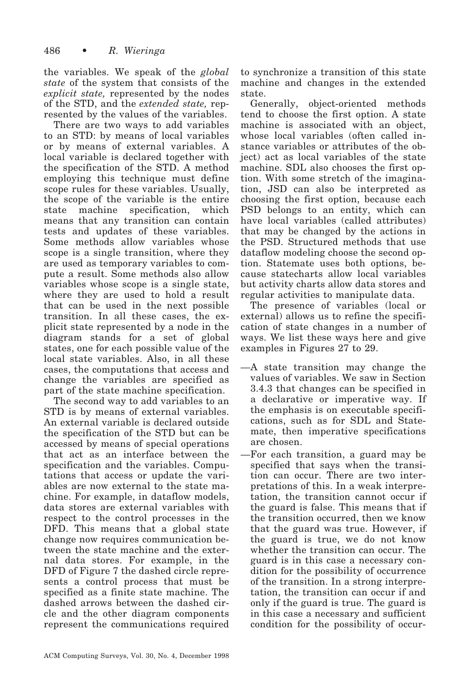the variables. We speak of the *global state* of the system that consists of the *explicit state,* represented by the nodes of the STD, and the *extended state,* represented by the values of the variables.

There are two ways to add variables to an STD: by means of local variables or by means of external variables. A local variable is declared together with the specification of the STD. A method employing this technique must define scope rules for these variables. Usually, the scope of the variable is the entire state machine specification, which means that any transition can contain tests and updates of these variables. Some methods allow variables whose scope is a single transition, where they are used as temporary variables to compute a result. Some methods also allow variables whose scope is a single state, where they are used to hold a result that can be used in the next possible transition. In all these cases, the explicit state represented by a node in the diagram stands for a set of global states, one for each possible value of the local state variables. Also, in all these cases, the computations that access and change the variables are specified as part of the state machine specification.

The second way to add variables to an STD is by means of external variables. An external variable is declared outside the specification of the STD but can be accessed by means of special operations that act as an interface between the specification and the variables. Computations that access or update the variables are now external to the state machine. For example, in dataflow models, data stores are external variables with respect to the control processes in the DFD. This means that a global state change now requires communication between the state machine and the external data stores. For example, in the DFD of Figure 7 the dashed circle represents a control process that must be specified as a finite state machine. The dashed arrows between the dashed circle and the other diagram components represent the communications required

to synchronize a transition of this state machine and changes in the extended state.

Generally, object-oriented methods tend to choose the first option. A state machine is associated with an object, whose local variables (often called instance variables or attributes of the object) act as local variables of the state machine. SDL also chooses the first option. With some stretch of the imagination, JSD can also be interpreted as choosing the first option, because each PSD belongs to an entity, which can have local variables (called attributes) that may be changed by the actions in the PSD. Structured methods that use dataflow modeling choose the second option. Statemate uses both options, because statecharts allow local variables but activity charts allow data stores and regular activities to manipulate data.

The presence of variables (local or external) allows us to refine the specification of state changes in a number of ways. We list these ways here and give examples in Figures 27 to 29.

- —A state transition may change the values of variables. We saw in Section 3.4.3 that changes can be specified in a declarative or imperative way. If the emphasis is on executable specifications, such as for SDL and Statemate, then imperative specifications are chosen.
- —For each transition, a guard may be specified that says when the transition can occur. There are two interpretations of this. In a weak interpretation, the transition cannot occur if the guard is false. This means that if the transition occurred, then we know that the guard was true. However, if the guard is true, we do not know whether the transition can occur. The guard is in this case a necessary condition for the possibility of occurrence of the transition. In a strong interpretation, the transition can occur if and only if the guard is true. The guard is in this case a necessary and sufficient condition for the possibility of occur-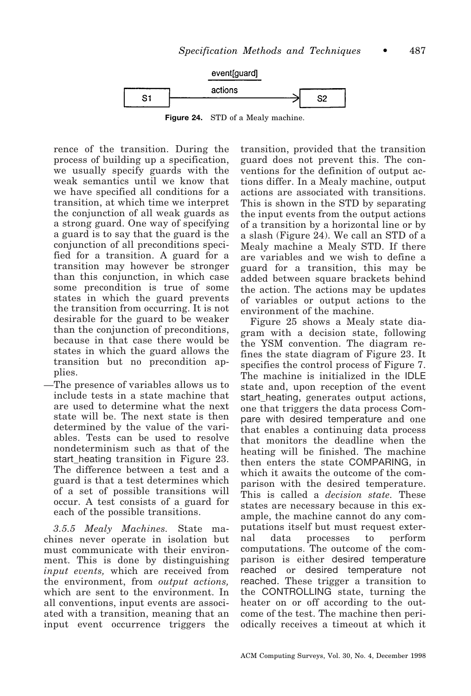

**Figure 24.** STD of a Mealy machine.

rence of the transition. During the process of building up a specification, we usually specify guards with the weak semantics until we know that we have specified all conditions for a transition, at which time we interpret the conjunction of all weak guards as a strong guard. One way of specifying a guard is to say that the guard is the conjunction of all preconditions specified for a transition. A guard for a transition may however be stronger than this conjunction, in which case some precondition is true of some states in which the guard prevents the transition from occurring. It is not desirable for the guard to be weaker than the conjunction of preconditions, because in that case there would be states in which the guard allows the transition but no precondition applies.

—The presence of variables allows us to include tests in a state machine that are used to determine what the next state will be. The next state is then determined by the value of the variables. Tests can be used to resolve nondeterminism such as that of the start heating transition in Figure 23. The difference between a test and a guard is that a test determines which of a set of possible transitions will occur. A test consists of a guard for each of the possible transitions.

*3.5.5 Mealy Machines.* State machines never operate in isolation but must communicate with their environment. This is done by distinguishing *input events,* which are received from the environment, from *output actions,* which are sent to the environment. In all conventions, input events are associated with a transition, meaning that an input event occurrence triggers the transition, provided that the transition guard does not prevent this. The conventions for the definition of output actions differ. In a Mealy machine, output actions are associated with transitions. This is shown in the STD by separating the input events from the output actions of a transition by a horizontal line or by a slash (Figure 24). We call an STD of a Mealy machine a Mealy STD. If there are variables and we wish to define a guard for a transition, this may be added between square brackets behind the action. The actions may be updates of variables or output actions to the environment of the machine.

Figure 25 shows a Mealy state diagram with a decision state, following the YSM convention. The diagram refines the state diagram of Figure 23. It specifies the control process of Figure 7. The machine is initialized in the IDLE state and, upon reception of the event start\_heating, generates output actions, one that triggers the data process Compare with desired temperature and one that enables a continuing data process that monitors the deadline when the heating will be finished. The machine then enters the state COMPARING, in which it awaits the outcome of the comparison with the desired temperature. This is called a *decision state.* These states are necessary because in this example, the machine cannot do any computations itself but must request external data processes to perform computations. The outcome of the comparison is either desired temperature reached or desired temperature not reached. These trigger a transition to the CONTROLLING state, turning the heater on or off according to the outcome of the test. The machine then periodically receives a timeout at which it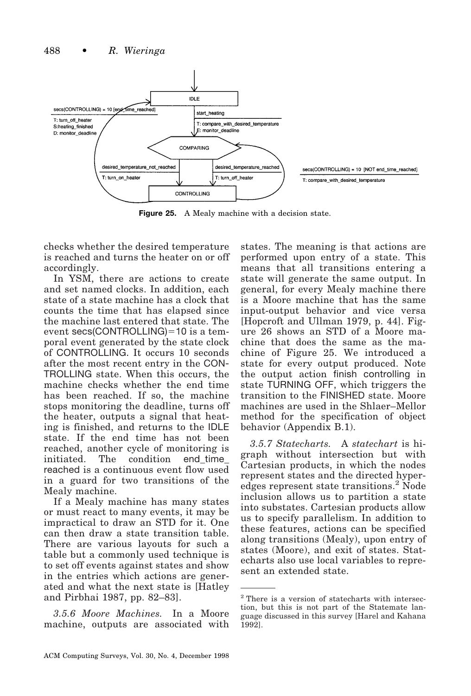

**Figure 25.** A Mealy machine with a decision state.

checks whether the desired temperature is reached and turns the heater on or off accordingly.

In YSM, there are actions to create and set named clocks. In addition, each state of a state machine has a clock that counts the time that has elapsed since the machine last entered that state. The event secs(CONTROLLING)=10 is a temporal event generated by the state clock of CONTROLLING. It occurs 10 seconds after the most recent entry in the CON-TROLLING state. When this occurs, the machine checks whether the end time has been reached. If so, the machine stops monitoring the deadline, turns off the heater, outputs a signal that heating is finished, and returns to the IDLE state. If the end time has not been reached, another cycle of monitoring is initiated. The condition end\_time reached is a continuous event flow used in a guard for two transitions of the Mealy machine.

If a Mealy machine has many states or must react to many events, it may be impractical to draw an STD for it. One can then draw a state transition table. There are various layouts for such a table but a commonly used technique is to set off events against states and show in the entries which actions are generated and what the next state is [Hatley and Pirbhai 1987, pp. 82–83].

*3.5.6 Moore Machines.* In a Moore machine, outputs are associated with states. The meaning is that actions are performed upon entry of a state. This means that all transitions entering a state will generate the same output. In general, for every Mealy machine there is a Moore machine that has the same input-output behavior and vice versa [Hopcroft and Ullman 1979, p. 44]. Figure 26 shows an STD of a Moore machine that does the same as the machine of Figure 25. We introduced a state for every output produced. Note the output action finish controlling in state TURNING OFF, which triggers the transition to the FINISHED state. Moore machines are used in the Shlaer–Mellor method for the specification of object behavior (Appendix B.1).

*3.5.7 Statecharts.* A *statechart* is higraph without intersection but with Cartesian products, in which the nodes represent states and the directed hyperedges represent state transitions.<sup>2</sup> Node inclusion allows us to partition a state into substates. Cartesian products allow us to specify parallelism. In addition to these features, actions can be specified along transitions (Mealy), upon entry of states (Moore), and exit of states. Statecharts also use local variables to represent an extended state.

<sup>2</sup> There is a version of statecharts with intersection, but this is not part of the Statemate language discussed in this survey [Harel and Kahana 1992].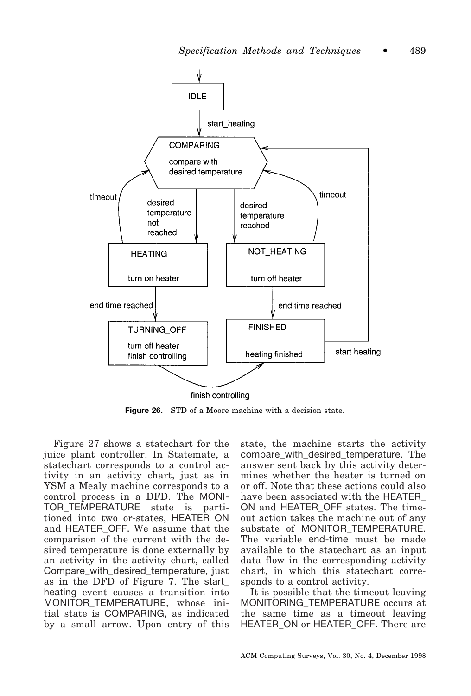

**Figure 26.** STD of a Moore machine with a decision state.

Figure 27 shows a statechart for the juice plant controller. In Statemate, a statechart corresponds to a control activity in an activity chart, just as in YSM a Mealy machine corresponds to a control process in a DFD. The MONI-TOR\_TEMPERATURE state is partitioned into two or-states, HEATER\_ON and HEATER\_OFF. We assume that the comparison of the current with the desired temperature is done externally by an activity in the activity chart, called Compare\_with\_desired\_temperature, just as in the DFD of Figure 7. The start\_ heating event causes a transition into MONITOR TEMPERATURE, whose initial state is COMPARING, as indicated by a small arrow. Upon entry of this

state, the machine starts the activity compare\_with\_desired\_temperature. The answer sent back by this activity determines whether the heater is turned on or off. Note that these actions could also have been associated with the HEATER\_ ON and HEATER OFF states. The timeout action takes the machine out of any substate of MONITOR TEMPERATURE. The variable end-time must be made available to the statechart as an input data flow in the corresponding activity chart, in which this statechart corresponds to a control activity.

It is possible that the timeout leaving MONITORING\_TEMPERATURE occurs at the same time as a timeout leaving HEATER\_ON or HEATER\_OFF. There are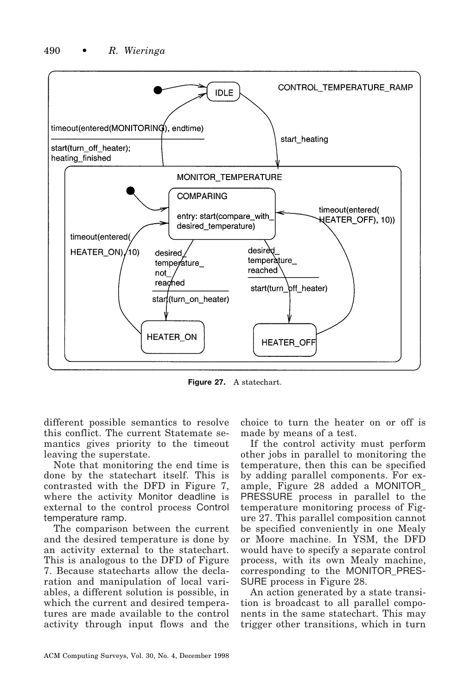

**Figure 27.** A statechart.

different possible semantics to resolve this conflict. The current Statemate semantics gives priority to the timeout leaving the superstate.

Note that monitoring the end time is done by the statechart itself. This is contrasted with the DFD in Figure 7, where the activity Monitor deadline is external to the control process Control temperature ramp.

The comparison between the current and the desired temperature is done by an activity external to the statechart. This is analogous to the DFD of Figure 7. Because statecharts allow the declaration and manipulation of local variables, a different solution is possible, in which the current and desired temperatures are made available to the control activity through input flows and the

choice to turn the heater on or off is made by means of a test.

If the control activity must perform other jobs in parallel to monitoring the temperature, then this can be specified by adding parallel components. For example, Figure 28 added a MONITOR\_ PRESSURE process in parallel to the temperature monitoring process of Figure 27. This parallel composition cannot be specified conveniently in one Mealy or Moore machine. In YSM, the DFD would have to specify a separate control process, with its own Mealy machine, corresponding to the MONITOR\_PRES-SURE process in Figure 28.

An action generated by a state transition is broadcast to all parallel components in the same statechart. This may trigger other transitions, which in turn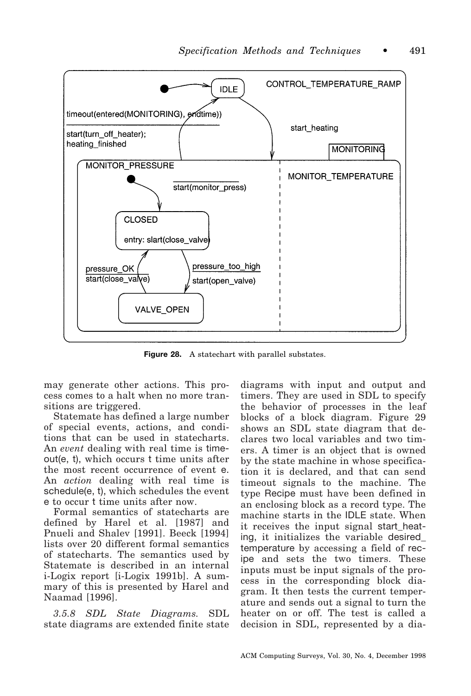

**Figure 28.** A statechart with parallel substates.

may generate other actions. This process comes to a halt when no more transitions are triggered.

Statemate has defined a large number of special events, actions, and conditions that can be used in statecharts. An *event* dealing with real time is timeout(e, t), which occurs t time units after the most recent occurrence of event e. An *action* dealing with real time is schedule(e, t), which schedules the event e to occur t time units after now.

Formal semantics of statecharts are defined by Harel et al. [1987] and Pnueli and Shalev [1991]. Beeck [1994] lists over 20 different formal semantics of statecharts. The semantics used by Statemate is described in an internal i-Logix report [i-Logix 1991b]. A summary of this is presented by Harel and Naamad [1996].

*3.5.8 SDL State Diagrams.* SDL state diagrams are extended finite state diagrams with input and output and timers. They are used in SDL to specify the behavior of processes in the leaf blocks of a block diagram. Figure 29 shows an SDL state diagram that declares two local variables and two timers. A timer is an object that is owned by the state machine in whose specification it is declared, and that can send timeout signals to the machine. The type Recipe must have been defined in an enclosing block as a record type. The machine starts in the IDLE state. When it receives the input signal start heating, it initializes the variable desired\_ temperature by accessing a field of recipe and sets the two timers. These inputs must be input signals of the process in the corresponding block diagram. It then tests the current temperature and sends out a signal to turn the heater on or off. The test is called a decision in SDL, represented by a dia-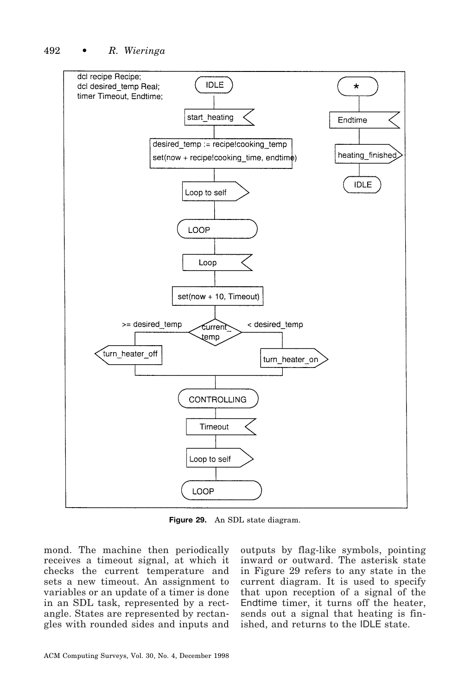

**Figure 29.** An SDL state diagram.

mond. The machine then periodically receives a timeout signal, at which it checks the current temperature and sets a new timeout. An assignment to variables or an update of a timer is done in an SDL task, represented by a rectangle. States are represented by rectangles with rounded sides and inputs and outputs by flag-like symbols, pointing inward or outward. The asterisk state in Figure 29 refers to any state in the current diagram. It is used to specify that upon reception of a signal of the Endtime timer, it turns off the heater, sends out a signal that heating is finished, and returns to the IDLE state.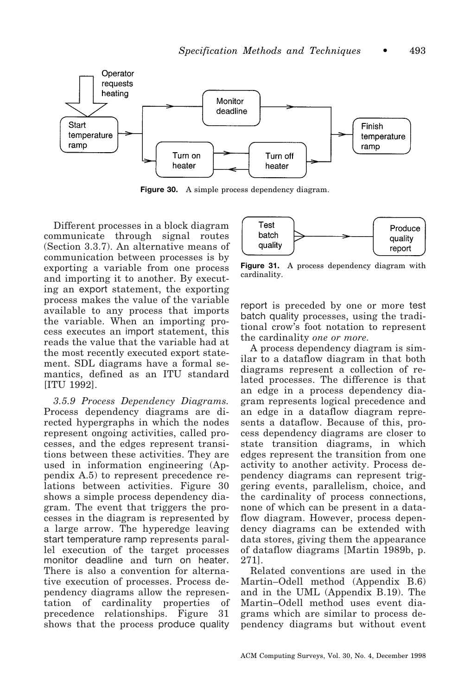

**Figure 30.** A simple process dependency diagram.

Different processes in a block diagram communicate through signal routes (Section 3.3.7). An alternative means of communication between processes is by exporting a variable from one process and importing it to another. By executing an export statement, the exporting process makes the value of the variable available to any process that imports the variable. When an importing process executes an import statement, this reads the value that the variable had at the most recently executed export statement. SDL diagrams have a formal semantics, defined as an ITU standard [ITU 1992].

*3.5.9 Process Dependency Diagrams.* Process dependency diagrams are directed hypergraphs in which the nodes represent ongoing activities, called processes, and the edges represent transitions between these activities. They are used in information engineering (Appendix A.5) to represent precedence relations between activities. Figure 30 shows a simple process dependency diagram. The event that triggers the processes in the diagram is represented by a large arrow. The hyperedge leaving start temperature ramp represents parallel execution of the target processes monitor deadline and turn on heater. There is also a convention for alternative execution of processes. Process dependency diagrams allow the representation of cardinality properties of precedence relationships. Figure 31 shows that the process produce quality



**Figure 31.** A process dependency diagram with cardinality.

report is preceded by one or more test batch quality processes, using the traditional crow's foot notation to represent the cardinality *one or more.*

A process dependency diagram is similar to a dataflow diagram in that both diagrams represent a collection of related processes. The difference is that an edge in a process dependency diagram represents logical precedence and an edge in a dataflow diagram represents a dataflow. Because of this, process dependency diagrams are closer to state transition diagrams, in which edges represent the transition from one activity to another activity. Process dependency diagrams can represent triggering events, parallelism, choice, and the cardinality of process connections, none of which can be present in a dataflow diagram. However, process dependency diagrams can be extended with data stores, giving them the appearance of dataflow diagrams [Martin 1989b, p. 271].

Related conventions are used in the Martin–Odell method (Appendix B.6) and in the UML (Appendix B.19). The Martin–Odell method uses event diagrams which are similar to process dependency diagrams but without event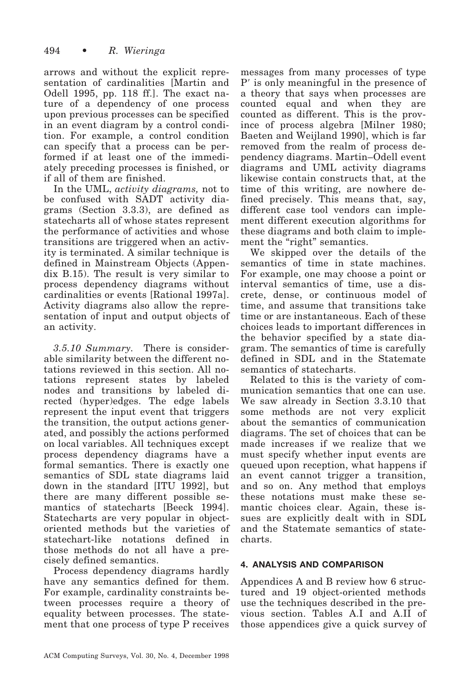arrows and without the explicit representation of cardinalities [Martin and Odell 1995, pp. 118 ff.]. The exact nature of a dependency of one process upon previous processes can be specified in an event diagram by a control condition. For example, a control condition can specify that a process can be performed if at least one of the immediately preceding processes is finished, or if all of them are finished.

In the UML, *activity diagrams,* not to be confused with SADT activity diagrams (Section 3.3.3), are defined as statecharts all of whose states represent the performance of activities and whose transitions are triggered when an activity is terminated. A similar technique is defined in Mainstream Objects (Appendix B.15). The result is very similar to process dependency diagrams without cardinalities or events [Rational 1997a]. Activity diagrams also allow the representation of input and output objects of an activity.

*3.5.10 Summary.* There is considerable similarity between the different notations reviewed in this section. All notations represent states by labeled nodes and transitions by labeled directed (hyper)edges. The edge labels represent the input event that triggers the transition, the output actions generated, and possibly the actions performed on local variables. All techniques except process dependency diagrams have a formal semantics. There is exactly one semantics of SDL state diagrams laid down in the standard [ITU 1992], but there are many different possible semantics of statecharts [Beeck 1994]. Statecharts are very popular in objectoriented methods but the varieties of statechart-like notations defined in those methods do not all have a precisely defined semantics.

Process dependency diagrams hardly have any semantics defined for them. For example, cardinality constraints between processes require a theory of equality between processes. The statement that one process of type P receives

messages from many processes of type  $P'$  is only meaningful in the presence of a theory that says when processes are counted equal and when they are counted as different. This is the province of process algebra [Milner 1980; Baeten and Weijland 1990], which is far removed from the realm of process dependency diagrams. Martin–Odell event diagrams and UML activity diagrams likewise contain constructs that, at the time of this writing, are nowhere defined precisely. This means that, say, different case tool vendors can implement different execution algorithms for these diagrams and both claim to implement the "right" semantics.

We skipped over the details of the semantics of time in state machines. For example, one may choose a point or interval semantics of time, use a discrete, dense, or continuous model of time, and assume that transitions take time or are instantaneous. Each of these choices leads to important differences in the behavior specified by a state diagram. The semantics of time is carefully defined in SDL and in the Statemate semantics of statecharts.

Related to this is the variety of communication semantics that one can use. We saw already in Section 3.3.10 that some methods are not very explicit about the semantics of communication diagrams. The set of choices that can be made increases if we realize that we must specify whether input events are queued upon reception, what happens if an event cannot trigger a transition, and so on. Any method that employs these notations must make these semantic choices clear. Again, these issues are explicitly dealt with in SDL and the Statemate semantics of statecharts.

## **4. ANALYSIS AND COMPARISON**

Appendices A and B review how 6 structured and 19 object-oriented methods use the techniques described in the previous section. Tables A.I and A.II of those appendices give a quick survey of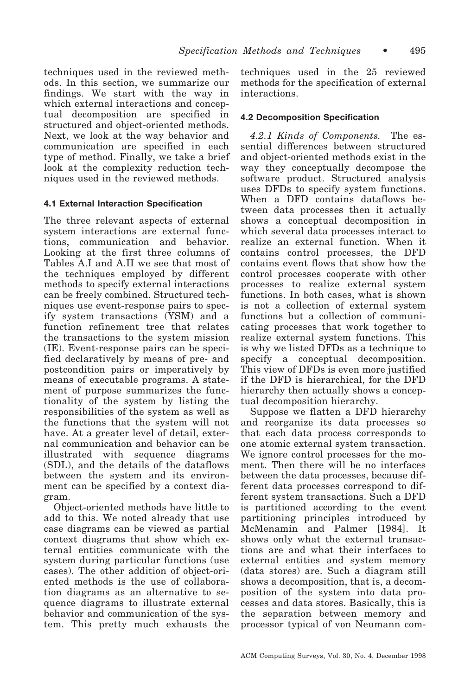techniques used in the reviewed methods. In this section, we summarize our findings. We start with the way in which external interactions and conceptual decomposition are specified in structured and object-oriented methods. Next, we look at the way behavior and communication are specified in each type of method. Finally, we take a brief look at the complexity reduction techniques used in the reviewed methods.

### **4.1 External Interaction Specification**

The three relevant aspects of external system interactions are external functions, communication and behavior. Looking at the first three columns of Tables A.I and A.II we see that most of the techniques employed by different methods to specify external interactions can be freely combined. Structured techniques use event-response pairs to specify system transactions (YSM) and a function refinement tree that relates the transactions to the system mission (IE). Event-response pairs can be specified declaratively by means of pre- and postcondition pairs or imperatively by means of executable programs. A statement of purpose summarizes the functionality of the system by listing the responsibilities of the system as well as the functions that the system will not have. At a greater level of detail, external communication and behavior can be illustrated with sequence diagrams (SDL), and the details of the dataflows between the system and its environment can be specified by a context diagram.

Object-oriented methods have little to add to this. We noted already that use case diagrams can be viewed as partial context diagrams that show which external entities communicate with the system during particular functions (use cases). The other addition of object-oriented methods is the use of collaboration diagrams as an alternative to sequence diagrams to illustrate external behavior and communication of the system. This pretty much exhausts the techniques used in the 25 reviewed methods for the specification of external interactions.

## **4.2 Decomposition Specification**

*4.2.1 Kinds of Components.* The essential differences between structured and object-oriented methods exist in the way they conceptually decompose the software product. Structured analysis uses DFDs to specify system functions. When a DFD contains dataflows between data processes then it actually shows a conceptual decomposition in which several data processes interact to realize an external function. When it contains control processes, the DFD contains event flows that show how the control processes cooperate with other processes to realize external system functions. In both cases, what is shown is not a collection of external system functions but a collection of communicating processes that work together to realize external system functions. This is why we listed DFDs as a technique to specify a conceptual decomposition. This view of DFDs is even more justified if the DFD is hierarchical, for the DFD hierarchy then actually shows a conceptual decomposition hierarchy.

Suppose we flatten a DFD hierarchy and reorganize its data processes so that each data process corresponds to one atomic external system transaction. We ignore control processes for the moment. Then there will be no interfaces between the data processes, because different data processes correspond to different system transactions. Such a DFD is partitioned according to the event partitioning principles introduced by McMenamin and Palmer [1984]. It shows only what the external transactions are and what their interfaces to external entities and system memory (data stores) are. Such a diagram still shows a decomposition, that is, a decomposition of the system into data processes and data stores. Basically, this is the separation between memory and processor typical of von Neumann com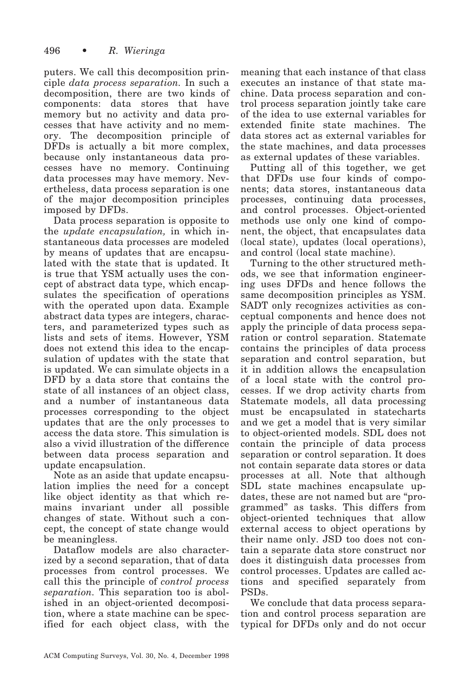puters. We call this decomposition principle *data process separation.* In such a decomposition, there are two kinds of components: data stores that have memory but no activity and data processes that have activity and no memory. The decomposition principle of DFDs is actually a bit more complex, because only instantaneous data processes have no memory. Continuing data processes may have memory. Nevertheless, data process separation is one of the major decomposition principles imposed by DFDs.

Data process separation is opposite to the *update encapsulation,* in which instantaneous data processes are modeled by means of updates that are encapsulated with the state that is updated. It is true that YSM actually uses the concept of abstract data type, which encapsulates the specification of operations with the operated upon data. Example abstract data types are integers, characters, and parameterized types such as lists and sets of items. However, YSM does not extend this idea to the encapsulation of updates with the state that is updated. We can simulate objects in a DFD by a data store that contains the state of all instances of an object class, and a number of instantaneous data processes corresponding to the object updates that are the only processes to access the data store. This simulation is also a vivid illustration of the difference between data process separation and update encapsulation.

Note as an aside that update encapsulation implies the need for a concept like object identity as that which remains invariant under all possible changes of state. Without such a concept, the concept of state change would be meaningless.

Dataflow models are also characterized by a second separation, that of data processes from control processes. We call this the principle of *control process separation.* This separation too is abolished in an object-oriented decomposition, where a state machine can be specified for each object class, with the

meaning that each instance of that class executes an instance of that state machine. Data process separation and control process separation jointly take care of the idea to use external variables for extended finite state machines. The data stores act as external variables for the state machines, and data processes as external updates of these variables.

Putting all of this together, we get that DFDs use four kinds of components; data stores, instantaneous data processes, continuing data processes, and control processes. Object-oriented methods use only one kind of component, the object, that encapsulates data (local state), updates (local operations), and control (local state machine).

Turning to the other structured methods, we see that information engineering uses DFDs and hence follows the same decomposition principles as YSM. SADT only recognizes activities as conceptual components and hence does not apply the principle of data process separation or control separation. Statemate contains the principles of data process separation and control separation, but it in addition allows the encapsulation of a local state with the control processes. If we drop activity charts from Statemate models, all data processing must be encapsulated in statecharts and we get a model that is very similar to object-oriented models. SDL does not contain the principle of data process separation or control separation. It does not contain separate data stores or data processes at all. Note that although SDL state machines encapsulate updates, these are not named but are "programmed" as tasks. This differs from object-oriented techniques that allow external access to object operations by their name only. JSD too does not contain a separate data store construct nor does it distinguish data processes from control processes. Updates are called actions and specified separately from PSDs.

We conclude that data process separation and control process separation are typical for DFDs only and do not occur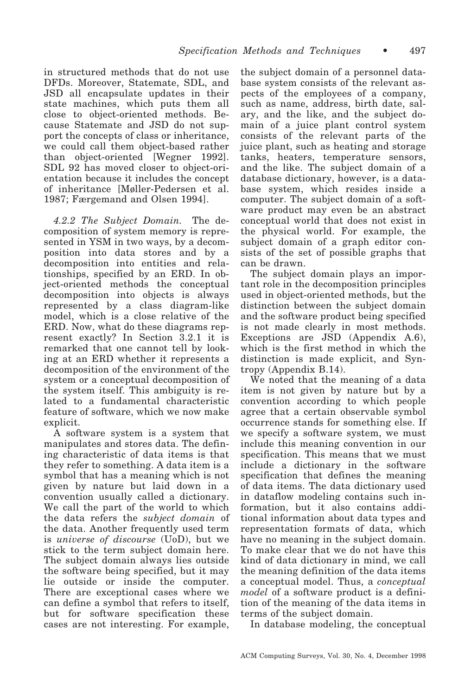in structured methods that do not use DFDs. Moreover, Statemate, SDL, and JSD all encapsulate updates in their state machines, which puts them all close to object-oriented methods. Because Statemate and JSD do not support the concepts of class or inheritance, we could call them object-based rather than object-oriented [Wegner 1992]. SDL 92 has moved closer to object-orientation because it includes the concept of inheritance [Møller-Pedersen et al. 1987; Færgemand and Olsen 1994].

*4.2.2 The Subject Domain.* The decomposition of system memory is represented in YSM in two ways, by a decomposition into data stores and by a decomposition into entities and relationships, specified by an ERD. In object-oriented methods the conceptual decomposition into objects is always represented by a class diagram-like model, which is a close relative of the ERD. Now, what do these diagrams represent exactly? In Section 3.2.1 it is remarked that one cannot tell by looking at an ERD whether it represents a decomposition of the environment of the system or a conceptual decomposition of the system itself. This ambiguity is related to a fundamental characteristic feature of software, which we now make explicit.

A software system is a system that manipulates and stores data. The defining characteristic of data items is that they refer to something. A data item is a symbol that has a meaning which is not given by nature but laid down in a convention usually called a dictionary. We call the part of the world to which the data refers the *subject domain* of the data. Another frequently used term is *universe of discourse* (UoD), but we stick to the term subject domain here. The subject domain always lies outside the software being specified, but it may lie outside or inside the computer. There are exceptional cases where we can define a symbol that refers to itself, but for software specification these cases are not interesting. For example,

the subject domain of a personnel database system consists of the relevant aspects of the employees of a company, such as name, address, birth date, salary, and the like, and the subject domain of a juice plant control system consists of the relevant parts of the juice plant, such as heating and storage tanks, heaters, temperature sensors, and the like. The subject domain of a database dictionary, however, is a database system, which resides inside a computer. The subject domain of a software product may even be an abstract conceptual world that does not exist in the physical world. For example, the subject domain of a graph editor consists of the set of possible graphs that can be drawn.

The subject domain plays an important role in the decomposition principles used in object-oriented methods, but the distinction between the subject domain and the software product being specified is not made clearly in most methods. Exceptions are JSD (Appendix A.6), which is the first method in which the distinction is made explicit, and Syntropy (Appendix B.14).

We noted that the meaning of a data item is not given by nature but by a convention according to which people agree that a certain observable symbol occurrence stands for something else. If we specify a software system, we must include this meaning convention in our specification. This means that we must include a dictionary in the software specification that defines the meaning of data items. The data dictionary used in dataflow modeling contains such information, but it also contains additional information about data types and representation formats of data, which have no meaning in the subject domain. To make clear that we do not have this kind of data dictionary in mind, we call the meaning definition of the data items a conceptual model. Thus, a *conceptual model* of a software product is a definition of the meaning of the data items in terms of the subject domain.

In database modeling, the conceptual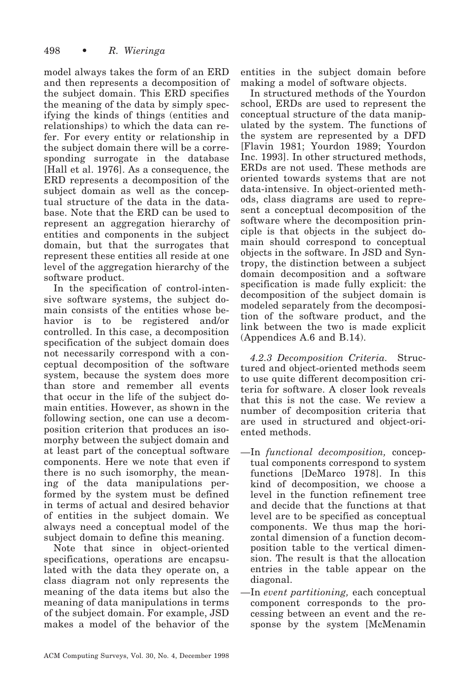model always takes the form of an ERD and then represents a decomposition of the subject domain. This ERD specifies the meaning of the data by simply specifying the kinds of things (entities and relationships) to which the data can refer. For every entity or relationship in the subject domain there will be a corresponding surrogate in the database [Hall et al. 1976]. As a consequence, the ERD represents a decomposition of the subject domain as well as the conceptual structure of the data in the database. Note that the ERD can be used to represent an aggregation hierarchy of entities and components in the subject domain, but that the surrogates that represent these entities all reside at one level of the aggregation hierarchy of the software product.

In the specification of control-intensive software systems, the subject domain consists of the entities whose behavior is to be registered and/or controlled. In this case, a decomposition specification of the subject domain does not necessarily correspond with a conceptual decomposition of the software system, because the system does more than store and remember all events that occur in the life of the subject domain entities. However, as shown in the following section, one can use a decomposition criterion that produces an isomorphy between the subject domain and at least part of the conceptual software components. Here we note that even if there is no such isomorphy, the meaning of the data manipulations performed by the system must be defined in terms of actual and desired behavior of entities in the subject domain. We always need a conceptual model of the subject domain to define this meaning.

Note that since in object-oriented specifications, operations are encapsulated with the data they operate on, a class diagram not only represents the meaning of the data items but also the meaning of data manipulations in terms of the subject domain. For example, JSD makes a model of the behavior of the entities in the subject domain before making a model of software objects.

In structured methods of the Yourdon school, ERDs are used to represent the conceptual structure of the data manipulated by the system. The functions of the system are represented by a DFD [Flavin 1981; Yourdon 1989; Yourdon Inc. 1993]. In other structured methods, ERDs are not used. These methods are oriented towards systems that are not data-intensive. In object-oriented methods, class diagrams are used to represent a conceptual decomposition of the software where the decomposition principle is that objects in the subject domain should correspond to conceptual objects in the software. In JSD and Syntropy, the distinction between a subject domain decomposition and a software specification is made fully explicit: the decomposition of the subject domain is modeled separately from the decomposition of the software product, and the link between the two is made explicit (Appendices A.6 and B.14).

*4.2.3 Decomposition Criteria.* Structured and object-oriented methods seem to use quite different decomposition criteria for software. A closer look reveals that this is not the case. We review a number of decomposition criteria that are used in structured and object-oriented methods.

- —In *functional decomposition,* conceptual components correspond to system functions [DeMarco 1978]. In this kind of decomposition, we choose a level in the function refinement tree and decide that the functions at that level are to be specified as conceptual components. We thus map the horizontal dimension of a function decomposition table to the vertical dimension. The result is that the allocation entries in the table appear on the diagonal.
- —In *event partitioning,* each conceptual component corresponds to the processing between an event and the response by the system [McMenamin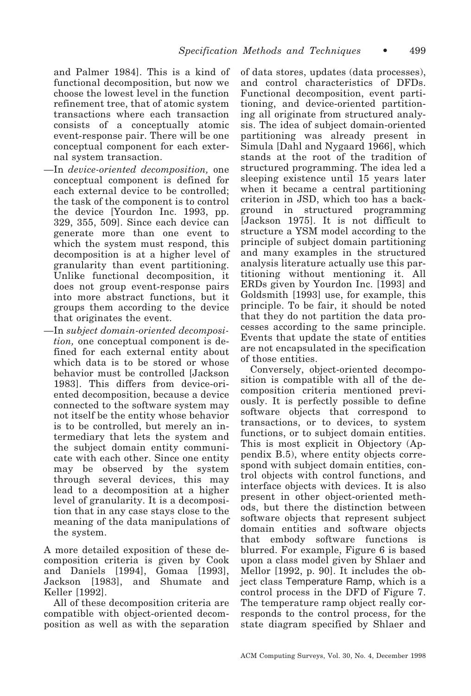and Palmer 1984]. This is a kind of functional decomposition, but now we choose the lowest level in the function refinement tree, that of atomic system transactions where each transaction consists of a conceptually atomic event-response pair. There will be one conceptual component for each external system transaction.

- —In *device-oriented decomposition,* one conceptual component is defined for each external device to be controlled; the task of the component is to control the device [Yourdon Inc. 1993, pp. 329, 355, 509]. Since each device can generate more than one event to which the system must respond, this decomposition is at a higher level of granularity than event partitioning. Unlike functional decomposition, it does not group event-response pairs into more abstract functions, but it groups them according to the device that originates the event.
- —In *subject domain-oriented decomposition,* one conceptual component is defined for each external entity about which data is to be stored or whose behavior must be controlled [Jackson 1983]. This differs from device-oriented decomposition, because a device connected to the software system may not itself be the entity whose behavior is to be controlled, but merely an intermediary that lets the system and the subject domain entity communicate with each other. Since one entity may be observed by the system through several devices, this may lead to a decomposition at a higher level of granularity. It is a decomposition that in any case stays close to the meaning of the data manipulations of the system.

A more detailed exposition of these decomposition criteria is given by Cook and Daniels [1994], Gomaa [1993], Jackson [1983], and Shumate and Keller [1992].

All of these decomposition criteria are compatible with object-oriented decomposition as well as with the separation of data stores, updates (data processes), and control characteristics of DFDs. Functional decomposition, event partitioning, and device-oriented partitioning all originate from structured analysis. The idea of subject domain-oriented partitioning was already present in Simula [Dahl and Nygaard 1966], which stands at the root of the tradition of structured programming. The idea led a sleeping existence until 15 years later when it became a central partitioning criterion in JSD, which too has a background in structured programming [Jackson 1975]. It is not difficult to structure a YSM model according to the principle of subject domain partitioning and many examples in the structured analysis literature actually use this partitioning without mentioning it. All ERDs given by Yourdon Inc. [1993] and Goldsmith [1993] use, for example, this principle. To be fair, it should be noted that they do not partition the data processes according to the same principle. Events that update the state of entities are not encapsulated in the specification of those entities.

Conversely, object-oriented decomposition is compatible with all of the decomposition criteria mentioned previously. It is perfectly possible to define software objects that correspond to transactions, or to devices, to system functions, or to subject domain entities. This is most explicit in Objectory (Appendix B.5), where entity objects correspond with subject domain entities, control objects with control functions, and interface objects with devices. It is also present in other object-oriented methods, but there the distinction between software objects that represent subject domain entities and software objects that embody software functions is blurred. For example, Figure 6 is based upon a class model given by Shlaer and Mellor [1992, p. 90]. It includes the object class Temperature Ramp, which is a control process in the DFD of Figure 7. The temperature ramp object really corresponds to the control process, for the state diagram specified by Shlaer and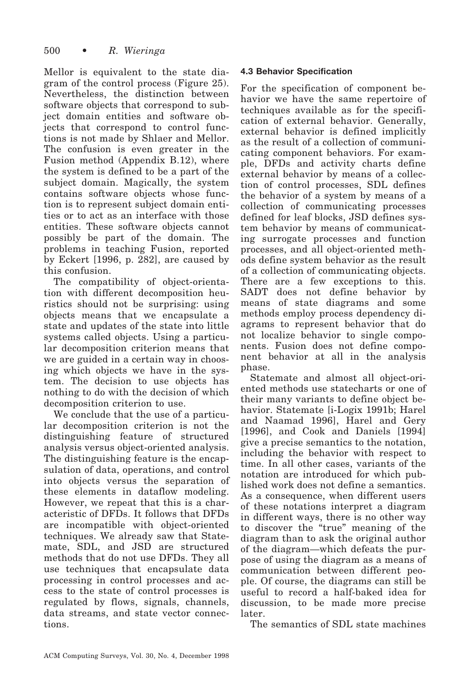Mellor is equivalent to the state diagram of the control process (Figure 25). Nevertheless, the distinction between software objects that correspond to subject domain entities and software objects that correspond to control functions is not made by Shlaer and Mellor. The confusion is even greater in the Fusion method (Appendix B.12), where the system is defined to be a part of the subject domain. Magically, the system contains software objects whose function is to represent subject domain entities or to act as an interface with those entities. These software objects cannot possibly be part of the domain. The problems in teaching Fusion, reported by Eckert [1996, p. 282], are caused by this confusion.

The compatibility of object-orientation with different decomposition heuristics should not be surprising: using objects means that we encapsulate a state and updates of the state into little systems called objects. Using a particular decomposition criterion means that we are guided in a certain way in choosing which objects we have in the system. The decision to use objects has nothing to do with the decision of which decomposition criterion to use.

We conclude that the use of a particular decomposition criterion is not the distinguishing feature of structured analysis versus object-oriented analysis. The distinguishing feature is the encapsulation of data, operations, and control into objects versus the separation of these elements in dataflow modeling. However, we repeat that this is a characteristic of DFDs. It follows that DFDs are incompatible with object-oriented techniques. We already saw that Statemate, SDL, and JSD are structured methods that do not use DFDs. They all use techniques that encapsulate data processing in control processes and access to the state of control processes is regulated by flows, signals, channels, data streams, and state vector connections.

# **4.3 Behavior Specification**

For the specification of component behavior we have the same repertoire of techniques available as for the specification of external behavior. Generally, external behavior is defined implicitly as the result of a collection of communicating component behaviors. For example, DFDs and activity charts define external behavior by means of a collection of control processes, SDL defines the behavior of a system by means of a collection of communicating processes defined for leaf blocks, JSD defines system behavior by means of communicating surrogate processes and function processes, and all object-oriented methods define system behavior as the result of a collection of communicating objects. There are a few exceptions to this. SADT does not define behavior by means of state diagrams and some methods employ process dependency diagrams to represent behavior that do not localize behavior to single components. Fusion does not define component behavior at all in the analysis phase.

Statemate and almost all object-oriented methods use statecharts or one of their many variants to define object behavior. Statemate [i-Logix 1991b; Harel and Naamad 1996], Harel and Gery [1996], and Cook and Daniels [1994] give a precise semantics to the notation, including the behavior with respect to time. In all other cases, variants of the notation are introduced for which published work does not define a semantics. As a consequence, when different users of these notations interpret a diagram in different ways, there is no other way to discover the "true" meaning of the diagram than to ask the original author of the diagram—which defeats the purpose of using the diagram as a means of communication between different people. Of course, the diagrams can still be useful to record a half-baked idea for discussion, to be made more precise later.

The semantics of SDL state machines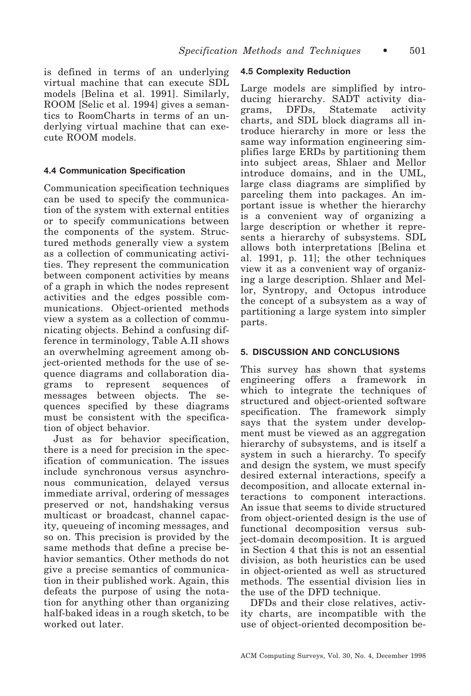is defined in terms of an underlying virtual machine that can execute SDL models [Belina et al. 1991]. Similarly, ROOM [Selic et al. 1994] gives a semantics to RoomCharts in terms of an underlying virtual machine that can execute ROOM models.

### **4.4 Communication Specification**

Communication specification techniques can be used to specify the communication of the system with external entities or to specify communications between the components of the system. Structured methods generally view a system as a collection of communicating activities. They represent the communication between component activities by means of a graph in which the nodes represent activities and the edges possible communications. Object-oriented methods view a system as a collection of communicating objects. Behind a confusing difference in terminology, Table A.II shows an overwhelming agreement among object-oriented methods for the use of sequence diagrams and collaboration diagrams to represent sequences of messages between objects. The sequences specified by these diagrams must be consistent with the specification of object behavior.

Just as for behavior specification, there is a need for precision in the specification of communication. The issues include synchronous versus asynchronous communication, delayed versus immediate arrival, ordering of messages preserved or not, handshaking versus multicast or broadcast, channel capacity, queueing of incoming messages, and so on. This precision is provided by the same methods that define a precise behavior semantics. Other methods do not give a precise semantics of communication in their published work. Again, this defeats the purpose of using the notation for anything other than organizing half-baked ideas in a rough sketch, to be worked out later.

#### **4.5 Complexity Reduction**

Large models are simplified by introducing hierarchy. SADT activity diagrams, DFDs, Statemate activity charts, and SDL block diagrams all introduce hierarchy in more or less the same way information engineering simplifies large ERDs by partitioning them into subject areas, Shlaer and Mellor introduce domains, and in the UML, large class diagrams are simplified by parceling them into packages. An important issue is whether the hierarchy is a convenient way of organizing a large description or whether it represents a hierarchy of subsystems. SDL allows both interpretations [Belina et al. 1991, p. 11]; the other techniques view it as a convenient way of organizing a large description. Shlaer and Mellor, Syntropy, and Octopus introduce the concept of a subsystem as a way of partitioning a large system into simpler parts.

### **5. DISCUSSION AND CONCLUSIONS**

This survey has shown that systems engineering offers a framework in which to integrate the techniques of structured and object-oriented software specification. The framework simply says that the system under development must be viewed as an aggregation hierarchy of subsystems, and is itself a system in such a hierarchy. To specify and design the system, we must specify desired external interactions, specify a decomposition, and allocate external interactions to component interactions. An issue that seems to divide structured from object-oriented design is the use of functional decomposition versus subject-domain decomposition. It is argued in Section 4 that this is not an essential division, as both heuristics can be used in object-oriented as well as structured methods. The essential division lies in the use of the DFD technique.

DFDs and their close relatives, activity charts, are incompatible with the use of object-oriented decomposition be-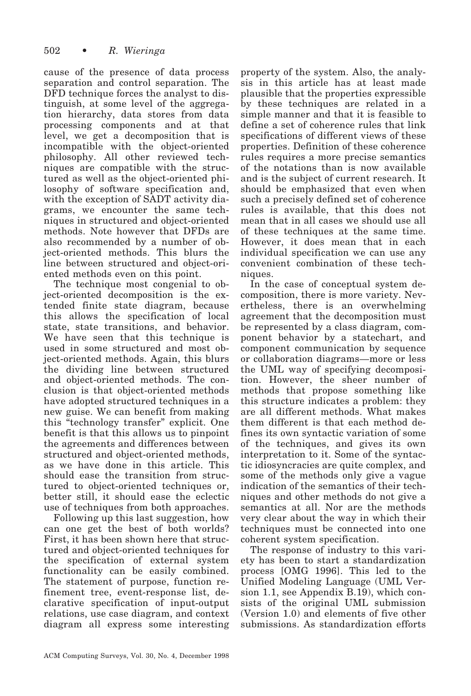cause of the presence of data process separation and control separation. The DFD technique forces the analyst to distinguish, at some level of the aggregation hierarchy, data stores from data processing components and at that level, we get a decomposition that is incompatible with the object-oriented philosophy. All other reviewed techniques are compatible with the structured as well as the object-oriented philosophy of software specification and, with the exception of SADT activity diagrams, we encounter the same techniques in structured and object-oriented methods. Note however that DFDs are also recommended by a number of object-oriented methods. This blurs the line between structured and object-oriented methods even on this point.

The technique most congenial to object-oriented decomposition is the extended finite state diagram, because this allows the specification of local state, state transitions, and behavior. We have seen that this technique is used in some structured and most object-oriented methods. Again, this blurs the dividing line between structured and object-oriented methods. The conclusion is that object-oriented methods have adopted structured techniques in a new guise. We can benefit from making this "technology transfer" explicit. One benefit is that this allows us to pinpoint the agreements and differences between structured and object-oriented methods, as we have done in this article. This should ease the transition from structured to object-oriented techniques or, better still, it should ease the eclectic use of techniques from both approaches.

Following up this last suggestion, how can one get the best of both worlds? First, it has been shown here that structured and object-oriented techniques for the specification of external system functionality can be easily combined. The statement of purpose, function refinement tree, event-response list, declarative specification of input-output relations, use case diagram, and context diagram all express some interesting property of the system. Also, the analysis in this article has at least made plausible that the properties expressible by these techniques are related in a simple manner and that it is feasible to define a set of coherence rules that link specifications of different views of these properties. Definition of these coherence rules requires a more precise semantics of the notations than is now available and is the subject of current research. It should be emphasized that even when such a precisely defined set of coherence rules is available, that this does not mean that in all cases we should use all of these techniques at the same time. However, it does mean that in each individual specification we can use any convenient combination of these techniques.

In the case of conceptual system decomposition, there is more variety. Nevertheless, there is an overwhelming agreement that the decomposition must be represented by a class diagram, component behavior by a statechart, and component communication by sequence or collaboration diagrams—more or less the UML way of specifying decomposition. However, the sheer number of methods that propose something like this structure indicates a problem: they are all different methods. What makes them different is that each method defines its own syntactic variation of some of the techniques, and gives its own interpretation to it. Some of the syntactic idiosyncracies are quite complex, and some of the methods only give a vague indication of the semantics of their techniques and other methods do not give a semantics at all. Nor are the methods very clear about the way in which their techniques must be connected into one coherent system specification.

The response of industry to this variety has been to start a standardization process [OMG 1996]. This led to the Unified Modeling Language (UML Version 1.1, see Appendix B.19), which consists of the original UML submission (Version 1.0) and elements of five other submissions. As standardization efforts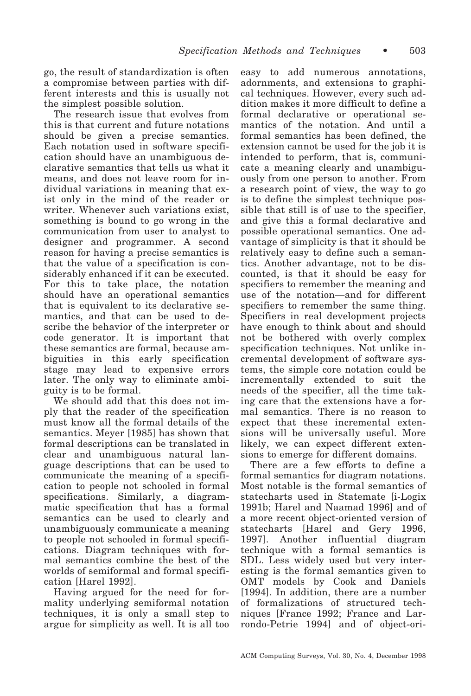go, the result of standardization is often a compromise between parties with different interests and this is usually not the simplest possible solution.

The research issue that evolves from this is that current and future notations should be given a precise semantics. Each notation used in software specification should have an unambiguous declarative semantics that tells us what it means, and does not leave room for individual variations in meaning that exist only in the mind of the reader or writer. Whenever such variations exist, something is bound to go wrong in the communication from user to analyst to designer and programmer. A second reason for having a precise semantics is that the value of a specification is considerably enhanced if it can be executed. For this to take place, the notation should have an operational semantics that is equivalent to its declarative semantics, and that can be used to describe the behavior of the interpreter or code generator. It is important that these semantics are formal, because ambiguities in this early specification stage may lead to expensive errors later. The only way to eliminate ambiguity is to be formal.

We should add that this does not imply that the reader of the specification must know all the formal details of the semantics. Meyer [1985] has shown that formal descriptions can be translated in clear and unambiguous natural language descriptions that can be used to communicate the meaning of a specification to people not schooled in formal specifications. Similarly, a diagrammatic specification that has a formal semantics can be used to clearly and unambiguously communicate a meaning to people not schooled in formal specifications. Diagram techniques with formal semantics combine the best of the worlds of semiformal and formal specification [Harel 1992].

Having argued for the need for formality underlying semiformal notation techniques, it is only a small step to argue for simplicity as well. It is all too easy to add numerous annotations, adornments, and extensions to graphical techniques. However, every such addition makes it more difficult to define a formal declarative or operational semantics of the notation. And until a formal semantics has been defined, the extension cannot be used for the job it is intended to perform, that is, communicate a meaning clearly and unambiguously from one person to another. From a research point of view, the way to go is to define the simplest technique possible that still is of use to the specifier, and give this a formal declarative and possible operational semantics. One advantage of simplicity is that it should be relatively easy to define such a semantics. Another advantage, not to be discounted, is that it should be easy for specifiers to remember the meaning and use of the notation—and for different specifiers to remember the same thing. Specifiers in real development projects have enough to think about and should not be bothered with overly complex specification techniques. Not unlike incremental development of software systems, the simple core notation could be incrementally extended to suit the needs of the specifier, all the time taking care that the extensions have a formal semantics. There is no reason to expect that these incremental extensions will be universally useful. More likely, we can expect different extensions to emerge for different domains.

There are a few efforts to define a formal semantics for diagram notations. Most notable is the formal semantics of statecharts used in Statemate [i-Logix 1991b; Harel and Naamad 1996] and of a more recent object-oriented version of statecharts [Harel and Gery 1996, 1997]. Another influential diagram technique with a formal semantics is SDL. Less widely used but very interesting is the formal semantics given to OMT models by Cook and Daniels [1994]. In addition, there are a number of formalizations of structured techniques [France 1992; France and Larrondo-Petrie 1994] and of object-ori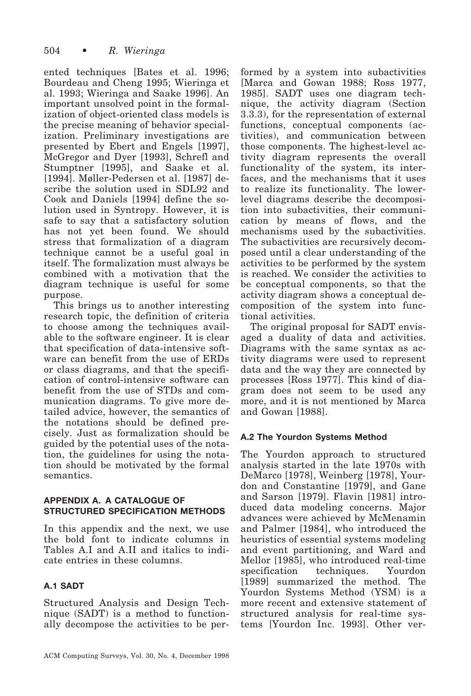ented techniques [Bates et al. 1996; Bourdeau and Cheng 1995; Wieringa et al. 1993; Wieringa and Saake 1996]. An important unsolved point in the formalization of object-oriented class models is the precise meaning of behavior specialization. Preliminary investigations are presented by Ebert and Engels [1997], McGregor and Dyer [1993], Schrefl and Stumptner [1995], and Saake et al. [1994]. Møller-Pedersen et al. [1987] describe the solution used in SDL92 and Cook and Daniels [1994] define the solution used in Syntropy. However, it is safe to say that a satisfactory solution has not yet been found. We should stress that formalization of a diagram technique cannot be a useful goal in itself. The formalization must always be combined with a motivation that the diagram technique is useful for some purpose.

This brings us to another interesting research topic, the definition of criteria to choose among the techniques available to the software engineer. It is clear that specification of data-intensive software can benefit from the use of ERDs or class diagrams, and that the specification of control-intensive software can benefit from the use of STDs and communication diagrams. To give more detailed advice, however, the semantics of the notations should be defined precisely. Just as formalization should be guided by the potential uses of the notation, the guidelines for using the notation should be motivated by the formal semantics.

## **APPENDIX A. A CATALOGUE OF STRUCTURED SPECIFICATION METHODS**

In this appendix and the next, we use the bold font to indicate columns in Tables A.I and A.II and italics to indicate entries in these columns.

# **A.1 SADT**

Structured Analysis and Design Technique (SADT) is a method to functionally decompose the activities to be performed by a system into subactivities [Marca and Gowan 1988; Ross 1977, 1985]. SADT uses one diagram technique, the activity diagram (Section 3.3.3), for the representation of external functions, conceptual components (activities), and communication between those components. The highest-level activity diagram represents the overall functionality of the system, its interfaces, and the mechanisms that it uses to realize its functionality. The lowerlevel diagrams describe the decomposition into subactivities, their communication by means of flows, and the mechanisms used by the subactivities. The subactivities are recursively decomposed until a clear understanding of the activities to be performed by the system is reached. We consider the activities to be conceptual components, so that the activity diagram shows a conceptual decomposition of the system into functional activities.

The original proposal for SADT envisaged a duality of data and activities. Diagrams with the same syntax as activity diagrams were used to represent data and the way they are connected by processes [Ross 1977]. This kind of diagram does not seem to be used any more, and it is not mentioned by Marca and Gowan [1988].

# **A.2 The Yourdon Systems Method**

The Yourdon approach to structured analysis started in the late 1970s with DeMarco [1978], Weinberg [1978], Yourdon and Constantine [1979], and Gane and Sarson [1979]. Flavin [1981] introduced data modeling concerns. Major advances were achieved by McMenamin and Palmer [1984], who introduced the heuristics of essential systems modeling and event partitioning, and Ward and Mellor [1985], who introduced real-time specification techniques. Yourdon [1989] summarized the method. The Yourdon Systems Method (YSM) is a more recent and extensive statement of structured analysis for real-time systems [Yourdon Inc. 1993]. Other ver-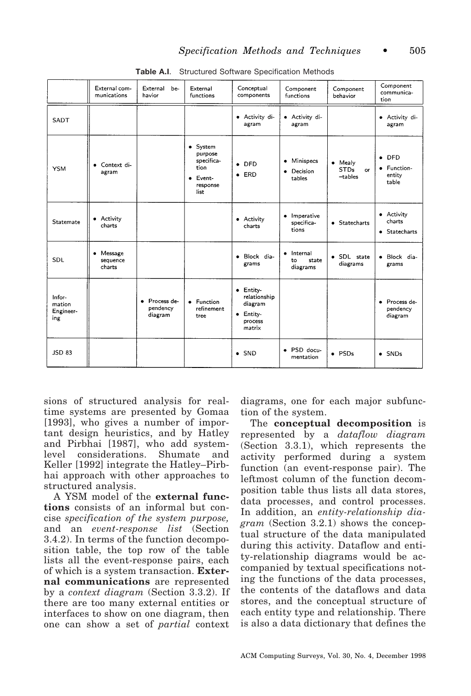|                                      | External com-<br>munications      | External<br>be-<br>havior            | External<br>functions                                                     | Conceptual<br>components                                               | Component<br>functions                            | Component<br>behavior                            | Component<br>communica-<br>tion                 |
|--------------------------------------|-----------------------------------|--------------------------------------|---------------------------------------------------------------------------|------------------------------------------------------------------------|---------------------------------------------------|--------------------------------------------------|-------------------------------------------------|
| <b>SADT</b>                          |                                   |                                      |                                                                           | · Activity di-<br>agram                                                | · Activity di-<br>agram                           |                                                  | · Activity di-<br>agram                         |
| <b>YSM</b>                           | Context di-<br>$\bullet$<br>agram |                                      | • System<br>purpose<br>specifica-<br>tion<br>• Event-<br>response<br>list | $\bullet$ DFD<br>$\bullet$ ERD                                         | Minispecs<br>٠<br>Decision<br>$\bullet$<br>tables | • Mealy<br>ST <sub>Ds</sub><br>or<br>$-\ntables$ | $\bullet$ DFD<br>· Function-<br>entity<br>table |
| Statemate                            | • Activity<br>charts              |                                      |                                                                           | • Activity<br>charts                                                   | · Imperative<br>specifica-<br>tions               | · Statecharts                                    | • Activity<br>charts<br>• Statecharts           |
| SDL                                  | • Message<br>sequence<br>charts   |                                      |                                                                           | · Block dia-<br>grams                                                  | · Internal<br>state<br>to<br>diagrams             | · SDL state<br>diagrams                          | · Block dia-<br>grams                           |
| Infor-<br>mation<br>Engineer-<br>ing |                                   | · Process de-<br>pendency<br>diagram | • Function<br>refinement<br>tree                                          | · Entity-<br>relationship<br>diagram<br>· Entity-<br>process<br>matrix |                                                   |                                                  | · Process de-<br>pendency<br>diagram            |
| JSD 83                               |                                   |                                      |                                                                           | $\bullet$ SND                                                          | · PSD docu-<br>mentation                          | $\bullet$ PSDs                                   | $\bullet$ SNDs                                  |

**Table A.I**. Structured Software Specification Methods

sions of structured analysis for realtime systems are presented by Gomaa [1993], who gives a number of important design heuristics, and by Hatley and Pirbhai [1987], who add systemlevel considerations. Shumate and Keller [1992] integrate the Hatley–Pirbhai approach with other approaches to structured analysis.

A YSM model of the **external functions** consists of an informal but concise *specification of the system purpose,* and an *event-response list* (Section 3.4.2). In terms of the function decomposition table, the top row of the table lists all the event-response pairs, each of which is a system transaction. **External communications** are represented by a *context diagram* (Section 3.3.2). If there are too many external entities or interfaces to show on one diagram, then one can show a set of *partial* context

diagrams, one for each major subfunction of the system.

The **conceptual decomposition** is represented by a *dataflow diagram* (Section 3.3.1), which represents the activity performed during a system function (an event-response pair). The leftmost column of the function decomposition table thus lists all data stores, data processes, and control processes. In addition, an *entity-relationship diagram* (Section 3.2.1) shows the conceptual structure of the data manipulated during this activity. Dataflow and entity-relationship diagrams would be accompanied by textual specifications noting the functions of the data processes, the contents of the dataflows and data stores, and the conceptual structure of each entity type and relationship. There is also a data dictionary that defines the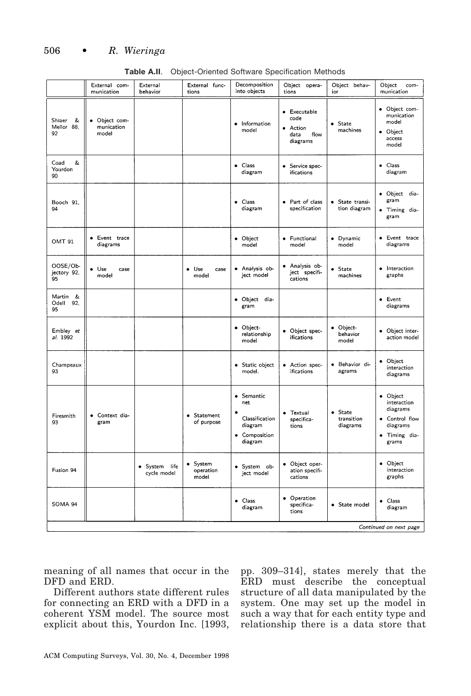|                                 | External com-<br>munication        | External<br>behavior         | External func-<br>tions           | Decomposition<br>into objects                                                            | Object Oriented Obitware Opeemcation Michiods<br>Object opera-<br>tions | Object behav-<br>ior              | Object<br>com-<br>munication                                                              |
|---------------------------------|------------------------------------|------------------------------|-----------------------------------|------------------------------------------------------------------------------------------|-------------------------------------------------------------------------|-----------------------------------|-------------------------------------------------------------------------------------------|
| Shlaer<br>&<br>Mellor 88.<br>92 | Object com-<br>munication<br>model |                              |                                   | Information<br>model                                                                     | • Executable<br>code<br>Action<br>data<br>flow<br>diagrams              | · State<br>machines               | · Object com-<br>munication<br>model<br>· Object<br>access<br>model                       |
| Coad<br>&<br>Yourdon<br>90      |                                    |                              |                                   | · Class<br>diagram                                                                       | • Service spec-<br>ifications                                           |                                   | • Class<br>diagram                                                                        |
| Booch 91.<br>94                 |                                    |                              |                                   | Class<br>٠<br>diagram                                                                    | Part of class<br>$\bullet$<br>specification                             | · State transi-<br>tion diagram   | · Object dia-<br>gram<br>Timing dia-<br>gram                                              |
| OMT 91                          | Event trace<br>diagrams            |                              |                                   | · Object<br>model                                                                        | Functional<br>$\bullet$<br>model                                        | · Dynamic<br>model                | · Event trace<br>diagrams                                                                 |
| OOSE/Ob-<br>jectory 92,<br>95   | Use<br>case<br>model               |                              | Use<br>$\bullet$<br>case<br>model | Analysis ob-<br>$\bullet$<br>ject model                                                  | · Analysis ob-<br>ject specifi-<br>cations                              | • State<br>machines               | Interaction<br>٠<br>graphs                                                                |
| Martin &<br>Odell 92,<br>95     |                                    |                              |                                   | · Object dia-<br>gram                                                                    |                                                                         |                                   | • Event<br>diagrams                                                                       |
| Embley et<br>al. 1992           |                                    |                              |                                   | · Object-<br>relationship<br>model                                                       | • Object spec-<br>ifications                                            | · Object-<br>behavior<br>model    | Object inter-<br>action model                                                             |
| Champeaux<br>93                 |                                    |                              |                                   | Static object<br>model.                                                                  | • Action spec-<br>ifications                                            | • Behavior di-<br>agrams          | • Object<br>interaction<br>diagrams                                                       |
| Firesmith<br>93                 | Context dia-<br>۰<br>gram          |                              | • Statement<br>of purpose         | Semantic<br>$\bullet$<br>net<br>Classification<br>diagram<br>Composition<br>٠<br>diagram | · Textual<br>specifica-<br>tions                                        | • State<br>transition<br>diagrams | • Object<br>interaction<br>diagrams<br>Control flow<br>diagrams<br>· Timing dia-<br>grams |
| Fusion 94                       |                                    | · System life<br>cycle model | • System<br>operation<br>model    | System ob-<br>ject model                                                                 | • Object oper-<br>ation specifi-<br>cations                             |                                   | Object<br>interaction<br>graphs                                                           |
| <b>SOMA 94</b>                  |                                    |                              |                                   | · Class<br>diagram                                                                       | · Operation<br>specifica-<br>tions                                      | · State model                     | Class<br>diagram                                                                          |
| Continued on next page          |                                    |                              |                                   |                                                                                          |                                                                         |                                   |                                                                                           |

**Table A.II**. Object-Oriented Software Specification Methods

meaning of all names that occur in the DFD and ERD.

Different authors state different rules for connecting an ERD with a DFD in a coherent YSM model. The source most explicit about this, Yourdon Inc. [1993, pp. 309–314], states merely that the ERD must describe the conceptual structure of all data manipulated by the system. One may set up the model in such a way that for each entity type and relationship there is a data store that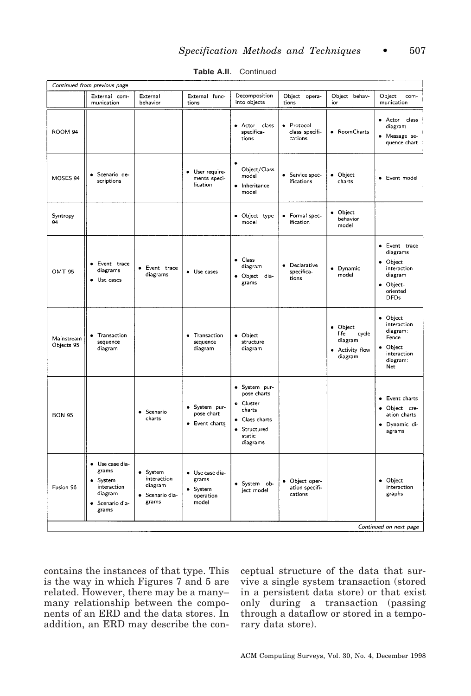| Continued from previous page |                                                                                        |                                                                |                                                             |                                                                                                         |                                             |                                                                    |                                                                                                         |
|------------------------------|----------------------------------------------------------------------------------------|----------------------------------------------------------------|-------------------------------------------------------------|---------------------------------------------------------------------------------------------------------|---------------------------------------------|--------------------------------------------------------------------|---------------------------------------------------------------------------------------------------------|
|                              | External com-<br>munication                                                            | External<br>behavior                                           | External func-<br>tions                                     | Decomposition<br>into objects                                                                           | Object opera-<br>tions                      | Object behav-<br>ior                                               | Object<br>com-<br>munication                                                                            |
| ROOM 94                      |                                                                                        |                                                                |                                                             | · Actor class<br>specifica-<br>tions                                                                    | • Protocol<br>class specifi-<br>cations     | • RoomCharts                                                       | · Actor class<br>diagram<br>· Message se-<br>quence chart                                               |
| MOSES 94                     | Scenario de-<br>scriptions                                                             |                                                                | User require-<br>ments speci-<br>fication                   | Object/Class<br>model<br>• Inheritance<br>model                                                         | • Service spec-<br>ifications               | • Object<br>charts                                                 | • Event model                                                                                           |
| Syntropy<br>94               |                                                                                        |                                                                |                                                             | • Object type<br>model                                                                                  | • Formal spec-<br>ification                 | · Object<br>behavior<br>model                                      |                                                                                                         |
| OMT 95                       | Event trace<br>diagrams<br>Use cases                                                   | Event trace<br>diagrams                                        | · Use cases                                                 | · Class<br>diagram<br>· Object dia-<br>grams                                                            | Declarative<br>specifica-<br>tions          | · Dynamic<br>model                                                 | · Event trace<br>diagrams<br>· Object<br>interaction<br>diagram<br>· Object-<br>oriented<br><b>DFDs</b> |
| Mainstream<br>Objects 95     | Transaction<br>sequence<br>diagram                                                     |                                                                | Transaction<br>sequence<br>diagram                          | • Object<br>structure<br>diagram                                                                        |                                             | · Object<br>life<br>cycle<br>diagram<br>• Activity flow<br>diagram | · Object<br>interaction<br>diagram:<br>Fence<br>• Object<br>interaction<br>diagram:<br>Net              |
| <b>BON 95</b>                |                                                                                        | Scenario<br>٠<br>charts                                        | System pur-<br>$\bullet$<br>pose chart<br>• Event charts    | · System pur-<br>pose charts<br>Cluster<br>charts<br>Class charts<br>· Structured<br>static<br>diagrams |                                             |                                                                    | • Event charts<br>· Object cre-<br>ation charts<br>· Dynamic di-<br>agrams                              |
| Fusion 96                    | · Use case dia-<br>grams<br>System<br>interaction<br>diagram<br>Scenario dia-<br>grams | • System<br>interaction<br>diagram<br>· Scenario dia-<br>grams | Use case dia-<br>٠<br>grams<br>System<br>operation<br>model | System ob-<br>۰<br>ject model                                                                           | • Object oper-<br>ation specifi-<br>cations |                                                                    | · Object<br>interaction<br>graphs<br>Continued on next page                                             |
|                              |                                                                                        |                                                                |                                                             |                                                                                                         |                                             |                                                                    |                                                                                                         |

**Table A.II**. Continued

contains the instances of that type. This is the way in which Figures 7 and 5 are related. However, there may be a many– many relationship between the components of an ERD and the data stores. In addition, an ERD may describe the con-

ceptual structure of the data that survive a single system transaction (stored in a persistent data store) or that exist only during a transaction (passing through a dataflow or stored in a temporary data store).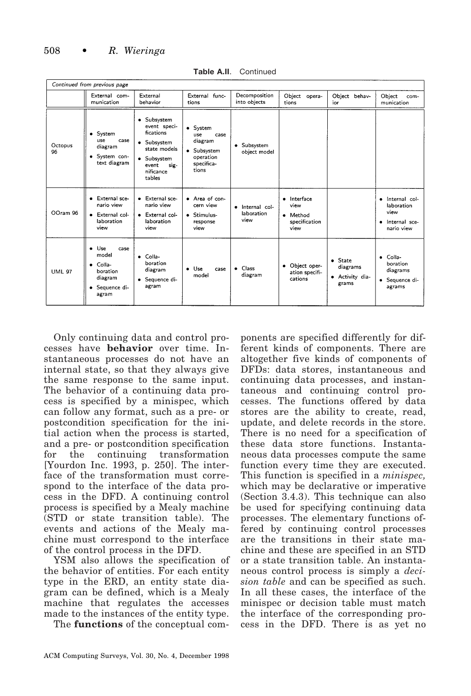| Continued from previous page |                                                                                                      |                                                                                                                                |                                                                                       |                                       |                                                          |                                                         |                                                                        |
|------------------------------|------------------------------------------------------------------------------------------------------|--------------------------------------------------------------------------------------------------------------------------------|---------------------------------------------------------------------------------------|---------------------------------------|----------------------------------------------------------|---------------------------------------------------------|------------------------------------------------------------------------|
|                              | External com-<br>munication                                                                          | External<br>behavior                                                                                                           | External func-<br>tions                                                               | Decomposition<br>into objects         | Object opera-<br>tions                                   | Object behav-<br>ior                                    | Object<br>com-<br>munication                                           |
| Octopus<br>96                | • System<br>use<br>case<br>diagram<br>• System con-<br>text diagram                                  | • Subsystem<br>event speci-<br>fications<br>• Subsystem<br>state models<br>· Subsystem<br>sig-<br>event<br>nificance<br>tables | • System<br>use<br>case<br>diagram<br>· Subsystem<br>operation<br>specifica-<br>tions | · Subsystem<br>object model           |                                                          |                                                         |                                                                        |
| OOram 96                     | · External sce-<br>nario view<br>· External col-<br>laboration<br>view                               | • External sce-<br>nario view<br>• External col-<br>laboration<br>view                                                         | • Area of con-<br>cern view<br>· Stimulus-<br>response<br>view                        | · Internal col-<br>laboration<br>view | · Interface<br>view<br>• Method<br>specification<br>view |                                                         | · Internal col-<br>laboration<br>view<br>· Internal sce-<br>nario view |
| <b>UML 97</b>                | $\bullet$ Use<br>case<br>model<br>$\bullet$ Colla-<br>boration<br>diagram<br>• Sequence di-<br>agram | · Colla-<br>boration<br>diagram<br>· Sequence di-<br>agram                                                                     | • Use<br>case<br>model                                                                | • Class<br>diagram                    | • Object oper-<br>ation specifi-<br>cations              | $\bullet$ State<br>diagrams<br>· Activity dia-<br>grams | Colla-<br>boration<br>diagrams<br>· Sequence di-<br>agrams             |

**Table A.II**. Continued

Only continuing data and control processes have **behavior** over time. Instantaneous processes do not have an internal state, so that they always give the same response to the same input. The behavior of a continuing data process is specified by a minispec, which can follow any format, such as a pre- or postcondition specification for the initial action when the process is started, and a pre- or postcondition specification for the continuing transformation [Yourdon Inc. 1993, p. 250]. The interface of the transformation must correspond to the interface of the data process in the DFD. A continuing control process is specified by a Mealy machine (STD or state transition table). The events and actions of the Mealy machine must correspond to the interface of the control process in the DFD.

YSM also allows the specification of the behavior of entities. For each entity type in the ERD, an entity state diagram can be defined, which is a Mealy machine that regulates the accesses made to the instances of the entity type.

The **functions** of the conceptual com-

ponents are specified differently for different kinds of components. There are altogether five kinds of components of DFDs: data stores, instantaneous and continuing data processes, and instantaneous and continuing control processes. The functions offered by data stores are the ability to create, read, update, and delete records in the store. There is no need for a specification of these data store functions. Instantaneous data processes compute the same function every time they are executed. This function is specified in a *minispec,* which may be declarative or imperative (Section 3.4.3). This technique can also be used for specifying continuing data processes. The elementary functions offered by continuing control processes are the transitions in their state machine and these are specified in an STD or a state transition table. An instantaneous control process is simply a *decision table* and can be specified as such. In all these cases, the interface of the minispec or decision table must match the interface of the corresponding process in the DFD. There is as yet no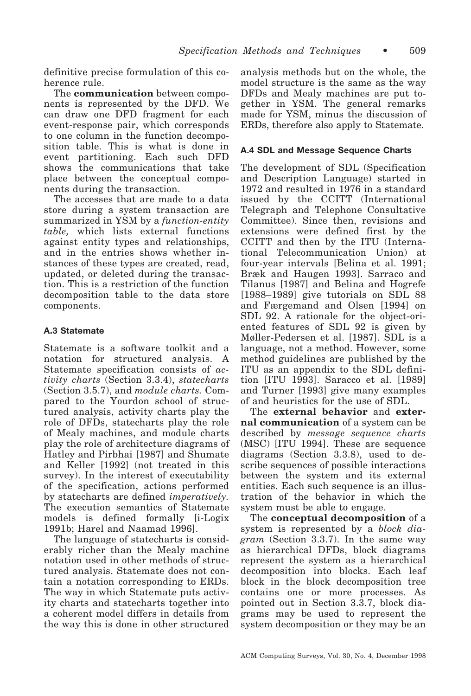definitive precise formulation of this coherence rule.

The **communication** between components is represented by the DFD. We can draw one DFD fragment for each event-response pair, which corresponds to one column in the function decomposition table. This is what is done in event partitioning. Each such DFD shows the communications that take place between the conceptual components during the transaction.

The accesses that are made to a data store during a system transaction are summarized in YSM by a *function-entity table,* which lists external functions against entity types and relationships, and in the entries shows whether instances of these types are created, read, updated, or deleted during the transaction. This is a restriction of the function decomposition table to the data store components.

## **A.3 Statemate**

Statemate is a software toolkit and a notation for structured analysis. A Statemate specification consists of *activity charts* (Section 3.3.4), *statecharts* (Section 3.5.7), and *module charts.* Compared to the Yourdon school of structured analysis, activity charts play the role of DFDs, statecharts play the role of Mealy machines, and module charts play the role of architecture diagrams of Hatley and Pirbhai [1987] and Shumate and Keller [1992] (not treated in this survey). In the interest of executability of the specification, actions performed by statecharts are defined *imperatively.* The execution semantics of Statemate models is defined formally [i-Logix 1991b; Harel and Naamad 1996].

The language of statecharts is considerably richer than the Mealy machine notation used in other methods of structured analysis. Statemate does not contain a notation corresponding to ERDs. The way in which Statemate puts activity charts and statecharts together into a coherent model differs in details from the way this is done in other structured analysis methods but on the whole, the model structure is the same as the way DFDs and Mealy machines are put together in YSM. The general remarks made for YSM, minus the discussion of ERDs, therefore also apply to Statemate.

### **A.4 SDL and Message Sequence Charts**

The development of SDL (Specification and Description Language) started in 1972 and resulted in 1976 in a standard issued by the CCITT (International Telegraph and Telephone Consultative Committee). Since then, revisions and extensions were defined first by the CCITT and then by the ITU (International Telecommunication Union) at four-year intervals [Belina et al. 1991; Bræk and Haugen 1993]. Sarraco and Tilanus [1987] and Belina and Hogrefe [1988–1989] give tutorials on SDL 88 and Færgemand and Olsen [1994] on SDL 92. A rationale for the object-oriented features of SDL 92 is given by Møller-Pedersen et al. [1987]. SDL is a language, not a method. However, some method guidelines are published by the ITU as an appendix to the SDL definition [ITU 1993]. Saracco et al. [1989] and Turner [1993] give many examples of and heuristics for the use of SDL.

The **external behavior** and **external communication** of a system can be described by *message sequence charts* (MSC) [ITU 1994]. These are sequence diagrams (Section 3.3.8), used to describe sequences of possible interactions between the system and its external entities. Each such sequence is an illustration of the behavior in which the system must be able to engage.

The **conceptual decomposition** of a system is represented by a *block diagram* (Section 3.3.7). In the same way as hierarchical DFDs, block diagrams represent the system as a hierarchical decomposition into blocks. Each leaf block in the block decomposition tree contains one or more processes. As pointed out in Section 3.3.7, block diagrams may be used to represent the system decomposition or they may be an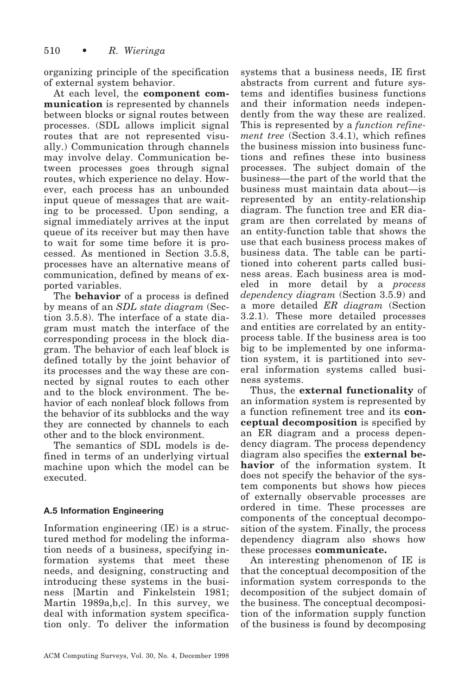organizing principle of the specification of external system behavior.

At each level, the **component communication** is represented by channels between blocks or signal routes between processes. (SDL allows implicit signal routes that are not represented visually.) Communication through channels may involve delay. Communication between processes goes through signal routes, which experience no delay. However, each process has an unbounded input queue of messages that are waiting to be processed. Upon sending, a signal immediately arrives at the input queue of its receiver but may then have to wait for some time before it is processed. As mentioned in Section 3.5.8, processes have an alternative means of communication, defined by means of exported variables.

The **behavior** of a process is defined by means of an *SDL state diagram* (Section 3.5.8). The interface of a state diagram must match the interface of the corresponding process in the block diagram. The behavior of each leaf block is defined totally by the joint behavior of its processes and the way these are connected by signal routes to each other and to the block environment. The behavior of each nonleaf block follows from the behavior of its subblocks and the way they are connected by channels to each other and to the block environment.

The semantics of SDL models is defined in terms of an underlying virtual machine upon which the model can be executed.

## **A.5 Information Engineering**

Information engineering (IE) is a structured method for modeling the information needs of a business, specifying information systems that meet these needs, and designing, constructing and introducing these systems in the business [Martin and Finkelstein 1981; Martin 1989a,b,c]. In this survey, we deal with information system specification only. To deliver the information systems that a business needs, IE first abstracts from current and future systems and identifies business functions and their information needs independently from the way these are realized. This is represented by a *function refinement tree* (Section 3.4.1), which refines the business mission into business functions and refines these into business processes. The subject domain of the business—the part of the world that the business must maintain data about—is represented by an entity-relationship diagram. The function tree and ER diagram are then correlated by means of an entity-function table that shows the use that each business process makes of business data. The table can be partitioned into coherent parts called business areas. Each business area is modeled in more detail by a *process dependency diagram* (Section 3.5.9) and a more detailed *ER diagram* (Section 3.2.1). These more detailed processes and entities are correlated by an entityprocess table. If the business area is too big to be implemented by one information system, it is partitioned into several information systems called business systems.

Thus, the **external functionality** of an information system is represented by a function refinement tree and its **conceptual decomposition** is specified by an ER diagram and a process dependency diagram. The process dependency diagram also specifies the **external behavior** of the information system. It does not specify the behavior of the system components but shows how pieces of externally observable processes are ordered in time. These processes are components of the conceptual decomposition of the system. Finally, the process dependency diagram also shows how these processes **communicate.**

An interesting phenomenon of IE is that the conceptual decomposition of the information system corresponds to the decomposition of the subject domain of the business. The conceptual decomposition of the information supply function of the business is found by decomposing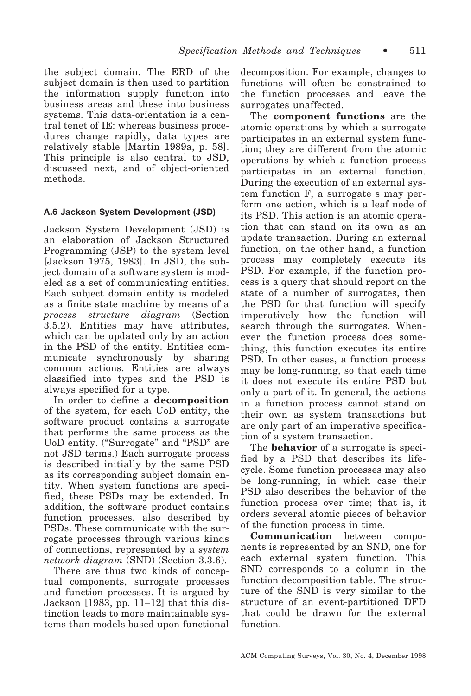the subject domain. The ERD of the subject domain is then used to partition the information supply function into business areas and these into business systems. This data-orientation is a central tenet of IE: whereas business procedures change rapidly, data types are relatively stable [Martin 1989a, p. 58]. This principle is also central to JSD, discussed next, and of object-oriented methods.

#### **A.6 Jackson System Development (JSD)**

Jackson System Development (JSD) is an elaboration of Jackson Structured Programming (JSP) to the system level [Jackson 1975, 1983]. In JSD, the subject domain of a software system is modeled as a set of communicating entities. Each subject domain entity is modeled as a finite state machine by means of a *process structure diagram* (Section 3.5.2). Entities may have attributes, which can be updated only by an action in the PSD of the entity. Entities communicate synchronously by sharing common actions. Entities are always classified into types and the PSD is always specified for a type.

In order to define a **decomposition** of the system, for each UoD entity, the software product contains a surrogate that performs the same process as the UoD entity. ("Surrogate" and "PSD" are not JSD terms.) Each surrogate process is described initially by the same PSD as its corresponding subject domain entity. When system functions are specified, these PSDs may be extended. In addition, the software product contains function processes, also described by PSDs. These communicate with the surrogate processes through various kinds of connections, represented by a *system network diagram* (SND) (Section 3.3.6).

There are thus two kinds of conceptual components, surrogate processes and function processes. It is argued by Jackson [1983, pp. 11–12] that this distinction leads to more maintainable systems than models based upon functional decomposition. For example, changes to functions will often be constrained to the function processes and leave the surrogates unaffected.

The **component functions** are the atomic operations by which a surrogate participates in an external system function; they are different from the atomic operations by which a function process participates in an external function. During the execution of an external system function F, a surrogate s may perform one action, which is a leaf node of its PSD. This action is an atomic operation that can stand on its own as an update transaction. During an external function, on the other hand, a function process may completely execute its PSD. For example, if the function process is a query that should report on the state of a number of surrogates, then the PSD for that function will specify imperatively how the function will search through the surrogates. Whenever the function process does something, this function executes its entire PSD. In other cases, a function process may be long-running, so that each time it does not execute its entire PSD but only a part of it. In general, the actions in a function process cannot stand on their own as system transactions but are only part of an imperative specification of a system transaction.

The **behavior** of a surrogate is specified by a PSD that describes its lifecycle. Some function processes may also be long-running, in which case their PSD also describes the behavior of the function process over time; that is, it orders several atomic pieces of behavior of the function process in time.

**Communication** between components is represented by an SND, one for each external system function. This SND corresponds to a column in the function decomposition table. The structure of the SND is very similar to the structure of an event-partitioned DFD that could be drawn for the external function.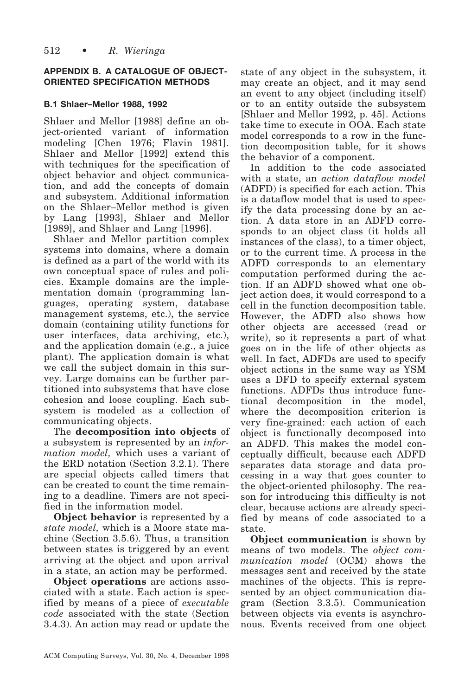## **APPENDIX B. A CATALOGUE OF OBJECT-ORIENTED SPECIFICATION METHODS**

## **B.1 Shlaer–Mellor 1988, 1992**

Shlaer and Mellor [1988] define an object-oriented variant of information modeling [Chen 1976; Flavin 1981]. Shlaer and Mellor [1992] extend this with techniques for the specification of object behavior and object communication, and add the concepts of domain and subsystem. Additional information on the Shlaer–Mellor method is given by Lang [1993], Shlaer and Mellor [1989], and Shlaer and Lang [1996].

Shlaer and Mellor partition complex systems into domains, where a domain is defined as a part of the world with its own conceptual space of rules and policies. Example domains are the implementation domain (programming languages, operating system, database management systems, etc.), the service domain (containing utility functions for user interfaces, data archiving, etc.), and the application domain (e.g., a juice plant). The application domain is what we call the subject domain in this survey. Large domains can be further partitioned into subsystems that have close cohesion and loose coupling. Each subsystem is modeled as a collection of communicating objects.

The **decomposition into objects** of a subsystem is represented by an *information model,* which uses a variant of the ERD notation (Section 3.2.1). There are special objects called timers that can be created to count the time remaining to a deadline. Timers are not specified in the information model.

**Object behavior** is represented by a *state model,* which is a Moore state machine (Section 3.5.6). Thus, a transition between states is triggered by an event arriving at the object and upon arrival in a state, an action may be performed.

**Object operations** are actions associated with a state. Each action is specified by means of a piece of *executable code* associated with the state (Section 3.4.3). An action may read or update the state of any object in the subsystem, it may create an object, and it may send an event to any object (including itself) or to an entity outside the subsystem [Shlaer and Mellor 1992, p. 45]. Actions take time to execute in OOA. Each state model corresponds to a row in the function decomposition table, for it shows the behavior of a component.

In addition to the code associated with a state, an *action dataflow model* (ADFD) is specified for each action. This is a dataflow model that is used to specify the data processing done by an action. A data store in an ADFD corresponds to an object class (it holds all instances of the class), to a timer object, or to the current time. A process in the ADFD corresponds to an elementary computation performed during the action. If an ADFD showed what one object action does, it would correspond to a cell in the function decomposition table. However, the ADFD also shows how other objects are accessed (read or write), so it represents a part of what goes on in the life of other objects as well. In fact, ADFDs are used to specify object actions in the same way as YSM uses a DFD to specify external system functions. ADFDs thus introduce functional decomposition in the model, where the decomposition criterion is very fine-grained: each action of each object is functionally decomposed into an ADFD. This makes the model conceptually difficult, because each ADFD separates data storage and data processing in a way that goes counter to the object-oriented philosophy. The reason for introducing this difficulty is not clear, because actions are already specified by means of code associated to a state.

**Object communication** is shown by means of two models. The *object communication model* (OCM) shows the messages sent and received by the state machines of the objects. This is represented by an object communication diagram (Section 3.3.5). Communication between objects via events is asynchronous. Events received from one object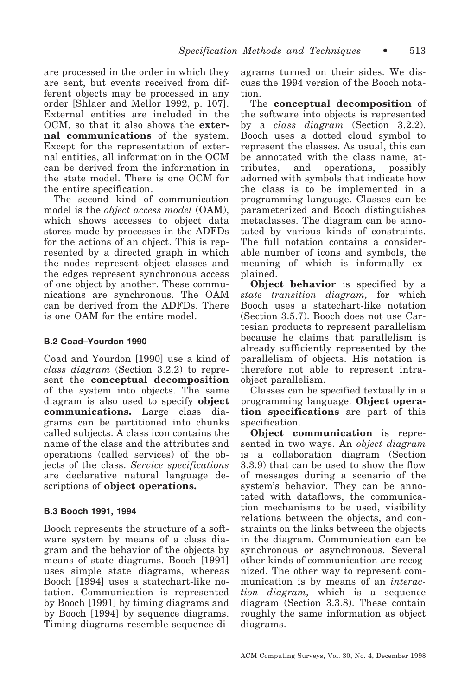are processed in the order in which they are sent, but events received from different objects may be processed in any order [Shlaer and Mellor 1992, p. 107]. External entities are included in the OCM, so that it also shows the **external communications** of the system. Except for the representation of external entities, all information in the OCM can be derived from the information in the state model. There is one OCM for the entire specification.

The second kind of communication model is the *object access model* (OAM), which shows accesses to object data stores made by processes in the ADFDs for the actions of an object. This is represented by a directed graph in which the nodes represent object classes and the edges represent synchronous access of one object by another. These communications are synchronous. The OAM can be derived from the ADFDs. There is one OAM for the entire model.

## **B.2 Coad–Yourdon 1990**

Coad and Yourdon [1990] use a kind of *class diagram* (Section 3.2.2) to represent the **conceptual decomposition** of the system into objects. The same diagram is also used to specify **object communications.** Large class diagrams can be partitioned into chunks called subjects. A class icon contains the name of the class and the attributes and operations (called services) of the objects of the class. *Service specifications* are declarative natural language descriptions of **object operations.**

## **B.3 Booch 1991, 1994**

Booch represents the structure of a software system by means of a class diagram and the behavior of the objects by means of state diagrams. Booch [1991] uses simple state diagrams, whereas Booch [1994] uses a statechart-like notation. Communication is represented by Booch [1991] by timing diagrams and by Booch [1994] by sequence diagrams. Timing diagrams resemble sequence diagrams turned on their sides. We discuss the 1994 version of the Booch notation.

The **conceptual decomposition** of the software into objects is represented by a *class diagram* (Section 3.2.2). Booch uses a dotted cloud symbol to represent the classes. As usual, this can be annotated with the class name, attributes, and operations, possibly adorned with symbols that indicate how the class is to be implemented in a programming language. Classes can be parameterized and Booch distinguishes metaclasses. The diagram can be annotated by various kinds of constraints. The full notation contains a considerable number of icons and symbols, the meaning of which is informally explained.

**Object behavior** is specified by a *state transition diagram,* for which Booch uses a statechart-like notation (Section 3.5.7). Booch does not use Cartesian products to represent parallelism because he claims that parallelism is already sufficiently represented by the parallelism of objects. His notation is therefore not able to represent intraobject parallelism.

Classes can be specified textually in a programming language. **Object operation specifications** are part of this specification.

**Object communication** is represented in two ways. An *object diagram* is a collaboration diagram (Section 3.3.9) that can be used to show the flow of messages during a scenario of the system's behavior. They can be annotated with dataflows, the communication mechanisms to be used, visibility relations between the objects, and constraints on the links between the objects in the diagram. Communication can be synchronous or asynchronous. Several other kinds of communication are recognized. The other way to represent communication is by means of an *interaction diagram,* which is a sequence diagram (Section 3.3.8). These contain roughly the same information as object diagrams.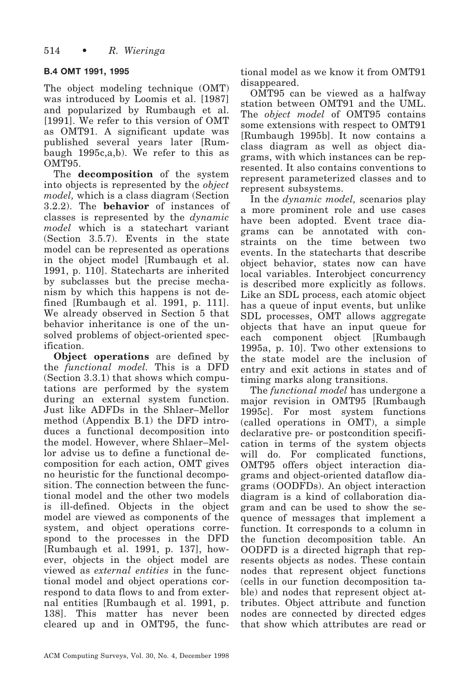# **B.4 OMT 1991, 1995**

The object modeling technique (OMT) was introduced by Loomis et al. [1987] and popularized by Rumbaugh et al. [1991]. We refer to this version of OMT as OMT91. A significant update was published several years later [Rumbaugh 1995c,a,b). We refer to this as OMT95.

The **decomposition** of the system into objects is represented by the *object model,* which is a class diagram (Section 3.2.2). The **behavior** of instances of classes is represented by the *dynamic model* which is a statechart variant (Section 3.5.7). Events in the state model can be represented as operations in the object model [Rumbaugh et al. 1991, p. 110]. Statecharts are inherited by subclasses but the precise mechanism by which this happens is not defined [Rumbaugh et al. 1991, p. 111]. We already observed in Section 5 that behavior inheritance is one of the unsolved problems of object-oriented specification.

**Object operations** are defined by the *functional model.* This is a DFD (Section 3.3.1) that shows which computations are performed by the system during an external system function. Just like ADFDs in the Shlaer–Mellor method (Appendix B.1) the DFD introduces a functional decomposition into the model. However, where Shlaer–Mellor advise us to define a functional decomposition for each action, OMT gives no heuristic for the functional decomposition. The connection between the functional model and the other two models is ill-defined. Objects in the object model are viewed as components of the system, and object operations correspond to the processes in the DFD [Rumbaugh et al. 1991, p. 137], however, objects in the object model are viewed as *external entities* in the functional model and object operations correspond to data flows to and from external entities [Rumbaugh et al. 1991, p. 138]. This matter has never been cleared up and in OMT95, the functional model as we know it from OMT91 disappeared.

OMT95 can be viewed as a halfway station between OMT91 and the UML. The *object model* of OMT95 contains some extensions with respect to OMT91 [Rumbaugh 1995b]. It now contains a class diagram as well as object diagrams, with which instances can be represented. It also contains conventions to represent parameterized classes and to represent subsystems.

In the *dynamic model,* scenarios play a more prominent role and use cases have been adopted. Event trace diagrams can be annotated with constraints on the time between two events. In the statecharts that describe object behavior, states now can have local variables. Interobject concurrency is described more explicitly as follows. Like an SDL process, each atomic object has a queue of input events, but unlike SDL processes, OMT allows aggregate objects that have an input queue for each component object [Rumbaugh 1995a, p. 10]. Two other extensions to the state model are the inclusion of entry and exit actions in states and of timing marks along transitions.

The *functional model* has undergone a major revision in OMT95 [Rumbaugh 1995c]. For most system functions (called operations in OMT), a simple declarative pre- or postcondition specification in terms of the system objects will do. For complicated functions, OMT95 offers object interaction diagrams and object-oriented dataflow diagrams (OODFDs). An object interaction diagram is a kind of collaboration diagram and can be used to show the sequence of messages that implement a function. It corresponds to a column in the function decomposition table. An OODFD is a directed higraph that represents objects as nodes. These contain nodes that represent object functions (cells in our function decomposition table) and nodes that represent object attributes. Object attribute and function nodes are connected by directed edges that show which attributes are read or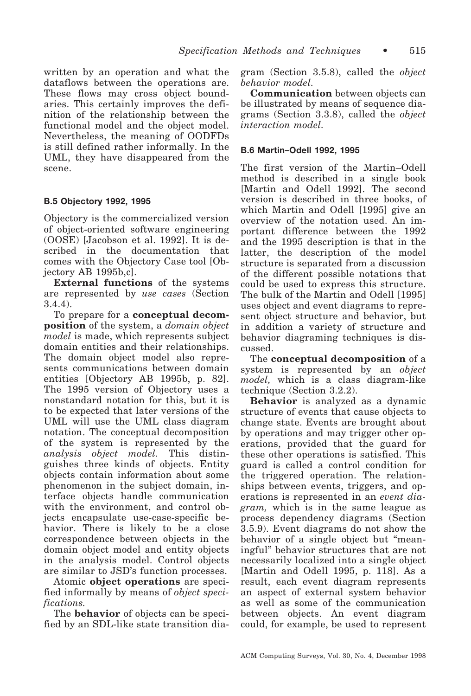written by an operation and what the dataflows between the operations are. These flows may cross object boundaries. This certainly improves the definition of the relationship between the functional model and the object model. Nevertheless, the meaning of OODFDs is still defined rather informally. In the UML, they have disappeared from the scene.

## **B.5 Objectory 1992, 1995**

Objectory is the commercialized version of object-oriented software engineering (OOSE) [Jacobson et al. 1992]. It is described in the documentation that comes with the Objectory Case tool [Objectory AB 1995b,c].

**External functions** of the systems are represented by *use cases* (Section 3.4.4).

To prepare for a **conceptual decomposition** of the system, a *domain object model* is made, which represents subject domain entities and their relationships. The domain object model also represents communications between domain entities [Objectory AB 1995b, p. 82]. The 1995 version of Objectory uses a nonstandard notation for this, but it is to be expected that later versions of the UML will use the UML class diagram notation. The conceptual decomposition of the system is represented by the *analysis object model.* This distinguishes three kinds of objects. Entity objects contain information about some phenomenon in the subject domain, interface objects handle communication with the environment, and control objects encapsulate use-case-specific behavior. There is likely to be a close correspondence between objects in the domain object model and entity objects in the analysis model. Control objects are similar to JSD's function processes.

Atomic **object operations** are specified informally by means of *object specifications.*

The **behavior** of objects can be specified by an SDL-like state transition diagram (Section 3.5.8), called the *object behavior model.*

**Communication** between objects can be illustrated by means of sequence diagrams (Section 3.3.8), called the *object interaction model.*

### **B.6 Martin–Odell 1992, 1995**

The first version of the Martin–Odell method is described in a single book [Martin and Odell 1992]. The second version is described in three books, of which Martin and Odell [1995] give an overview of the notation used. An important difference between the 1992 and the 1995 description is that in the latter, the description of the model structure is separated from a discussion of the different possible notations that could be used to express this structure. The bulk of the Martin and Odell [1995] uses object and event diagrams to represent object structure and behavior, but in addition a variety of structure and behavior diagraming techniques is discussed.

The **conceptual decomposition** of a system is represented by an *object model,* which is a class diagram-like technique (Section 3.2.2).

**Behavior** is analyzed as a dynamic structure of events that cause objects to change state. Events are brought about by operations and may trigger other operations, provided that the guard for these other operations is satisfied. This guard is called a control condition for the triggered operation. The relationships between events, triggers, and operations is represented in an *event diagram,* which is in the same league as process dependency diagrams (Section 3.5.9). Event diagrams do not show the behavior of a single object but "meaningful" behavior structures that are not necessarily localized into a single object [Martin and Odell 1995, p. 118]. As a result, each event diagram represents an aspect of external system behavior as well as some of the communication between objects. An event diagram could, for example, be used to represent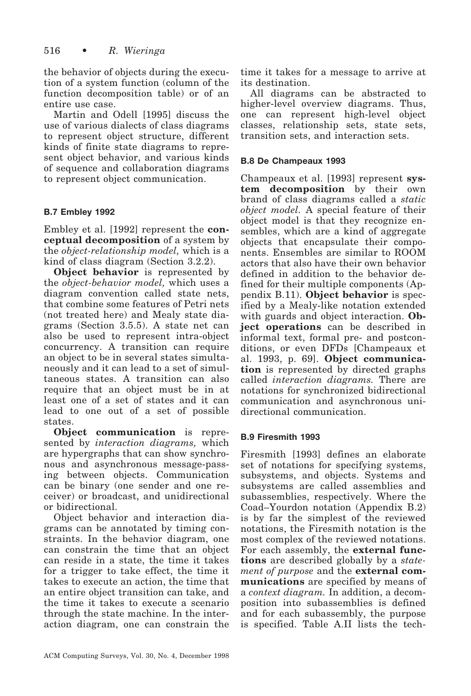the behavior of objects during the execution of a system function (column of the function decomposition table) or of an entire use case.

Martin and Odell [1995] discuss the use of various dialects of class diagrams to represent object structure, different kinds of finite state diagrams to represent object behavior, and various kinds of sequence and collaboration diagrams to represent object communication.

# **B.7 Embley 1992**

Embley et al. [1992] represent the **conceptual decomposition** of a system by the *object-relationship model,* which is a kind of class diagram (Section 3.2.2).

**Object behavior** is represented by the *object-behavior model,* which uses a diagram convention called state nets, that combine some features of Petri nets (not treated here) and Mealy state diagrams (Section 3.5.5). A state net can also be used to represent intra-object concurrency. A transition can require an object to be in several states simultaneously and it can lead to a set of simultaneous states. A transition can also require that an object must be in at least one of a set of states and it can lead to one out of a set of possible states.

**Object communication** is represented by *interaction diagrams,* which are hypergraphs that can show synchronous and asynchronous message-passing between objects. Communication can be binary (one sender and one receiver) or broadcast, and unidirectional or bidirectional.

Object behavior and interaction diagrams can be annotated by timing constraints. In the behavior diagram, one can constrain the time that an object can reside in a state, the time it takes for a trigger to take effect, the time it takes to execute an action, the time that an entire object transition can take, and the time it takes to execute a scenario through the state machine. In the interaction diagram, one can constrain the

time it takes for a message to arrive at its destination.

All diagrams can be abstracted to higher-level overview diagrams. Thus, one can represent high-level object classes, relationship sets, state sets, transition sets, and interaction sets.

## **B.8 De Champeaux 1993**

Champeaux et al. [1993] represent **system decomposition** by their own brand of class diagrams called a *static object model.* A special feature of their object model is that they recognize ensembles, which are a kind of aggregate objects that encapsulate their components. Ensembles are similar to ROOM actors that also have their own behavior defined in addition to the behavior defined for their multiple components (Appendix B.11). **Object behavior** is specified by a Mealy-like notation extended with guards and object interaction. **Object operations** can be described in informal text, formal pre- and postconditions, or even DFDs [Champeaux et al. 1993, p. 69]. **Object communication** is represented by directed graphs called *interaction diagrams.* There are notations for synchronized bidirectional communication and asynchronous unidirectional communication.

## **B.9 Firesmith 1993**

Firesmith [1993] defines an elaborate set of notations for specifying systems, subsystems, and objects. Systems and subsystems are called assemblies and subassemblies, respectively. Where the Coad–Yourdon notation (Appendix B.2) is by far the simplest of the reviewed notations, the Firesmith notation is the most complex of the reviewed notations. For each assembly, the **external functions** are described globally by a *statement of purpose* and the **external communications** are specified by means of a *context diagram.* In addition, a decomposition into subassemblies is defined and for each subassembly, the purpose is specified. Table A.II lists the tech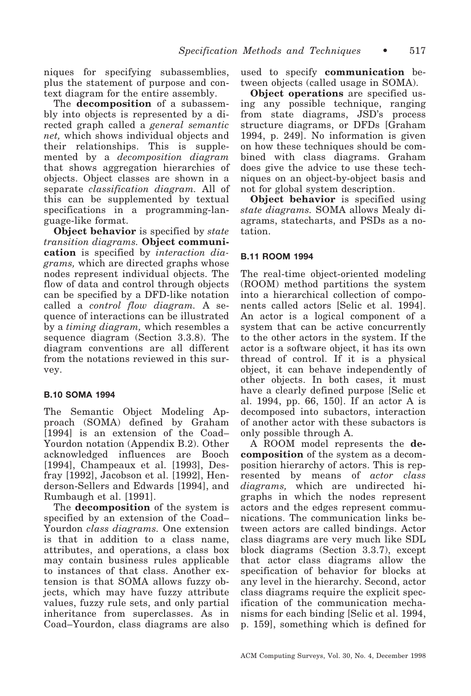niques for specifying subassemblies, plus the statement of purpose and context diagram for the entire assembly.

The **decomposition** of a subassembly into objects is represented by a directed graph called a *general semantic net,* which shows individual objects and their relationships. This is supplemented by a *decomposition diagram* that shows aggregation hierarchies of objects. Object classes are shown in a separate *classification diagram.* All of this can be supplemented by textual specifications in a programming-language-like format.

**Object behavior** is specified by *state transition diagrams.* **Object communication** is specified by *interaction diagrams,* which are directed graphs whose nodes represent individual objects. The flow of data and control through objects can be specified by a DFD-like notation called a *control flow diagram.* A sequence of interactions can be illustrated by a *timing diagram,* which resembles a sequence diagram (Section 3.3.8). The diagram conventions are all different from the notations reviewed in this survey.

## **B.10 SOMA 1994**

The Semantic Object Modeling Approach (SOMA) defined by Graham [1994] is an extension of the Coad– Yourdon notation (Appendix B.2). Other acknowledged influences are Booch [1994], Champeaux et al. [1993], Desfray [1992], Jacobson et al. [1992], Henderson-Sellers and Edwards [1994], and Rumbaugh et al. [1991].

The **decomposition** of the system is specified by an extension of the Coad– Yourdon *class diagrams.* One extension is that in addition to a class name, attributes, and operations, a class box may contain business rules applicable to instances of that class. Another extension is that SOMA allows fuzzy objects, which may have fuzzy attribute values, fuzzy rule sets, and only partial inheritance from superclasses. As in Coad–Yourdon, class diagrams are also used to specify **communication** between objects (called usage in SOMA).

**Object operations** are specified using any possible technique, ranging from state diagrams, JSD's process structure diagrams, or DFDs [Graham 1994, p. 249]. No information is given on how these techniques should be combined with class diagrams. Graham does give the advice to use these techniques on an object-by-object basis and not for global system description.

**Object behavior** is specified using *state diagrams.* SOMA allows Mealy diagrams, statecharts, and PSDs as a notation.

## **B.11 ROOM 1994**

The real-time object-oriented modeling (ROOM) method partitions the system into a hierarchical collection of components called actors [Selic et al. 1994]. An actor is a logical component of a system that can be active concurrently to the other actors in the system. If the actor is a software object, it has its own thread of control. If it is a physical object, it can behave independently of other objects. In both cases, it must have a clearly defined purpose [Selic et al. 1994, pp. 66, 150]. If an actor A is decomposed into subactors, interaction of another actor with these subactors is only possible through A.

A ROOM model represents the **decomposition** of the system as a decomposition hierarchy of actors. This is represented by means of *actor class diagrams,* which are undirected higraphs in which the nodes represent actors and the edges represent communications. The communication links between actors are called bindings. Actor class diagrams are very much like SDL block diagrams (Section 3.3.7), except that actor class diagrams allow the specification of behavior for blocks at any level in the hierarchy. Second, actor class diagrams require the explicit specification of the communication mechanisms for each binding [Selic et al. 1994, p. 159], something which is defined for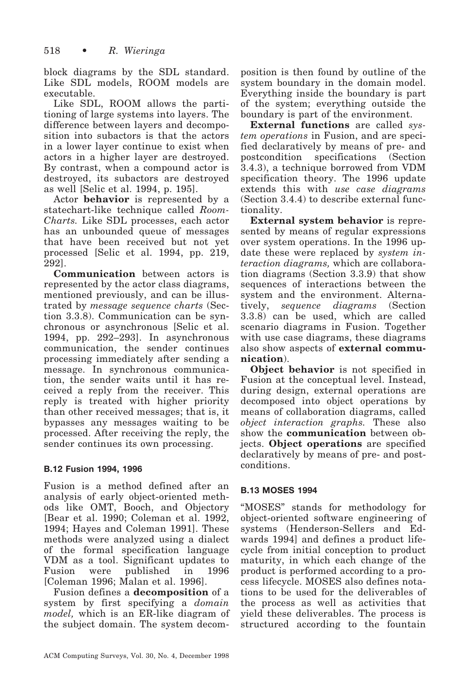block diagrams by the SDL standard. Like SDL models, ROOM models are executable.

Like SDL, ROOM allows the partitioning of large systems into layers. The difference between layers and decomposition into subactors is that the actors in a lower layer continue to exist when actors in a higher layer are destroyed. By contrast, when a compound actor is destroyed, its subactors are destroyed as well [Selic et al. 1994, p. 195].

Actor **behavior** is represented by a statechart-like technique called *Room-Charts.* Like SDL processes, each actor has an unbounded queue of messages that have been received but not yet processed [Selic et al. 1994, pp. 219, 292].

**Communication** between actors is represented by the actor class diagrams, mentioned previously, and can be illustrated by *message sequence charts* (Section 3.3.8). Communication can be synchronous or asynchronous [Selic et al. 1994, pp. 292–293]. In asynchronous communication, the sender continues processing immediately after sending a message. In synchronous communication, the sender waits until it has received a reply from the receiver. This reply is treated with higher priority than other received messages; that is, it bypasses any messages waiting to be processed. After receiving the reply, the sender continues its own processing.

## **B.12 Fusion 1994, 1996**

Fusion is a method defined after an analysis of early object-oriented methods like OMT, Booch, and Objectory [Bear et al. 1990; Coleman et al. 1992, 1994; Hayes and Coleman 1991]. These methods were analyzed using a dialect of the formal specification language VDM as a tool. Significant updates to Fusion were published in 1996 [Coleman 1996; Malan et al. 1996].

Fusion defines a **decomposition** of a system by first specifying a *domain model,* which is an ER-like diagram of the subject domain. The system decomposition is then found by outline of the system boundary in the domain model. Everything inside the boundary is part of the system; everything outside the boundary is part of the environment.

**External functions** are called *system operations* in Fusion, and are specified declaratively by means of pre- and postcondition specifications (Section 3.4.3), a technique borrowed from VDM specification theory. The 1996 update extends this with *use case diagrams* (Section 3.4.4) to describe external functionality.

**External system behavior** is represented by means of regular expressions over system operations. In the 1996 update these were replaced by *system interaction diagrams,* which are collaboration diagrams (Section 3.3.9) that show sequences of interactions between the system and the environment. Alternatively, *sequence diagrams* (Section 3.3.8) can be used, which are called scenario diagrams in Fusion. Together with use case diagrams, these diagrams also show aspects of **external communication**).

**Object behavior** is not specified in Fusion at the conceptual level. Instead, during design, external operations are decomposed into object operations by means of collaboration diagrams, called *object interaction graphs.* These also show the **communication** between objects. **Object operations** are specified declaratively by means of pre- and postconditions.

## **B.13 MOSES 1994**

"MOSES" stands for methodology for object-oriented software engineering of systems (Henderson-Sellers and Edwards 1994] and defines a product lifecycle from initial conception to product maturity, in which each change of the product is performed according to a process lifecycle. MOSES also defines notations to be used for the deliverables of the process as well as activities that yield these deliverables. The process is structured according to the fountain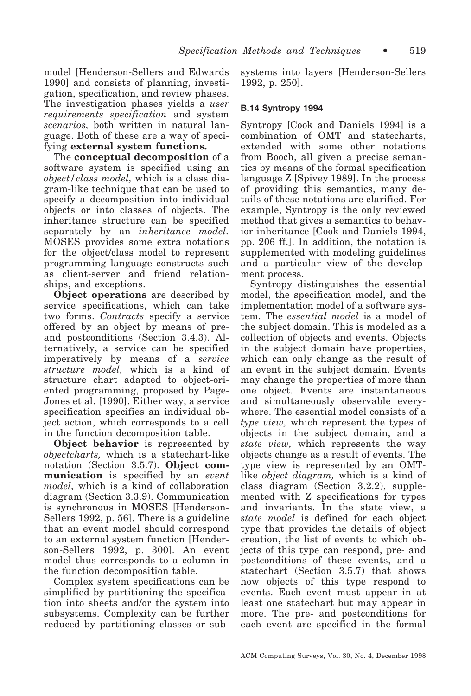model [Henderson-Sellers and Edwards 1990] and consists of planning, investigation, specification, and review phases. The investigation phases yields a *user requirements specification* and system *scenarios,* both written in natural language. Both of these are a way of specifying **external system functions.**

The **conceptual decomposition** of a software system is specified using an *object/class model,* which is a class diagram-like technique that can be used to specify a decomposition into individual objects or into classes of objects. The inheritance structure can be specified separately by an *inheritance model.* MOSES provides some extra notations for the object/class model to represent programming language constructs such as client-server and friend relationships, and exceptions.

**Object operations** are described by service specifications, which can take two forms. *Contracts* specify a service offered by an object by means of preand postconditions (Section 3.4.3). Alternatively, a service can be specified imperatively by means of a *service structure model,* which is a kind of structure chart adapted to object-oriented programming, proposed by Page-Jones et al. [1990]. Either way, a service specification specifies an individual object action, which corresponds to a cell in the function decomposition table.

**Object behavior** is represented by *objectcharts,* which is a statechart-like notation (Section 3.5.7). **Object communication** is specified by an *event model,* which is a kind of collaboration diagram (Section 3.3.9). Communication is synchronous in MOSES [Henderson-Sellers 1992, p. 56]. There is a guideline that an event model should correspond to an external system function [Henderson-Sellers 1992, p. 300]. An event model thus corresponds to a column in the function decomposition table.

Complex system specifications can be simplified by partitioning the specification into sheets and/or the system into subsystems. Complexity can be further reduced by partitioning classes or subsystems into layers [Henderson-Sellers 1992, p. 250].

### **B.14 Syntropy 1994**

Syntropy [Cook and Daniels 1994] is a combination of OMT and statecharts, extended with some other notations from Booch, all given a precise semantics by means of the formal specification language Z [Spivey 1989]. In the process of providing this semantics, many details of these notations are clarified. For example, Syntropy is the only reviewed method that gives a semantics to behavior inheritance [Cook and Daniels 1994, pp. 206 ff.]. In addition, the notation is supplemented with modeling guidelines and a particular view of the development process.

Syntropy distinguishes the essential model, the specification model, and the implementation model of a software system. The *essential model* is a model of the subject domain. This is modeled as a collection of objects and events. Objects in the subject domain have properties, which can only change as the result of an event in the subject domain. Events may change the properties of more than one object. Events are instantaneous and simultaneously observable everywhere. The essential model consists of a *type view,* which represent the types of objects in the subject domain, and a *state view,* which represents the way objects change as a result of events. The type view is represented by an OMTlike *object diagram,* which is a kind of class diagram (Section 3.2.2), supplemented with Z specifications for types and invariants. In the state view, a *state model* is defined for each object type that provides the details of object creation, the list of events to which objects of this type can respond, pre- and postconditions of these events, and a statechart (Section 3.5.7) that shows how objects of this type respond to events. Each event must appear in at least one statechart but may appear in more. The pre- and postconditions for each event are specified in the formal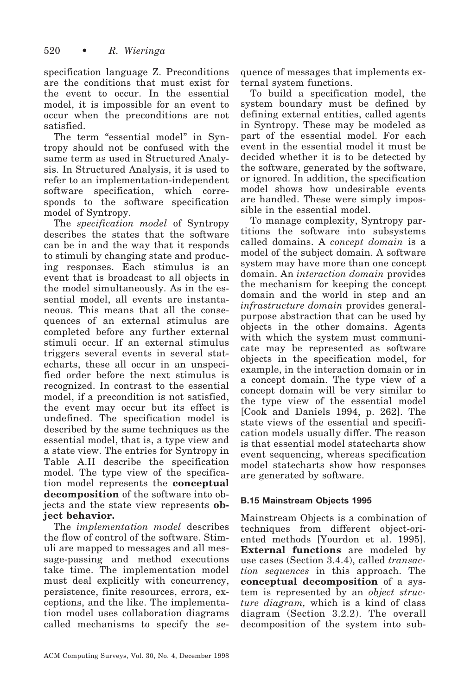specification language Z. Preconditions are the conditions that must exist for the event to occur. In the essential model, it is impossible for an event to occur when the preconditions are not satisfied.

The term "essential model" in Syntropy should not be confused with the same term as used in Structured Analysis. In Structured Analysis, it is used to refer to an implementation-independent software specification, which corresponds to the software specification model of Syntropy.

The *specification model* of Syntropy describes the states that the software can be in and the way that it responds to stimuli by changing state and producing responses. Each stimulus is an event that is broadcast to all objects in the model simultaneously. As in the essential model, all events are instantaneous. This means that all the consequences of an external stimulus are completed before any further external stimuli occur. If an external stimulus triggers several events in several statecharts, these all occur in an unspecified order before the next stimulus is recognized. In contrast to the essential model, if a precondition is not satisfied, the event may occur but its effect is undefined. The specification model is described by the same techniques as the essential model, that is, a type view and a state view. The entries for Syntropy in Table A.II describe the specification model. The type view of the specification model represents the **conceptual decomposition** of the software into objects and the state view represents **object behavior.**

The *implementation model* describes the flow of control of the software. Stimuli are mapped to messages and all message-passing and method executions take time. The implementation model must deal explicitly with concurrency, persistence, finite resources, errors, exceptions, and the like. The implementation model uses collaboration diagrams called mechanisms to specify the sequence of messages that implements external system functions.

To build a specification model, the system boundary must be defined by defining external entities, called agents in Syntropy. These may be modeled as part of the essential model. For each event in the essential model it must be decided whether it is to be detected by the software, generated by the software, or ignored. In addition, the specification model shows how undesirable events are handled. These were simply impossible in the essential model.

To manage complexity, Syntropy partitions the software into subsystems called domains. A *concept domain* is a model of the subject domain. A software system may have more than one concept domain. An *interaction domain* provides the mechanism for keeping the concept domain and the world in step and an *infrastructure domain* provides generalpurpose abstraction that can be used by objects in the other domains. Agents with which the system must communicate may be represented as software objects in the specification model, for example, in the interaction domain or in a concept domain. The type view of a concept domain will be very similar to the type view of the essential model [Cook and Daniels 1994, p. 262]. The state views of the essential and specification models usually differ. The reason is that essential model statecharts show event sequencing, whereas specification model statecharts show how responses are generated by software.

## **B.15 Mainstream Objects 1995**

Mainstream Objects is a combination of techniques from different object-oriented methods [Yourdon et al. 1995]. **External functions** are modeled by use cases (Section 3.4.4), called *transaction sequences* in this approach. The **conceptual decomposition** of a system is represented by an *object structure diagram,* which is a kind of class diagram (Section 3.2.2). The overall decomposition of the system into sub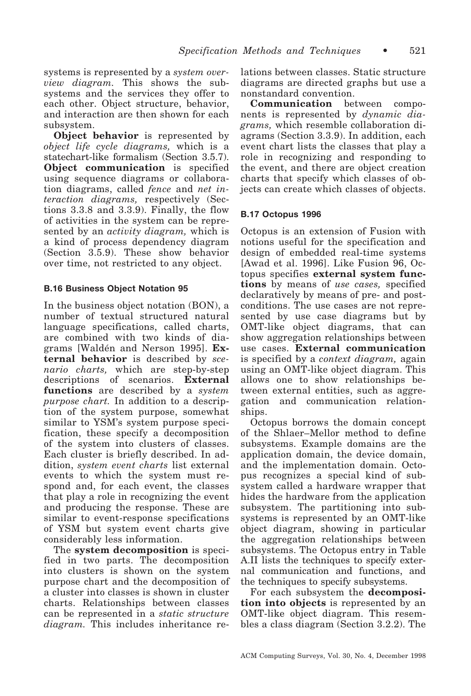systems is represented by a *system overview diagram.* This shows the subsystems and the services they offer to each other. Object structure, behavior, and interaction are then shown for each subsystem.

**Object behavior** is represented by *object life cycle diagrams,* which is a statechart-like formalism (Section 3.5.7). **Object communication** is specified using sequence diagrams or collaboration diagrams, called *fence* and *net interaction diagrams,* respectively (Sections 3.3.8 and 3.3.9). Finally, the flow of activities in the system can be represented by an *activity diagram,* which is a kind of process dependency diagram (Section 3.5.9). These show behavior over time, not restricted to any object.

## **B.16 Business Object Notation 95**

In the business object notation (BON), a number of textual structured natural language specifications, called charts, are combined with two kinds of diagrams [Waldén and Nerson 1995]. Ex**ternal behavior** is described by *scenario charts,* which are step-by-step descriptions of scenarios. **External functions** are described by a *system purpose chart.* In addition to a description of the system purpose, somewhat similar to YSM's system purpose specification, these specify a decomposition of the system into clusters of classes. Each cluster is briefly described. In addition, *system event charts* list external events to which the system must respond and, for each event, the classes that play a role in recognizing the event and producing the response. These are similar to event-response specifications of YSM but system event charts give considerably less information.

The **system decomposition** is specified in two parts. The decomposition into clusters is shown on the system purpose chart and the decomposition of a cluster into classes is shown in cluster charts. Relationships between classes can be represented in a *static structure diagram.* This includes inheritance relations between classes. Static structure diagrams are directed graphs but use a nonstandard convention.

**Communication** between components is represented by *dynamic diagrams,* which resemble collaboration diagrams (Section 3.3.9). In addition, each event chart lists the classes that play a role in recognizing and responding to the event, and there are object creation charts that specify which classes of objects can create which classes of objects.

## **B.17 Octopus 1996**

Octopus is an extension of Fusion with notions useful for the specification and design of embedded real-time systems [Awad et al. 1996]. Like Fusion 96, Octopus specifies **external system functions** by means of *use cases,* specified declaratively by means of pre- and postconditions. The use cases are not represented by use case diagrams but by OMT-like object diagrams, that can show aggregation relationships between use cases. **External communication** is specified by a *context diagram,* again using an OMT-like object diagram. This allows one to show relationships between external entities, such as aggregation and communication relationships.

Octopus borrows the domain concept of the Shlaer–Mellor method to define subsystems. Example domains are the application domain, the device domain, and the implementation domain. Octopus recognizes a special kind of subsystem called a hardware wrapper that hides the hardware from the application subsystem. The partitioning into subsystems is represented by an OMT-like object diagram, showing in particular the aggregation relationships between subsystems. The Octopus entry in Table A.II lists the techniques to specify external communication and functions, and the techniques to specify subsystems.

For each subsystem the **decomposition into objects** is represented by an OMT-like object diagram. This resembles a class diagram (Section 3.2.2). The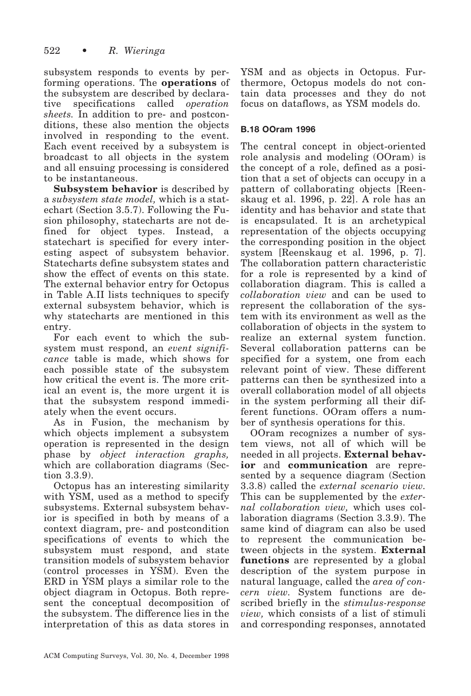subsystem responds to events by performing operations. The **operations** of the subsystem are described by declarative specifications called *operation sheets.* In addition to pre- and postconditions, these also mention the objects involved in responding to the event. Each event received by a subsystem is broadcast to all objects in the system and all ensuing processing is considered to be instantaneous.

**Subsystem behavior** is described by a *subsystem state model,* which is a statechart (Section 3.5.7). Following the Fusion philosophy, statecharts are not defined for object types. Instead, a statechart is specified for every interesting aspect of subsystem behavior. Statecharts define subsystem states and show the effect of events on this state. The external behavior entry for Octopus in Table A.II lists techniques to specify external subsystem behavior, which is why statecharts are mentioned in this entry.

For each event to which the subsystem must respond, an *event significance* table is made, which shows for each possible state of the subsystem how critical the event is. The more critical an event is, the more urgent it is that the subsystem respond immediately when the event occurs.

As in Fusion, the mechanism by which objects implement a subsystem operation is represented in the design phase by *object interaction graphs,* which are collaboration diagrams (Section 3.3.9).

Octopus has an interesting similarity with YSM, used as a method to specify subsystems. External subsystem behavior is specified in both by means of a context diagram, pre- and postcondition specifications of events to which the subsystem must respond, and state transition models of subsystem behavior (control processes in YSM). Even the ERD in YSM plays a similar role to the object diagram in Octopus. Both represent the conceptual decomposition of the subsystem. The difference lies in the interpretation of this as data stores in

YSM and as objects in Octopus. Furthermore, Octopus models do not contain data processes and they do not focus on dataflows, as YSM models do.

# **B.18 OOram 1996**

The central concept in object-oriented role analysis and modeling (OOram) is the concept of a role, defined as a position that a set of objects can occupy in a pattern of collaborating objects [Reenskaug et al. 1996, p. 22]. A role has an identity and has behavior and state that is encapsulated. It is an archetypical representation of the objects occupying the corresponding position in the object system [Reenskaug et al. 1996, p. 7]. The collaboration pattern characteristic for a role is represented by a kind of collaboration diagram. This is called a *collaboration view* and can be used to represent the collaboration of the system with its environment as well as the collaboration of objects in the system to realize an external system function. Several collaboration patterns can be specified for a system, one from each relevant point of view. These different patterns can then be synthesized into a overall collaboration model of all objects in the system performing all their different functions. OOram offers a number of synthesis operations for this.

OOram recognizes a number of system views, not all of which will be needed in all projects. **External behavior** and **communication** are represented by a sequence diagram (Section 3.3.8) called the *external scenario view.* This can be supplemented by the *external collaboration view,* which uses collaboration diagrams (Section 3.3.9). The same kind of diagram can also be used to represent the communication between objects in the system. **External functions** are represented by a global description of the system purpose in natural language, called the *area of concern view.* System functions are described briefly in the *stimulus-response view,* which consists of a list of stimuli and corresponding responses, annotated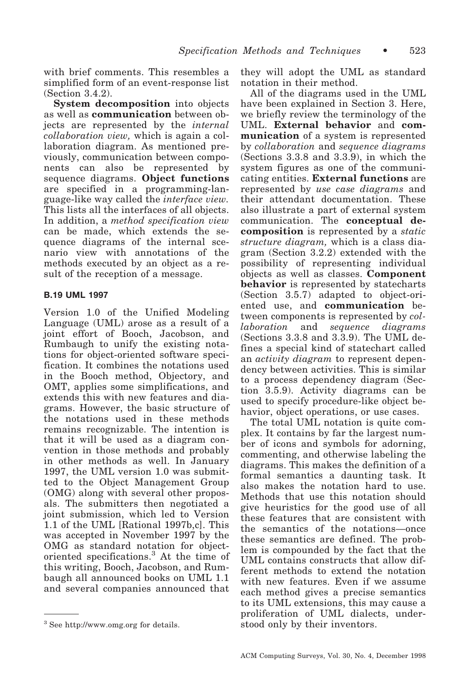with brief comments. This resembles a simplified form of an event-response list (Section 3.4.2).

**System decomposition** into objects as well as **communication** between objects are represented by the *internal collaboration view,* which is again a collaboration diagram. As mentioned previously, communication between components can also be represented by sequence diagrams. **Object functions** are specified in a programming-language-like way called the *interface view.* This lists all the interfaces of all objects. In addition, a *method specification view* can be made, which extends the sequence diagrams of the internal scenario view with annotations of the methods executed by an object as a result of the reception of a message.

#### **B.19 UML 1997**

Version 1.0 of the Unified Modeling Language (UML) arose as a result of a joint effort of Booch, Jacobson, and Rumbaugh to unify the existing notations for object-oriented software specification. It combines the notations used in the Booch method, Objectory, and OMT, applies some simplifications, and extends this with new features and diagrams. However, the basic structure of the notations used in these methods remains recognizable. The intention is that it will be used as a diagram convention in those methods and probably in other methods as well. In January 1997, the UML version 1.0 was submitted to the Object Management Group (OMG) along with several other proposals. The submitters then negotiated a joint submission, which led to Version 1.1 of the UML [Rational 1997b,c]. This was accepted in November 1997 by the OMG as standard notation for objectoriented specifications.<sup>3</sup> At the time of this writing, Booch, Jacobson, and Rumbaugh all announced books on UML 1.1 and several companies announced that

they will adopt the UML as standard notation in their method.

All of the diagrams used in the UML have been explained in Section 3. Here, we briefly review the terminology of the UML. **External behavior** and **communication** of a system is represented by *collaboration* and *sequence diagrams* (Sections 3.3.8 and 3.3.9), in which the system figures as one of the communicating entities. **External functions** are represented by *use case diagrams* and their attendant documentation. These also illustrate a part of external system communication. The **conceptual decomposition** is represented by a *static structure diagram,* which is a class diagram (Section 3.2.2) extended with the possibility of representing individual objects as well as classes. **Component behavior** is represented by statecharts (Section 3.5.7) adapted to object-oriented use, and **communication** between components is represented by *collaboration* and *sequence diagrams* (Sections 3.3.8 and 3.3.9). The UML defines a special kind of statechart called an *activity diagram* to represent dependency between activities. This is similar to a process dependency diagram (Section 3.5.9). Activity diagrams can be used to specify procedure-like object behavior, object operations, or use cases.

The total UML notation is quite complex. It contains by far the largest number of icons and symbols for adorning, commenting, and otherwise labeling the diagrams. This makes the definition of a formal semantics a daunting task. It also makes the notation hard to use. Methods that use this notation should give heuristics for the good use of all these features that are consistent with the semantics of the notations—once these semantics are defined. The problem is compounded by the fact that the UML contains constructs that allow different methods to extend the notation with new features. Even if we assume each method gives a precise semantics to its UML extensions, this may cause a proliferation of UML dialects, understood only by their inventors. <sup>3</sup> See http://www.omg.org for details.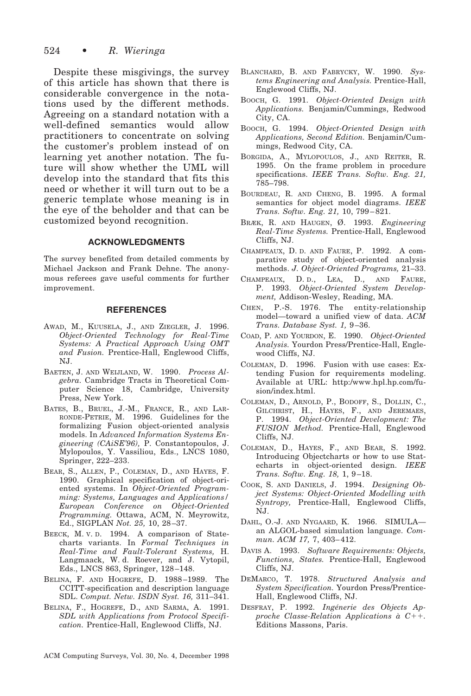Despite these misgivings, the survey of this article has shown that there is considerable convergence in the notations used by the different methods. Agreeing on a standard notation with a well-defined semantics would allow practitioners to concentrate on solving the customer's problem instead of on learning yet another notation. The future will show whether the UML will develop into the standard that fits this need or whether it will turn out to be a generic template whose meaning is in the eye of the beholder and that can be customized beyond recognition.

#### **ACKNOWLEDGMENTS**

The survey benefited from detailed comments by Michael Jackson and Frank Dehne. The anonymous referees gave useful comments for further improvement.

#### **REFERENCES**

- AWAD, M., KUUSELA, J., AND ZIEGLER, J. 1996. *Object-Oriented Technology for Real-Time Systems: A Practical Approach Using OMT and Fusion.* Prentice-Hall, Englewood Cliffs, NJ.
- BAETEN, J. AND WEIJLAND, W. 1990. *Process Algebra.* Cambridge Tracts in Theoretical Computer Science 18, Cambridge, University Press, New York.
- BATES, B., BRUEL, J.-M., FRANCE, R., AND LAR-RONDE-PETRIE, M. 1996. Guidelines for the formalizing Fusion object-oriented analysis models. In *Advanced Information Systems Engineering (CAiSE'96),* P. Constantopoulos, J. Mylopoulos, Y. Vassiliou, Eds., LNCS 1080, Springer, 222–233.
- BEAR, S., ALLEN, P., COLEMAN, D., AND HAYES, F. 1990. Graphical specification of object-oriented systems. In *Object-Oriented Programming: Systems, Languages and Applications/ European Conference on Object-Oriented Programming.* Ottawa, ACM, N. Meyrowitz, Ed., SIGPLAN *Not. 25,* 10, 28–37.
- BEECK, M. V. D. 1994. A comparison of Statecharts variants. In *Formal Techniques in Real-Time and Fault-Tolerant Systems,* H. Langmaack, W. d. Roever, and J. Vytopil, Eds., LNCS 863, Springer, 128–148.
- BELINA, F. AND HOGREFE, D. 1988–1989. The CCITT-specification and description language SDL. *Comput. Netw. ISDN Syst. 16,* 311–341.
- BELINA, F., HOGREFE, D., AND SARMA, A. 1991. *SDL with Applications from Protocol Specification.* Prentice-Hall, Englewood Cliffs, NJ.
- BLANCHARD, B. AND FABRYCKY, W. 1990. *Systems Engineering and Analysis.* Prentice-Hall, Englewood Cliffs, NJ.
- BOOCH, G. 1991. *Object-Oriented Design with Applications.* Benjamin/Cummings, Redwood City, CA.
- BOOCH, G. 1994. *Object-Oriented Design with Applications, Second Edition.* Benjamin/Cummings, Redwood City, CA.
- BORGIDA, A., MYLOPOULOS, J., AND REITER, R. 1995. On the frame problem in procedure specifications. *IEEE Trans. Softw. Eng. 21,* 785–798.
- BOURDEAU, R. AND CHENG, B. 1995. A formal semantics for object model diagrams. *IEEE Trans. Softw. Eng. 21,* 10, 799–821.
- BRÆK, R. AND HAUGEN, Ø. 1993. *Engineering Real-Time Systems.* Prentice-Hall, Englewood Cliffs, NJ.
- CHAMPEAUX, D. D. AND FAURE, P. 1992. A comparative study of object-oriented analysis methods. *J. Object-Oriented Programs,* 21–33.
- CHAMPEAUX, D. D., LEA, D., AND FAURE, P. 1993. *Object-Oriented System Development,* Addison-Wesley, Reading, MA.
- CHEN, P.-S. 1976. The entity-relationship model—toward a unified view of data. *ACM Trans. Database Syst. 1,* 9–36.
- COAD, P. AND YOURDON, E. 1990. *Object-Oriented Analysis.* Yourdon Press/Prentice-Hall, Englewood Cliffs, NJ.
- COLEMAN, D. 1996. Fusion with use cases: Extending Fusion for requirements modeling. Available at URL: http:/www.hpl.hp.com/fusion/index.html.
- COLEMAN, D., ARNOLD, P., BODOFF, S., DOLLIN, C., GILCHRIST, H., HAYES, F., AND JEREMAES, P. 1994. *Object-Oriented Development: The FUSION Method.* Prentice-Hall, Englewood Cliffs, NJ.
- COLEMAN, D., HAYES, F., AND BEAR, S. 1992. Introducing Objectcharts or how to use Statecharts in object-oriented design. *IEEE Trans. Softw. Eng. 18,* 1, 9–18.
- COOK, S. AND DANIELS, J. 1994. *Designing Object Systems: Object-Oriented Modelling with Syntropy,* Prentice-Hall, Englewood Cliffs, NJ.
- DAHL, O.-J. AND NYGAARD, K. 1966. SIMULA an ALGOL-based simulation language. *Commun. ACM 17,* 7, 403–412.
- DAVIS A. 1993. *Software Requirements: Objects, Functions, States.* Prentice-Hall, Englewood Cliffs, NJ.
- DEMARCO, T. 1978. *Structured Analysis and System Specification.* Yourdon Press/Prentice-Hall, Englewood Cliffs, NJ.
- DESFRAY, P. 1992. Ingénerie des Objects Ap*proche Classe-Relation Applications à C++.* Editions Massons, Paris.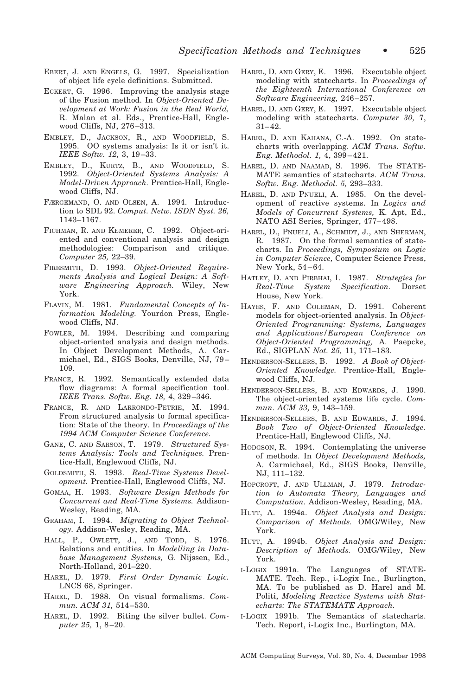- EBERT, J. AND ENGELS, G. 1997. Specialization of object life cycle definitions. Submitted.
- ECKERT, G. 1996. Improving the analysis stage of the Fusion method. In *Object-Oriented Development at Work: Fusion in the Real World,* R. Malan et al. Eds., Prentice-Hall, Englewood Cliffs, NJ, 276–313.
- EMBLEY, D., JACKSON, R., AND WOODFIELD, S. 1995. OO systems analysis: Is it or isn't it. *IEEE Softw. 12,* 3, 19–33.
- EMBLEY, D., KURTZ, B., AND WOODFIELD, S. 1992. *Object-Oriented Systems Analysis: A Model-Driven Approach.* Prentice-Hall, Englewood Cliffs, NJ.
- FÆRGEMAND, O. AND OLSEN, A. 1994. Introduction to SDL 92. *Comput. Netw. ISDN Syst. 26,* 1143–1167.
- FICHMAN, R. AND KEMERER, C. 1992. Object-oriented and conventional analysis and design methodologies: Comparison and critique. *Computer 25,* 22–39.
- FIRESMITH, D. 1993. *Object-Oriented Requirements Analysis and Logical Design: A Software Engineering Approach.* Wiley, New York.
- FLAVIN, M. 1981. *Fundamental Concepts of Information Modeling.* Yourdon Press, Englewood Cliffs, NJ.
- FOWLER, M. 1994. Describing and comparing object-oriented analysis and design methods. In Object Development Methods, A. Carmichael, Ed., SIGS Books, Denville, NJ, 79– 109.
- FRANCE, R. 1992. Semantically extended data flow diagrams: A formal specification tool. *IEEE Trans. Softw. Eng. 18,* 4, 329–346.
- FRANCE, R. AND LARRONDO-PETRIE, M. 1994. From structured analysis to formal specification: State of the theory. In *Proceedings of the 1994 ACM Computer Science Conference.*
- GANE, C. AND SARSON, T. 1979. *Structured Systems Analysis: Tools and Techniques.* Prentice-Hall, Englewood Cliffs, NJ.
- GOLDSMITH, S. 1993. *Real-Time Systems Development.* Prentice-Hall, Englewood Cliffs, NJ.
- GOMAA, H. 1993. *Software Design Methods for Concurrent and Real-Time Systems.* Addison-Wesley, Reading, MA.
- GRAHAM, I. 1994. *Migrating to Object Technology.* Addison-Wesley, Reading, MA.
- HALL, P., OWLETT, J., AND TODD, S. 1976. Relations and entities. In *Modelling in Database Management Systems,* G. Nijssen, Ed., North-Holland, 201–220.
- HAREL, D. 1979. *First Order Dynamic Logic.* LNCS 68, Springer.
- HAREL, D. 1988. On visual formalisms. *Commun. ACM 31,* 514–530.
- HAREL, D. 1992. Biting the silver bullet. *Computer 25,* 1, 8–20.
- HAREL, D. AND GERY, E. 1996. Executable object modeling with statecharts. In *Proceedings of the Eighteenth International Conference on Software Engineering,* 246–257.
- HAREL, D. AND GERY, E. 1997. Executable object modeling with statecharts. *Computer 30,* 7,  $31 - 42$ .
- HAREL, D. AND KAHANA, C.-A. 1992. On statecharts with overlapping. *ACM Trans. Softw. Eng. Methodol. 1,* 4, 399–421.
- HAREL, D. AND NAAMAD, S. 1996. The STATE-MATE semantics of statecharts. *ACM Trans. Softw. Eng. Methodol. 5,* 293–333.
- HAREL, D. AND PNUELI, A. 1985. On the development of reactive systems. In *Logics and Models of Concurrent Systems,* K. Apt, Ed., NATO ASI Series, Springer, 477–498.
- HAREL, D., PNUELI, A., SCHMIDT, J., AND SHERMAN, R. 1987. On the formal semantics of statecharts. In *Proceedings, Symposium on Logic in Computer Science,* Computer Science Press, New York, 54–64.
- HATLEY, D. AND PIRBHAI, I. 1987. *Strategies for Real-Time System Specification.* Dorset House, New York.
- HAYES, F. AND COLEMAN, D. 1991. Coherent models for object-oriented analysis. In *Object-Oriented Programming: Systems, Languages and Applications/European Conference on Object-Oriented Programming,* A. Paepcke, Ed., SIGPLAN *Not. 25,* 11, 171–183.
- HENDERSON-SELLERS, B. 1992. *A Book of Object-Oriented Knowledge.* Prentice-Hall, Englewood Cliffs, NJ.
- HENDERSON-SELLERS, B. AND EDWARDS, J. 1990. The object-oriented systems life cycle. *Commun. ACM 33,* 9, 143–159.
- HENDERSON-SELLERS, B. AND EDWARDS, J. 1994. *Book Two of Object-Oriented Knowledge.* Prentice-Hall, Englewood Cliffs, NJ.
- HODGSON, R. 1994. Contemplating the universe of methods. In *Object Development Methods,* A. Carmichael, Ed., SIGS Books, Denville, NJ, 111–132.
- HOPCROFT, J. AND ULLMAN, J. 1979. *Introduction to Automata Theory, Languages and Computation.* Addison-Wesley, Reading, MA.
- HUTT, A. 1994a. *Object Analysis and Design: Comparison of Methods.* OMG/Wiley, New York.
- HUTT, A. 1994b. *Object Analysis and Design: Description of Methods.* OMG/Wiley, New York.
- I-LOGIX 1991a. The Languages of STATE-MATE. Tech. Rep., i-Logix Inc., Burlington, MA. To be published as D. Harel and M. Politi, *Modeling Reactive Systems with Statecharts: The STATEMATE Approach.*
- I-LOGIX 1991b. The Semantics of statecharts. Tech. Report, i-Logix Inc., Burlington, MA.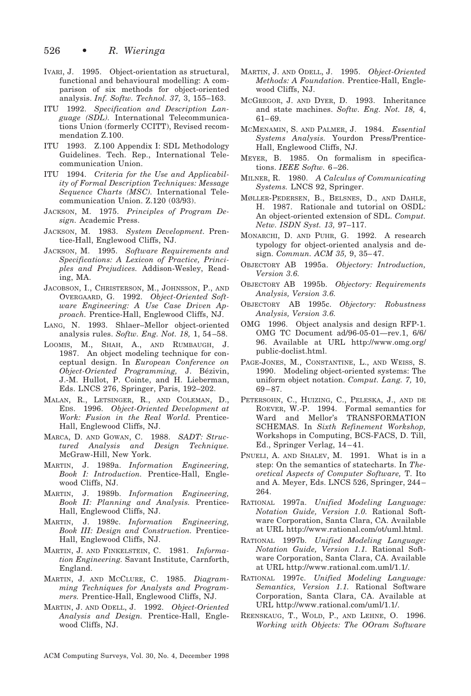- IVARI, J. 1995. Object-orientation as structural, functional and behavioural modelling: A comparison of six methods for object-oriented analysis. *Inf. Softw. Technol. 37,* 3, 155–163.
- ITU 1992. *Specification and Description Language (SDL).* International Telecommunications Union (formerly CCITT), Revised recommendation Z.100.
- ITU 1993. Z.100 Appendix I: SDL Methodology Guidelines. Tech. Rep., International Telecommunication Union.
- ITU 1994. *Criteria for the Use and Applicability of Formal Description Techniques: Message Sequence Charts (MSC).* International Telecommunication Union. Z.120 (03/93).
- JACKSON, M. 1975. *Principles of Program Design.* Academic Press.
- JACKSON, M. 1983. *System Development.* Prentice-Hall, Englewood Cliffs, NJ.
- JACKSON, M. 1995. *Software Requirements and Specifications: A Lexicon of Practice, Principles and Prejudices.* Addison-Wesley, Reading, MA.
- JACOBSON, I., CHRISTERSON, M., JOHNSSON, P., AND OVERGAARD, G. 1992. Object-Oriented Soft*ware Engineering: A Use Case Driven Approach.* Prentice-Hall, Englewood Cliffs, NJ.
- LANG, N. 1993. Shlaer–Mellor object-oriented analysis rules. *Softw. Eng. Not. 18,* 1, 54–58.
- LOOMIS, M., SHAH, A., AND RUMBAUGH, J. 1987. An object modeling technique for conceptual design. In *European Conference on Object-Oriented Programming, J. Bézivin,* J.-M. Hullot, P. Cointe, and H. Lieberman, Eds. LNCS 276, Springer, Paris, 192–202.
- MALAN, R., LETSINGER, R., AND COLEMAN, D., EDS. 1996. *Object-Oriented Development at Work: Fusion in the Real World.* Prentice-Hall, Englewood Cliffs, NJ.
- MARCA, D. AND GOWAN, C. 1988. *SADT: Structured Analysis and Design Technique.* McGraw-Hill, New York.
- MARTIN, J. 1989a. *Information Engineering, Book I: Introduction.* Prentice-Hall, Englewood Cliffs, NJ.
- MARTIN, J. 1989b. *Information Engineering, Book II: Planning and Analysis.* Prentice-Hall, Englewood Cliffs, NJ.
- MARTIN, J. 1989c. *Information Engineering, Book III: Design and Construction.* Prentice-Hall, Englewood Cliffs, NJ.
- MARTIN, J. AND FINKELSTEIN, C. 1981. *Information Engineering.* Savant Institute, Carnforth, England.
- MARTIN, J. AND MCCLURE, C. 1985. *Diagramming Techniques for Analysts and Programmers.* Prentice-Hall, Englewood Cliffs, NJ.
- MARTIN, J. AND ODELL, J. 1992. *Object-Oriented Analysis and Design.* Prentice-Hall, Englewood Cliffs, NJ.
- MARTIN, J. AND ODELL, J. 1995. *Object-Oriented Methods: A Foundation.* Prentice-Hall, Englewood Cliffs, NJ.
- MCGREGOR, J. AND DYER, D. 1993. Inheritance and state machines. *Softw. Eng. Not. 18,* 4, 61–69.
- MCMENAMIN, S. AND PALMER, J. 1984. *Essential Systems Analysis.* Yourdon Press/Prentice-Hall, Englewood Cliffs, NJ.
- MEYER, B. 1985. On formalism in specifications. *IEEE Softw.* 6–26.
- MILNER, R. 1980. *A Calculus of Communicating Systems.* LNCS 92, Springer.
- MØLLER-PEDERSEN, B., BELSNES, D., AND DAHLE, H. 1987. Rationale and tutorial on OSDL: An object-oriented extension of SDL. *Comput. Netw. ISDN Syst. 13,* 97–117.
- MONARCHI, D. AND PUHR, G. 1992. A research typology for object-oriented analysis and design. *Commun. ACM 35,* 9, 35–47.
- OBJECTORY AB 1995a. *Objectory: Introduction, Version 3.6.*
- OBJECTORY AB 1995b. *Objectory: Requirements Analysis, Version 3.6.*
- OBJECTORY AB 1995c. *Objectory: Robustness Analysis, Version 3.6.*
- OMG 1996. Object analysis and design RFP-1. OMG TC Document ad/96-05-01—rev.1, 6/6/ 96. Available at URL http://www.omg.org/ public-doclist.html.
- PAGE-JONES, M., CONSTANTINE, L., AND WEISS, S. 1990. Modeling object-oriented systems: The uniform object notation. *Comput. Lang. 7,* 10, 69–87.
- PETERSOHN, C., HUIZING, C., PELESKA, J., AND DE ROEVER, W.-P. 1994. Formal semantics for Ward and Mellor's TRANSFORMATION SCHEMAS. In *Sixth Refinement Workshop,* Workshops in Computing, BCS-FACS, D. Till, Ed., Springer Verlag, 14–41.
- PNUELI, A. AND SHALEV, M. 1991. What is in a step: On the semantics of statecharts. In *Theoretical Aspects of Computer Software,* T. Ito and A. Meyer, Eds. LNCS 526, Springer, 244– 264.
- RATIONAL 1997a. *Unified Modeling Language: Notation Guide, Version 1.0.* Rational Software Corporation, Santa Clara, CA. Available at URL http://www.rational.com/ot/uml.html.
- RATIONAL 1997b. *Unified Modeling Language: Notation Guide, Version 1.1.* Rational Software Corporation, Santa Clara, CA. Available at URL http://www.rational.com.uml/1.1/.
- RATIONAL 1997c. *Unified Modeling Language: Semantics, Version 1.1.* Rational Software Corporation, Santa Clara, CA. Available at URL http://www.rational.com/uml/1.1/.
- REENSKAUG, T., WOLD, P., AND LEHNE, O. 1996. *Working with Objects: The OOram Software*